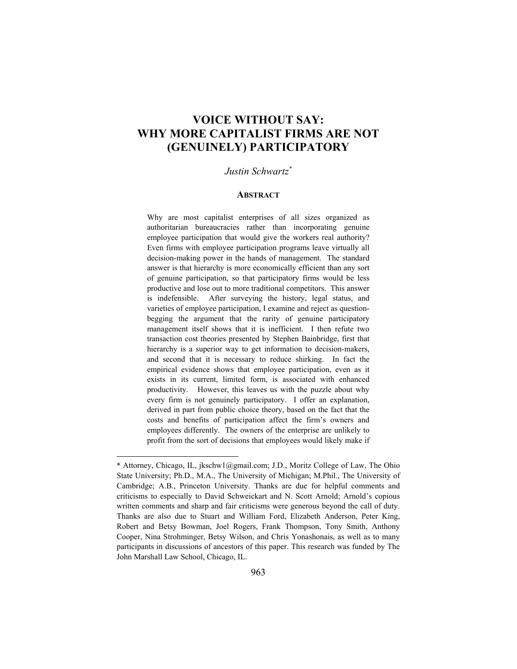# **VOICE WITHOUT SAY: WHY MORE CAPITALIST FIRMS ARE NOT (GENUINELY) PARTICIPATORY**

### *Justin Schwartz\**

#### **ABSTRACT**

Why are most capitalist enterprises of all sizes organized as authoritarian bureaucracies rather than incorporating genuine employee participation that would give the workers real authority? Even firms with employee participation programs leave virtually all decision-making power in the hands of management. The standard answer is that hierarchy is more economically efficient than any sort of genuine participation, so that participatory firms would be less productive and lose out to more traditional competitors. This answer is indefensible. After surveying the history, legal status, and varieties of employee participation, I examine and reject as questionbegging the argument that the rarity of genuine participatory management itself shows that it is inefficient. I then refute two transaction cost theories presented by Stephen Bainbridge, first that hierarchy is a superior way to get information to decision-makers, and second that it is necessary to reduce shirking. In fact the empirical evidence shows that employee participation, even as it exists in its current, limited form, is associated with enhanced productivity. However, this leaves us with the puzzle about why every firm is not genuinely participatory. I offer an explanation, derived in part from public choice theory, based on the fact that the costs and benefits of participation affect the firm's owners and employees differently. The owners of the enterprise are unlikely to profit from the sort of decisions that employees would likely make if

<sup>\*</sup> Attorney, Chicago, IL, jkschw1@gmail.com; J.D., Moritz College of Law, The Ohio State University; Ph.D., M.A., The University of Michigan; M.Phil., The University of Cambridge; A.B., Princeton University. Thanks are due for helpful comments and criticisms to especially to David Schweickart and N. Scott Arnold; Arnold's copious written comments and sharp and fair criticisms were generous beyond the call of duty. Thanks are also due to Stuart and William Ford, Elizabeth Anderson, Peter King, Robert and Betsy Bowman, Joel Rogers, Frank Thompson, Tony Smith, Anthony Cooper, Nina Strohminger, Betsy Wilson, and Chris Yonashonais, as well as to many participants in discussions of ancestors of this paper. This research was funded by The John Marshall Law School, Chicago, IL.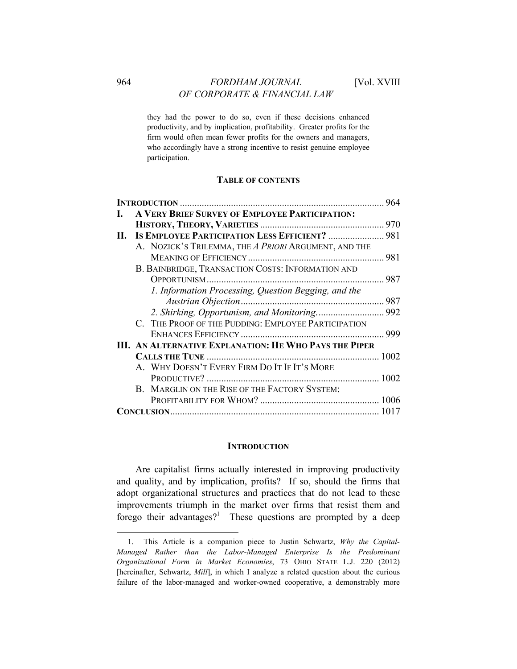# 964 *FORDHAM JOURNAL* [Vol. XVIII *OF CORPORATE & FINANCIAL LAW*

they had the power to do so, even if these decisions enhanced productivity, and by implication, profitability. Greater profits for the firm would often mean fewer profits for the owners and managers, who accordingly have a strong incentive to resist genuine employee participation.

### **TABLE OF CONTENTS**

|                                                               | 964 |
|---------------------------------------------------------------|-----|
| A VERY BRIEF SURVEY OF EMPLOYEE PARTICIPATION:                |     |
|                                                               |     |
| II. IS EMPLOYEE PARTICIPATION LESS EFFICIENT?  981            |     |
| A. NOZICK'S TRILEMMA, THE A PRIORI ARGUMENT, AND THE          |     |
|                                                               |     |
| B. BAINBRIDGE, TRANSACTION COSTS: INFORMATION AND             |     |
|                                                               |     |
| 1. Information Processing, Question Begging, and the          |     |
|                                                               |     |
|                                                               |     |
| C. THE PROOF OF THE PUDDING: EMPLOYEE PARTICIPATION           |     |
|                                                               | 999 |
| <b>III. AN ALTERNATIVE EXPLANATION: HE WHO PAYS THE PIPER</b> |     |
|                                                               |     |
| A. WHY DOESN'T EVERY FIRM DO IT IF IT'S MORE                  |     |
|                                                               |     |
| B. MARGLIN ON THE RISE OF THE FACTORY SYSTEM:                 |     |
|                                                               |     |
|                                                               |     |

#### **INTRODUCTION**

Are capitalist firms actually interested in improving productivity and quality, and by implication, profits? If so, should the firms that adopt organizational structures and practices that do not lead to these improvements triumph in the market over firms that resist them and forego their advantages?<sup>1</sup> These questions are prompted by a deep

<sup>1.</sup> This Article is a companion piece to Justin Schwartz, *Why the Capital-Managed Rather than the Labor-Managed Enterprise Is the Predominant Organizational Form in Market Economies*, 73 OHIO STATE L.J. 220 (2012) [hereinafter, Schwartz, *Mill*], in which I analyze a related question about the curious failure of the labor-managed and worker-owned cooperative, a demonstrably more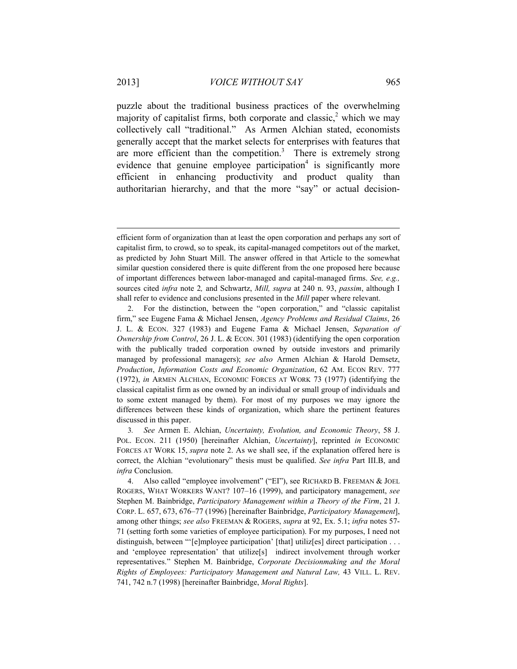puzzle about the traditional business practices of the overwhelming majority of capitalist firms, both corporate and classic,<sup>2</sup> which we may collectively call "traditional." As Armen Alchian stated, economists generally accept that the market selects for enterprises with features that are more efficient than the competition.<sup>3</sup> There is extremely strong evidence that genuine employee participation<sup>4</sup> is significantly more efficient in enhancing productivity and product quality than authoritarian hierarchy, and that the more "say" or actual decision-

efficient form of organization than at least the open corporation and perhaps any sort of capitalist firm, to crowd, so to speak, its capital-managed competitors out of the market, as predicted by John Stuart Mill. The answer offered in that Article to the somewhat similar question considered there is quite different from the one proposed here because of important differences between labor-managed and capital-managed firms. *See, e.g.,*  sources cited *infra* note 2*,* and Schwartz, *Mill, supra* at 240 n. 93, *passim*, although I shall refer to evidence and conclusions presented in the *Mill* paper where relevant.

<sup>2.</sup> For the distinction, between the "open corporation," and "classic capitalist firm," see Eugene Fama & Michael Jensen, *Agency Problems and Residual Claims*, 26 J. L. & ECON. 327 (1983) and Eugene Fama & Michael Jensen, *Separation of Ownership from Control*, 26 J. L. & ECON. 301 (1983) (identifying the open corporation with the publically traded corporation owned by outside investors and primarily managed by professional managers); *see also* Armen Alchian & Harold Demsetz, *Production*, *Information Costs and Economic Organization*, 62 AM. ECON REV. 777 (1972), *in* ARMEN ALCHIAN, ECONOMIC FORCES AT WORK 73 (1977) (identifying the classical capitalist firm as one owned by an individual or small group of individuals and to some extent managed by them). For most of my purposes we may ignore the differences between these kinds of organization, which share the pertinent features discussed in this paper.

<sup>3</sup>*. See* Armen E. Alchian, *Uncertainty, Evolution, and Economic Theory*, 58 J. POL. ECON. 211 (1950) [hereinafter Alchian, *Uncertainty*], reprinted *in* ECONOMIC FORCES AT WORK 15, *supra* note 2. As we shall see, if the explanation offered here is correct, the Alchian "evolutionary" thesis must be qualified. *See infra* Part III.B, and *infra* Conclusion.

<sup>4.</sup> Also called "employee involvement" ("EI"), see RICHARD B. FREEMAN & JOEL ROGERS, WHAT WORKERS WANT? 107–16 (1999), and participatory management, *see* Stephen M. Bainbridge, *Participatory Management within a Theory of the Firm*, 21 J. CORP. L. 657, 673, 676–77 (1996) [hereinafter Bainbridge, *Participatory Management*], among other things; *see also* FREEMAN & ROGERS, *supra* at 92, Ex. 5.1; *infra* notes 57- 71 (setting forth some varieties of employee participation). For my purposes, I need not distinguish, between "'[e]mployee participation' [that] utiliz[es] direct participation . . . and 'employee representation' that utilize[s] indirect involvement through worker representatives." Stephen M. Bainbridge, *Corporate Decisionmaking and the Moral Rights of Employees: Participatory Management and Natural Law,* 43 VILL. L. REV. 741, 742 n.7 (1998) [hereinafter Bainbridge, *Moral Rights*].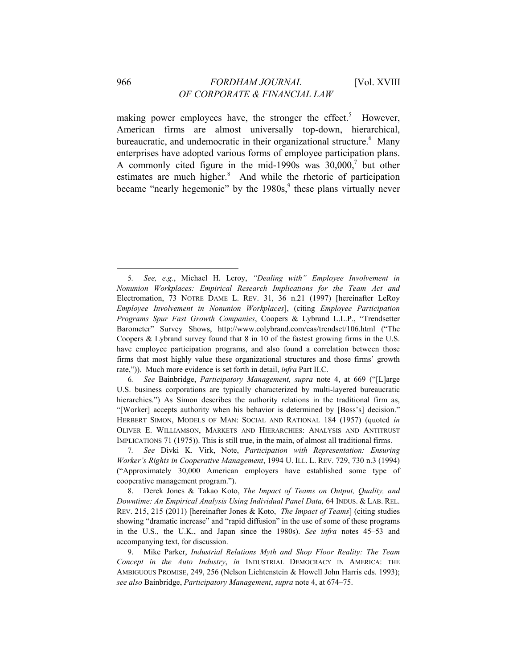making power employees have, the stronger the effect.<sup>5</sup> However, American firms are almost universally top-down, hierarchical, bureaucratic, and undemocratic in their organizational structure.<sup>6</sup> Many enterprises have adopted various forms of employee participation plans. A commonly cited figure in the mid-1990s was  $30,000$ ,<sup>7</sup> but other estimates are much higher.<sup>8</sup> And while the rhetoric of participation became "nearly hegemonic" by the 1980s,<sup>9</sup> these plans virtually never

<sup>5</sup>*. See, e.g.*, Michael H. Leroy, *"Dealing with" Employee Involvement in Nonunion Workplaces: Empirical Research Implications for the Team Act and*  Electromation, 73 NOTRE DAME L. REV. 31, 36 n.21 (1997) [hereinafter LeRoy *Employee Involvement in Nonunion Workplaces*], (citing *Employee Participation Programs Spur Fast Growth Companies*, Coopers & Lybrand L.L.P., "Trendsetter Barometer" Survey Shows, http://www.colybrand.com/eas/trendset/106.html ("The Coopers & Lybrand survey found that 8 in 10 of the fastest growing firms in the U.S. have employee participation programs, and also found a correlation between those firms that most highly value these organizational structures and those firms' growth rate,")). Much more evidence is set forth in detail, *infra* Part II.C.

<sup>6</sup>*. See* Bainbridge, *Participatory Management, supra* note 4, at 669 ("[L]arge U.S. business corporations are typically characterized by multi-layered bureaucratic hierarchies.") As Simon describes the authority relations in the traditional firm as, "[Worker] accepts authority when his behavior is determined by [Boss's] decision." HERBERT SIMON, MODELS OF MAN: SOCIAL AND RATIONAL 184 (1957) (quoted *in*  OLIVER E. WILLIAMSON, MARKETS AND HIERARCHIES: ANALYSIS AND ANTITRUST IMPLICATIONS 71 (1975)). This is still true, in the main, of almost all traditional firms.

<sup>7</sup>*. See* Divki K. Virk, Note, *Participation with Representation: Ensuring Worker's Rights in Cooperative Management*, 1994 U. ILL. L. REV. 729, 730 n.3 (1994) ("Approximately 30,000 American employers have established some type of cooperative management program.").

<sup>8.</sup> Derek Jones & Takao Koto, *The Impact of Teams on Output, Quality, and Downtime: An Empirical Analysis Using Individual Panel Data,* 64 INDUS. & LAB. REL. REV. 215, 215 (2011) [hereinafter Jones & Koto, *The Impact of Teams*] (citing studies showing "dramatic increase" and "rapid diffusion" in the use of some of these programs in the U.S., the U.K., and Japan since the 1980s). *See infra* notes 45–53 and accompanying text, for discussion.

<sup>9.</sup> Mike Parker, *Industrial Relations Myth and Shop Floor Reality: The Team Concept in the Auto Industry*, *in* INDUSTRIAL DEMOCRACY IN AMERICA: THE AMBIGUOUS PROMISE, 249, 256 (Nelson Lichtenstein & Howell John Harris eds. 1993); *see also* Bainbridge, *Participatory Management*, *supra* note 4, at 674–75.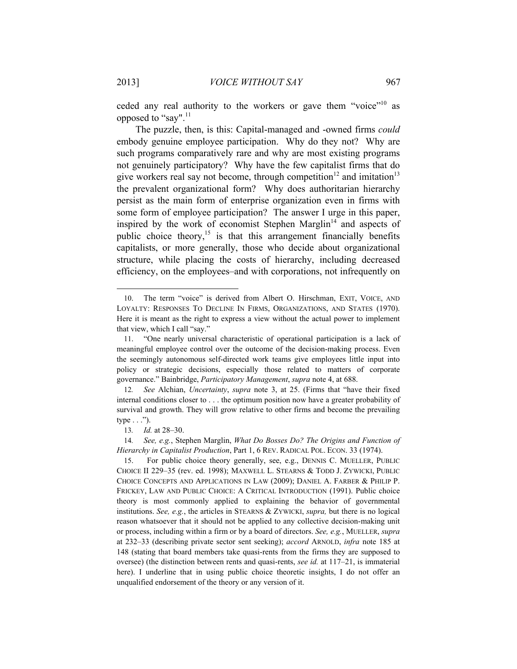ceded any real authority to the workers or gave them "voice"<sup>10</sup> as opposed to "say".<sup>11</sup>

The puzzle, then, is this: Capital-managed and -owned firms *could* embody genuine employee participation. Why do they not? Why are such programs comparatively rare and why are most existing programs not genuinely participatory? Why have the few capitalist firms that do give workers real say not become, through competition<sup>12</sup> and imitation<sup>13</sup> the prevalent organizational form? Why does authoritarian hierarchy persist as the main form of enterprise organization even in firms with some form of employee participation? The answer I urge in this paper, inspired by the work of economist Stephen Marglin<sup> $14$ </sup> and aspects of public choice theory,<sup>15</sup> is that this arrangement financially benefits capitalists, or more generally, those who decide about organizational structure, while placing the costs of hierarchy, including decreased efficiency, on the employees–and with corporations, not infrequently on

<sup>10.</sup> The term "voice" is derived from Albert O. Hirschman, EXIT, VOICE, AND LOYALTY: RESPONSES TO DECLINE IN FIRMS, ORGANIZATIONS, AND STATES (1970). Here it is meant as the right to express a view without the actual power to implement that view, which I call "say."

<sup>11. &</sup>quot;One nearly universal characteristic of operational participation is a lack of meaningful employee control over the outcome of the decision-making process. Even the seemingly autonomous self-directed work teams give employees little input into policy or strategic decisions, especially those related to matters of corporate governance." Bainbridge, *Participatory Management*, *supra* note 4, at 688.

<sup>12</sup>*. See* Alchian, *Uncertainty*, *supra* note 3, at 25. (Firms that "have their fixed internal conditions closer to . . . the optimum position now have a greater probability of survival and growth. They will grow relative to other firms and become the prevailing type  $\ldots$ ").

<sup>13</sup>*. Id.* at 28–30.

<sup>14</sup>*. See, e.g.*, Stephen Marglin, *What Do Bosses Do? The Origins and Function of Hierarchy in Capitalist Production*, Part 1, 6 REV. RADICAL POL. ECON. 33 (1974).

<sup>15.</sup> For public choice theory generally, see, e.g., DENNIS C. MUELLER, PUBLIC CHOICE II 229–35 (rev. ed. 1998); MAXWELL L. STEARNS & TODD J. ZYWICKI, PUBLIC CHOICE CONCEPTS AND APPLICATIONS IN LAW (2009); DANIEL A. FARBER & PHILIP P. FRICKEY, LAW AND PUBLIC CHOICE: A CRITICAL INTRODUCTION (1991). Public choice theory is most commonly applied to explaining the behavior of governmental institutions. *See, e.g.*, the articles in STEARNS & ZYWICKI, *supra,* but there is no logical reason whatsoever that it should not be applied to any collective decision-making unit or process, including within a firm or by a board of directors. *See, e.g.*, MUELLER, *supra* at 232–33 (describing private sector sent seeking); *accord* ARNOLD, *infra* note 185 at 148 (stating that board members take quasi-rents from the firms they are supposed to oversee) (the distinction between rents and quasi-rents, *see id.* at 117–21, is immaterial here). I underline that in using public choice theoretic insights, I do not offer an unqualified endorsement of the theory or any version of it.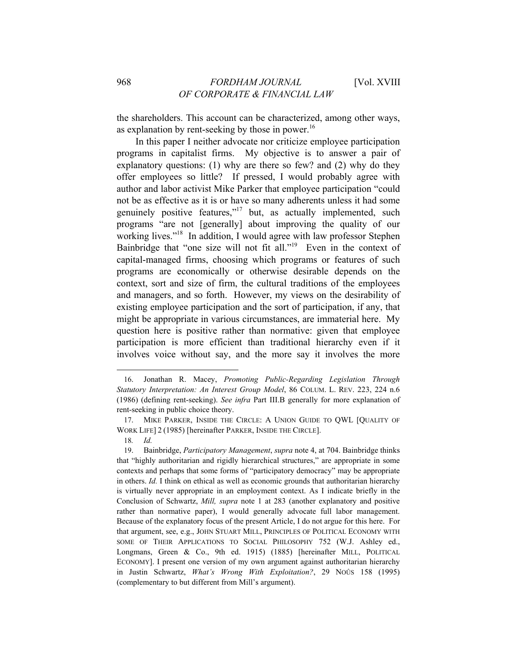the shareholders. This account can be characterized, among other ways, as explanation by rent-seeking by those in power.<sup>16</sup>

In this paper I neither advocate nor criticize employee participation programs in capitalist firms. My objective is to answer a pair of explanatory questions: (1) why are there so few? and (2) why do they offer employees so little? If pressed, I would probably agree with author and labor activist Mike Parker that employee participation "could not be as effective as it is or have so many adherents unless it had some genuinely positive features,"<sup>17</sup> but, as actually implemented, such programs "are not [generally] about improving the quality of our working lives."<sup>18</sup> In addition, I would agree with law professor Stephen Bainbridge that "one size will not fit all."<sup>19</sup> Even in the context of capital-managed firms, choosing which programs or features of such programs are economically or otherwise desirable depends on the context, sort and size of firm, the cultural traditions of the employees and managers, and so forth. However, my views on the desirability of existing employee participation and the sort of participation, if any, that might be appropriate in various circumstances, are immaterial here. My question here is positive rather than normative: given that employee participation is more efficient than traditional hierarchy even if it involves voice without say, and the more say it involves the more

<sup>16.</sup> Jonathan R. Macey, *Promoting Public-Regarding Legislation Through Statutory Interpretation: An Interest Group Model*, 86 COLUM. L. REV. 223, 224 n.6 (1986) (defining rent-seeking). *See infra* Part III.B generally for more explanation of rent-seeking in public choice theory.

<sup>17.</sup> MIKE PARKER, INSIDE THE CIRCLE: A UNION GUIDE TO QWL [QUALITY OF WORK LIFE] 2 (1985) [hereinafter PARKER, INSIDE THE CIRCLE].

<sup>18</sup>*. Id.* 

<sup>19.</sup> Bainbridge, *Participatory Management*, *supra* note 4, at 704. Bainbridge thinks that "highly authoritarian and rigidly hierarchical structures," are appropriate in some contexts and perhaps that some forms of "participatory democracy" may be appropriate in others. *Id.* I think on ethical as well as economic grounds that authoritarian hierarchy is virtually never appropriate in an employment context. As I indicate briefly in the Conclusion of Schwartz, *Mill, supra* note 1 at 283 (another explanatory and positive rather than normative paper), I would generally advocate full labor management. Because of the explanatory focus of the present Article, I do not argue for this here. For that argument, see, e.g., JOHN STUART MILL, PRINCIPLES OF POLITICAL ECONOMY WITH SOME OF THEIR APPLICATIONS TO SOCIAL PHILOSOPHY 752 (W.J. Ashley ed., Longmans, Green & Co., 9th ed. 1915) (1885) [hereinafter MILL, POLITICAL ECONOMY]. I present one version of my own argument against authoritarian hierarchy in Justin Schwartz, *What's Wrong With Exploitation?*, 29 NOÛS 158 (1995) (complementary to but different from Mill's argument).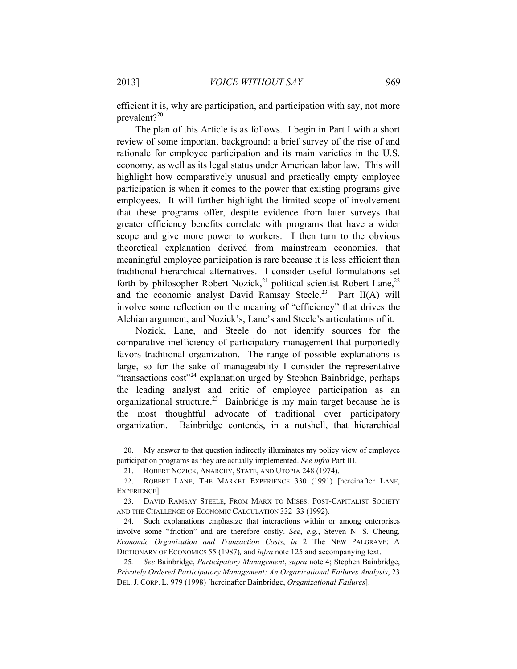efficient it is, why are participation, and participation with say, not more prevalent? $2^{20}$ 

The plan of this Article is as follows. I begin in Part I with a short review of some important background: a brief survey of the rise of and rationale for employee participation and its main varieties in the U.S. economy, as well as its legal status under American labor law. This will highlight how comparatively unusual and practically empty employee participation is when it comes to the power that existing programs give employees. It will further highlight the limited scope of involvement that these programs offer, despite evidence from later surveys that greater efficiency benefits correlate with programs that have a wider scope and give more power to workers. I then turn to the obvious theoretical explanation derived from mainstream economics, that meaningful employee participation is rare because it is less efficient than traditional hierarchical alternatives. I consider useful formulations set forth by philosopher Robert Nozick,<sup>21</sup> political scientist Robert Lane,<sup>22</sup> and the economic analyst David Ramsay Steele.<sup>23</sup> Part II(A) will involve some reflection on the meaning of "efficiency" that drives the Alchian argument, and Nozick's, Lane's and Steele's articulations of it.

Nozick, Lane, and Steele do not identify sources for the comparative inefficiency of participatory management that purportedly favors traditional organization. The range of possible explanations is large, so for the sake of manageability I consider the representative "transactions  $cost^{\prime\prime 24}$  explanation urged by Stephen Bainbridge, perhaps the leading analyst and critic of employee participation as an organizational structure.<sup>25</sup> Bainbridge is my main target because he is the most thoughtful advocate of traditional over participatory organization. Bainbridge contends, in a nutshell, that hierarchical

<sup>20.</sup> My answer to that question indirectly illuminates my policy view of employee participation programs as they are actually implemented. *See infra* Part III.

<sup>21.</sup> ROBERT NOZICK, ANARCHY, STATE, AND UTOPIA 248 (1974).

<sup>22.</sup> ROBERT LANE, THE MARKET EXPERIENCE 330 (1991) [hereinafter LANE, EXPERIENCE].

<sup>23.</sup> DAVID RAMSAY STEELE, FROM MARX TO MISES: POST-CAPITALIST SOCIETY AND THE CHALLENGE OF ECONOMIC CALCULATION 332–33 (1992).

<sup>24.</sup> Such explanations emphasize that interactions within or among enterprises involve some "friction" and are therefore costly. *See*, *e.g.*, Steven N. S. Cheung, *Economic Organization and Transaction Costs*, *in* 2 The NEW PALGRAVE: A DICTIONARY OF ECONOMICS 55 (1987)*,* and *infra* note 125 and accompanying text.

<sup>25</sup>*. See* Bainbridge, *Participatory Management*, *supra* note 4; Stephen Bainbridge, *Privately Ordered Participatory Management: An Organizational Failures Analysis*, 23 DEL. J. CORP. L. 979 (1998) [hereinafter Bainbridge, *Organizational Failures*].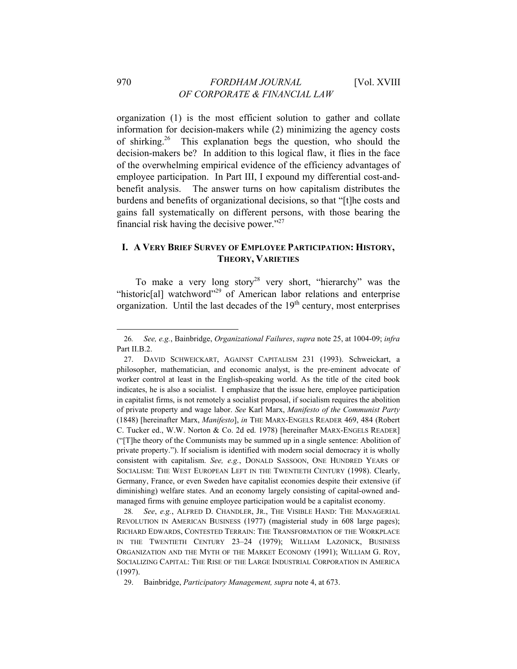organization (1) is the most efficient solution to gather and collate information for decision-makers while (2) minimizing the agency costs of shirking.<sup>26</sup> This explanation begs the question, who should the decision-makers be? In addition to this logical flaw, it flies in the face of the overwhelming empirical evidence of the efficiency advantages of employee participation. In Part III, I expound my differential cost-andbenefit analysis. The answer turns on how capitalism distributes the burdens and benefits of organizational decisions, so that "[t]he costs and gains fall systematically on different persons, with those bearing the financial risk having the decisive power."27

### **I. A VERY BRIEF SURVEY OF EMPLOYEE PARTICIPATION: HISTORY, THEORY, VARIETIES**

To make a very long story<sup>28</sup> very short, "hierarchy" was the "historic[al] watchword"<sup>29</sup> of American labor relations and enterprise organization. Until the last decades of the  $19<sup>th</sup>$  century, most enterprises

28*. See*, *e.g.*, ALFRED D. CHANDLER, JR., THE VISIBLE HAND: THE MANAGERIAL REVOLUTION IN AMERICAN BUSINESS (1977) (magisterial study in 608 large pages); RICHARD EDWARDS, CONTESTED TERRAIN: THE TRANSFORMATION OF THE WORKPLACE IN THE TWENTIETH CENTURY 23–24 (1979); WILLIAM LAZONICK, BUSINESS ORGANIZATION AND THE MYTH OF THE MARKET ECONOMY (1991); WILLIAM G. ROY, SOCIALIZING CAPITAL: THE RISE OF THE LARGE INDUSTRIAL CORPORATION IN AMERICA (1997).

29. Bainbridge, *Participatory Management, supra* note 4, at 673.

<sup>26</sup>*. See, e.g.*, Bainbridge, *Organizational Failures*, *supra* note 25, at 1004-09; *infra*  Part II.B.2.

<sup>27.</sup> DAVID SCHWEICKART, AGAINST CAPITALISM 231 (1993). Schweickart, a philosopher, mathematician, and economic analyst, is the pre-eminent advocate of worker control at least in the English-speaking world. As the title of the cited book indicates, he is also a socialist. I emphasize that the issue here, employee participation in capitalist firms, is not remotely a socialist proposal, if socialism requires the abolition of private property and wage labor. *See* Karl Marx, *Manifesto of the Communist Party* (1848) [hereinafter Marx, *Manifesto*], *in* THE MARX-ENGELS READER 469, 484 (Robert C. Tucker ed., W.W. Norton & Co. 2d ed. 1978) [hereinafter MARX-ENGELS READER] ("[T]he theory of the Communists may be summed up in a single sentence: Abolition of private property."). If socialism is identified with modern social democracy it is wholly consistent with capitalism. *See, e.g.*, DONALD SASSOON, ONE HUNDRED YEARS OF SOCIALISM: THE WEST EUROPEAN LEFT IN THE TWENTIETH CENTURY (1998). Clearly, Germany, France, or even Sweden have capitalist economies despite their extensive (if diminishing) welfare states. And an economy largely consisting of capital-owned andmanaged firms with genuine employee participation would be a capitalist economy.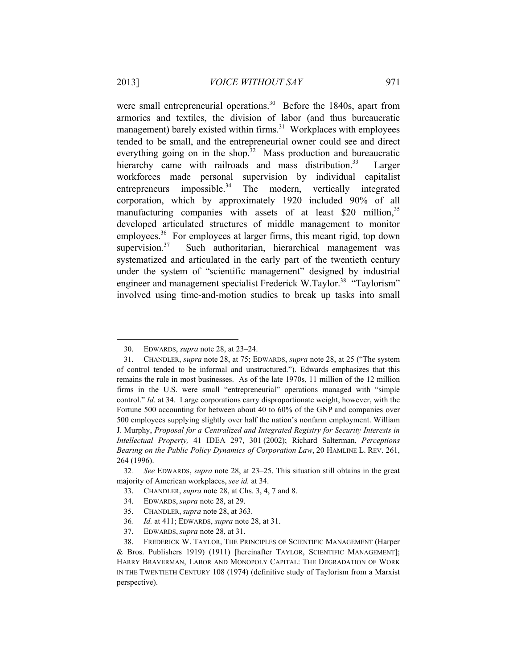were small entrepreneurial operations.<sup>30</sup> Before the 1840s, apart from armories and textiles, the division of labor (and thus bureaucratic management) barely existed within firms.<sup>31</sup> Workplaces with employees tended to be small, and the entrepreneurial owner could see and direct everything going on in the shop. $32$  Mass production and bureaucratic hierarchy came with railroads and mass distribution.<sup>33</sup> Larger workforces made personal supervision by individual capitalist entrepreneurs impossible.<sup>34</sup> The modern, vertically integrated corporation, which by approximately 1920 included 90% of all manufacturing companies with assets of at least \$20 million.<sup>35</sup> developed articulated structures of middle management to monitor employees.<sup>36</sup> For employees at larger firms, this meant rigid, top down supervision. $37$  Such authoritarian, hierarchical management was systematized and articulated in the early part of the twentieth century under the system of "scientific management" designed by industrial engineer and management specialist Frederick W.Taylor.<sup>38</sup> "Taylorism" involved using time-and-motion studies to break up tasks into small

<sup>30.</sup> EDWARDS, *supra* note 28, at 23–24.

<sup>31.</sup> CHANDLER, *supra* note 28, at 75; EDWARDS, *supra* note 28, at 25 ("The system of control tended to be informal and unstructured."). Edwards emphasizes that this remains the rule in most businesses. As of the late 1970s, 11 million of the 12 million firms in the U.S. were small "entrepreneurial" operations managed with "simple control." *Id.* at 34. Large corporations carry disproportionate weight, however, with the Fortune 500 accounting for between about 40 to 60% of the GNP and companies over 500 employees supplying slightly over half the nation's nonfarm employment. William J. Murphy, *Proposal for a Centralized and Integrated Registry for Security Interests in Intellectual Property,* 41 IDEA 297, 301 (2002); Richard Salterman, *Perceptions Bearing on the Public Policy Dynamics of Corporation Law*, 20 HAMLINE L. REV. 261, 264 (1996).

<sup>32</sup>*. See* EDWARDS, *supra* note 28, at 23–25. This situation still obtains in the great majority of American workplaces, *see id.* at 34.

<sup>33.</sup> CHANDLER, *supra* note 28, at Chs. 3, 4, 7 and 8.

<sup>34.</sup> EDWARDS, *supra* note 28, at 29.

<sup>35.</sup> CHANDLER, *supra* note 28, at 363.

<sup>36</sup>*. Id.* at 411; EDWARDS, *supra* note 28, at 31.

<sup>37.</sup> EDWARDS, *supra* note 28, at 31.

<sup>38.</sup> FREDERICK W. TAYLOR, THE PRINCIPLES OF SCIENTIFIC MANAGEMENT (Harper & Bros. Publishers 1919) (1911) [hereinafter TAYLOR, SCIENTIFIC MANAGEMENT]; HARRY BRAVERMAN, LABOR AND MONOPOLY CAPITAL: THE DEGRADATION OF WORK IN THE TWENTIETH CENTURY 108 (1974) (definitive study of Taylorism from a Marxist perspective).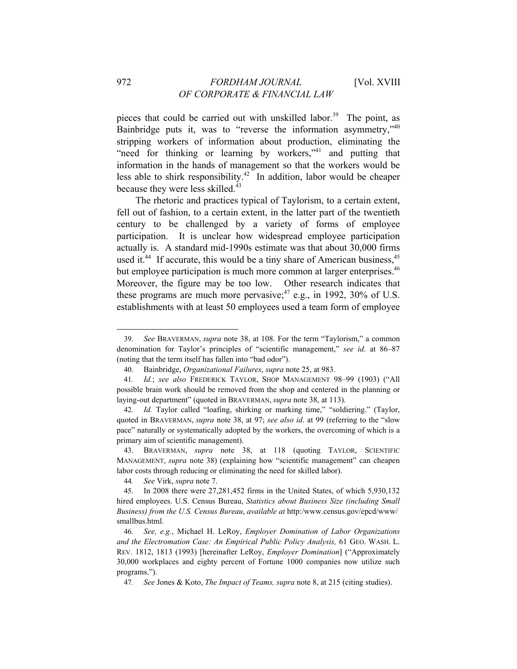pieces that could be carried out with unskilled labor.<sup>39</sup> The point, as Bainbridge puts it, was to "reverse the information asymmetry," $40$ stripping workers of information about production, eliminating the "need for thinking or learning by workers,"<sup>41</sup> and putting that information in the hands of management so that the workers would be less able to shirk responsibility.<sup>42</sup> In addition, labor would be cheaper because they were less skilled. $43$ 

The rhetoric and practices typical of Taylorism, to a certain extent, fell out of fashion, to a certain extent, in the latter part of the twentieth century to be challenged by a variety of forms of employee participation. It is unclear how widespread employee participation actually is. A standard mid-1990s estimate was that about 30,000 firms used it.<sup>44</sup> If accurate, this would be a tiny share of American business,  $45$ but employee participation is much more common at larger enterprises.<sup>46</sup> Moreover, the figure may be too low. Other research indicates that these programs are much more pervasive;<sup>47</sup> e.g., in 1992, 30% of U.S. establishments with at least 50 employees used a team form of employee

44*. See* Virk, *supra* note 7.

<sup>39</sup>*. See* BRAVERMAN, *supra* note 38, at 108. For the term "Taylorism," a common denomination for Taylor's principles of "scientific management," *see id*. at 86–87 (noting that the term itself has fallen into "bad odor").

<sup>40.</sup> Bainbridge, *Organizational Failures*, *supra* note 25, at 983.

<sup>41</sup>*. Id.*; *see also* FREDERICK TAYLOR, SHOP MANAGEMENT 98–99 (1903) ("All possible brain work should be removed from the shop and centered in the planning or laying-out department" (quoted in BRAVERMAN, *supra* note 38, at 113).

<sup>42</sup>*. Id.* Taylor called "loafing, shirking or marking time," "soldiering." (Taylor, quoted in BRAVERMAN, *supra* note 38, at 97; *see also id*. at 99 (referring to the "slow pace" naturally or systematically adopted by the workers, the overcoming of which is a primary aim of scientific management).

<sup>43.</sup> BRAVERMAN, *supra* note 38, at 118 (quoting TAYLOR, SCIENTIFIC MANAGEMENT, *supra* note 38) (explaining how "scientific management" can cheapen labor costs through reducing or eliminating the need for skilled labor).

<sup>45.</sup> In 2008 there were 27,281,452 firms in the United States, of which 5,930,132 hired employees. U.S. Census Bureau, *Statistics about Business Size (including Small Business) from the U.S. Census Bureau*, *available at* http:/www.census.gov/epcd/www/ smallbus.html.

<sup>46</sup>*. See, e.g.*, Michael H. LeRoy, *Employer Domination of Labor Organizations and the Electromation Case: An Empirical Public Policy Analysis,* 61 GEO. WASH. L. REV. 1812, 1813 (1993) [hereinafter LeRoy, *Employer Domination*] ("Approximately 30,000 workplaces and eighty percent of Fortune 1000 companies now utilize such programs.").

<sup>47</sup>*. See* Jones & Koto, *The Impact of Teams, supra* note 8, at 215 (citing studies).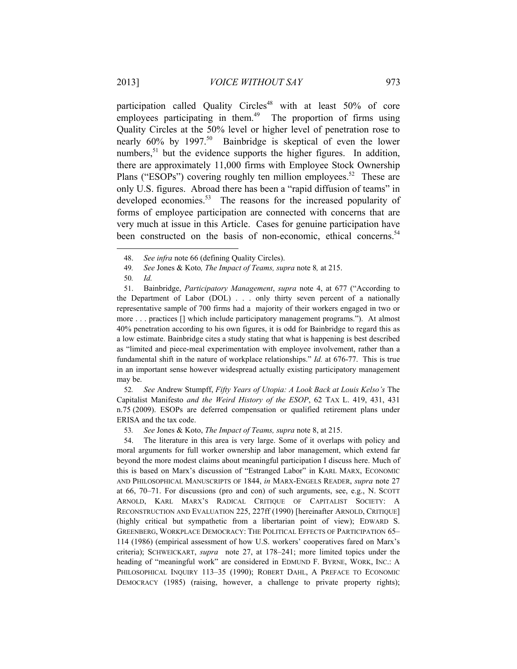participation called Quality Circles<sup>48</sup> with at least  $50\%$  of core employees participating in them.<sup>49</sup> The proportion of firms using Quality Circles at the 50% level or higher level of penetration rose to nearly  $60\%$  by  $1997$ <sup>50</sup> Bainbridge is skeptical of even the lower numbers,<sup>51</sup> but the evidence supports the higher figures. In addition, there are approximately 11,000 firms with Employee Stock Ownership Plans ("ESOPs") covering roughly ten million employees.<sup>52</sup> These are only U.S. figures. Abroad there has been a "rapid diffusion of teams" in developed economies.<sup>53</sup> The reasons for the increased popularity of forms of employee participation are connected with concerns that are very much at issue in this Article. Cases for genuine participation have been constructed on the basis of non-economic, ethical concerns.<sup>54</sup>

l

51. Bainbridge, *Participatory Management*, *supra* note 4, at 677 ("According to the Department of Labor (DOL) . . . only thirty seven percent of a nationally representative sample of 700 firms had a majority of their workers engaged in two or more . . . practices [] which include participatory management programs."). At almost 40% penetration according to his own figures, it is odd for Bainbridge to regard this as a low estimate. Bainbridge cites a study stating that what is happening is best described as "limited and piece-meal experimentation with employee involvement, rather than a fundamental shift in the nature of workplace relationships." *Id.* at 676-77. This is true in an important sense however widespread actually existing participatory management may be.

52*. See* Andrew Stumpff, *Fifty Years of Utopia: A Look Back at Louis Kelso's* The Capitalist Manifesto *and the Weird History of the ESOP*, 62 TAX L. 419, 431, 431 n.75 (2009). ESOPs are deferred compensation or qualified retirement plans under ERISA and the tax code.

53*. See* Jones & Koto, *The Impact of Teams, supra* note 8, at 215.

54. The literature in this area is very large. Some of it overlaps with policy and moral arguments for full worker ownership and labor management, which extend far beyond the more modest claims about meaningful participation I discuss here. Much of this is based on Marx's discussion of "Estranged Labor" in KARL MARX, ECONOMIC AND PHILOSOPHICAL MANUSCRIPTS OF 1844, *in* MARX-ENGELS READER, *supra* note 27 at 66, 70–71. For discussions (pro and con) of such arguments, see, e.g., N. SCOTT ARNOLD, KARL MARX'S RADICAL CRITIQUE OF CAPITALIST SOCIETY: A RECONSTRUCTION AND EVALUATION 225, 227ff (1990) [hereinafter ARNOLD, CRITIQUE] (highly critical but sympathetic from a libertarian point of view); EDWARD S. GREENBERG, WORKPLACE DEMOCRACY: THE POLITICAL EFFECTS OF PARTICIPATION 65– 114 (1986) (empirical assessment of how U.S. workers' cooperatives fared on Marx's criteria); SCHWEICKART, *supra* note 27, at 178–241; more limited topics under the heading of "meaningful work" are considered in EDMUND F. BYRNE, WORK, INC.: A PHILOSOPHICAL INQUIRY 113-35 (1990); ROBERT DAHL, A PREFACE TO ECONOMIC DEMOCRACY (1985) (raising, however, a challenge to private property rights);

<sup>48.</sup> *See infra* note 66 (defining Quality Circles).

<sup>49</sup>*. See* Jones & Koto*, The Impact of Teams, supra* note 8*,* at 215.

<sup>50</sup>*. Id.*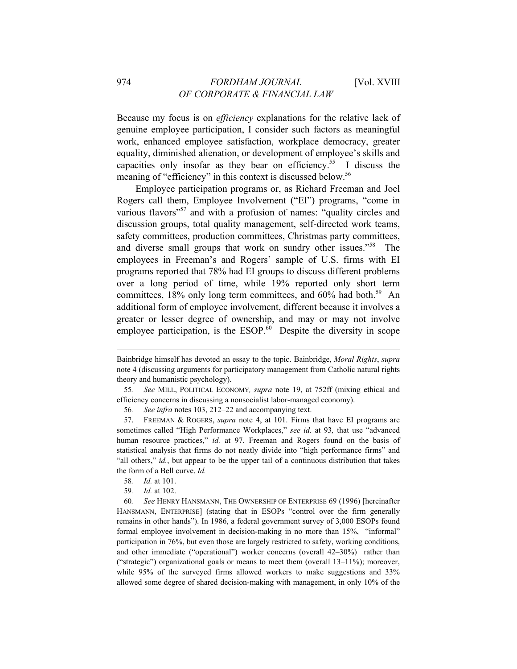Because my focus is on *efficiency* explanations for the relative lack of genuine employee participation, I consider such factors as meaningful work, enhanced employee satisfaction, workplace democracy, greater equality, diminished alienation, or development of employee's skills and capacities only insofar as they bear on efficiency.<sup>55</sup> I discuss the meaning of "efficiency" in this context is discussed below.<sup>56</sup>

Employee participation programs or, as Richard Freeman and Joel Rogers call them, Employee Involvement ("EI") programs, "come in various flavors<sup>"57</sup> and with a profusion of names: "quality circles and discussion groups, total quality management, self-directed work teams, safety committees, production committees, Christmas party committees, and diverse small groups that work on sundry other issues."<sup>58</sup> The employees in Freeman's and Rogers' sample of U.S. firms with EI programs reported that 78% had EI groups to discuss different problems over a long period of time, while 19% reported only short term committees,  $18\%$  only long term committees, and  $60\%$  had both.<sup>59</sup> An additional form of employee involvement, different because it involves a greater or lesser degree of ownership, and may or may not involve employee participation, is the  $ESOP<sup>60</sup>$  Despite the diversity in scope

l

59*. Id.* at 102.

60*. See* HENRY HANSMANN, THE OWNERSHIP OF ENTERPRISE 69 (1996) [hereinafter HANSMANN, ENTERPRISE] (stating that in ESOPs "control over the firm generally remains in other hands"). In 1986, a federal government survey of 3,000 ESOPs found formal employee involvement in decision-making in no more than 15%, "informal" participation in 76%, but even those are largely restricted to safety, working conditions, and other immediate ("operational") worker concerns (overall 42–30%) rather than ("strategic") organizational goals or means to meet them (overall 13–11%); moreover, while 95% of the surveyed firms allowed workers to make suggestions and 33% allowed some degree of shared decision-making with management, in only 10% of the

Bainbridge himself has devoted an essay to the topic. Bainbridge, *Moral Rights*, *supra* note 4 (discussing arguments for participatory management from Catholic natural rights theory and humanistic psychology).

<sup>55</sup>*. See* MILL, POLITICAL ECONOMY*, supra* note 19, at 752ff (mixing ethical and efficiency concerns in discussing a nonsocialist labor-managed economy).

<sup>56</sup>*. See infra* notes 103, 212–22 and accompanying text.

<sup>57.</sup> FREEMAN & ROGERS, *supra* note 4, at 101. Firms that have EI programs are sometimes called "High Performance Workplaces," *see id*. at 93*,* that use "advanced human resource practices," *id.* at 97. Freeman and Rogers found on the basis of statistical analysis that firms do not neatly divide into "high performance firms" and "all others," *id.*, but appear to be the upper tail of a continuous distribution that takes the form of a Bell curve. *Id.* 

<sup>58</sup>*. Id.* at 101.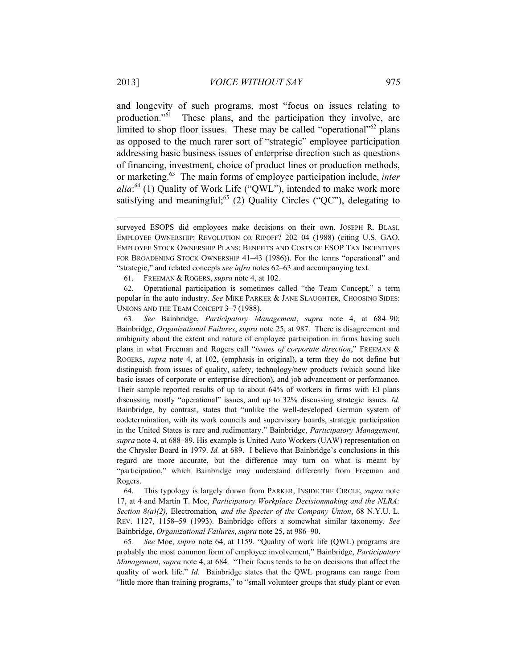and longevity of such programs, most "focus on issues relating to production."61 These plans, and the participation they involve, are limited to shop floor issues. These may be called "operational"<sup>62</sup> plans as opposed to the much rarer sort of "strategic" employee participation addressing basic business issues of enterprise direction such as questions of financing, investment, choice of product lines or production methods, or marketing.63 The main forms of employee participation include, *inter alia*: 64 (1) Quality of Work Life ("QWL"), intended to make work more satisfying and meaningful;<sup>65</sup> (2) Quality Circles ("QC"), delegating to

63*. See* Bainbridge, *Participatory Management*, *supra* note 4, at 684–90; Bainbridge, *Organizational Failures*, *supra* note 25, at 987. There is disagreement and ambiguity about the extent and nature of employee participation in firms having such plans in what Freeman and Rogers call "*issues of corporate direction*," FREEMAN & ROGERS, *supra* note 4, at 102, (emphasis in original), a term they do not define but distinguish from issues of quality, safety, technology/new products (which sound like basic issues of corporate or enterprise direction), and job advancement or performance*.* Their sample reported results of up to about 64% of workers in firms with EI plans discussing mostly "operational" issues, and up to 32% discussing strategic issues. *Id.* Bainbridge, by contrast, states that "unlike the well-developed German system of codetermination, with its work councils and supervisory boards, strategic participation in the United States is rare and rudimentary." Bainbridge, *Participatory Management*, *supra* note 4, at 688–89. His example is United Auto Workers (UAW) representation on the Chrysler Board in 1979. *Id.* at 689. I believe that Bainbridge's conclusions in this regard are more accurate, but the difference may turn on what is meant by "participation," which Bainbridge may understand differently from Freeman and Rogers.

64. This typology is largely drawn from PARKER, INSIDE THE CIRCLE, *supra* note 17, at 4 and Martin T. Moe, *Participatory Workplace Decisionmaking and the NLRA: Section 8(a)(2),* Electromation*, and the Specter of the Company Union*, 68 N.Y.U. L. REV. 1127, 1158–59 (1993). Bainbridge offers a somewhat similar taxonomy. *See*  Bainbridge, *Organizational Failures*, *supra* note 25, at 986–90.

65*. See* Moe, *supra* note 64, at 1159. "Quality of work life (QWL) programs are probably the most common form of employee involvement," Bainbridge, *Participatory Management*, *supra* note 4, at 684. "Their focus tends to be on decisions that affect the quality of work life." *Id.* Bainbridge states that the QWL programs can range from "little more than training programs," to "small volunteer groups that study plant or even

surveyed ESOPS did employees make decisions on their own. JOSEPH R. BLASI, EMPLOYEE OWNERSHIP: REVOLUTION OR RIPOFF? 202–04 (1988) (citing U.S. GAO, EMPLOYEE STOCK OWNERSHIP PLANS: BENEFITS AND COSTS OF ESOP TAX INCENTIVES FOR BROADENING STOCK OWNERSHIP 41–43 (1986)). For the terms "operational" and "strategic," and related concepts *see infra* notes 62–63 and accompanying text.

<sup>61.</sup> FREEMAN & ROGERS, *supra* note 4, at 102.

<sup>62.</sup> Operational participation is sometimes called "the Team Concept," a term popular in the auto industry. *See* MIKE PARKER & JANE SLAUGHTER, CHOOSING SIDES: UNIONS AND THE TEAM CONCEPT 3–7 (1988).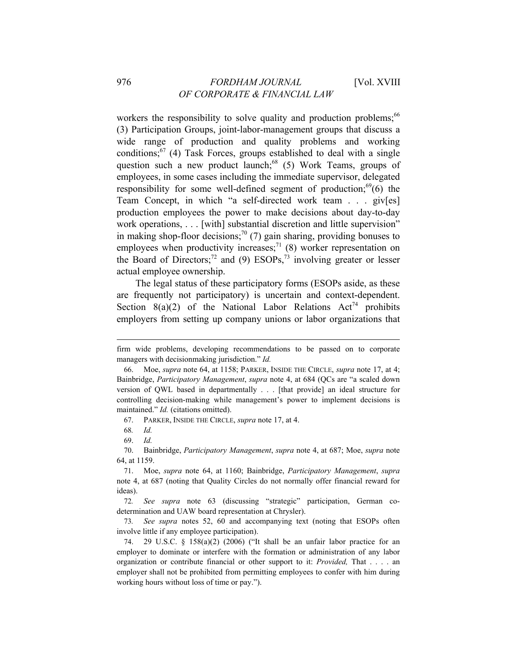workers the responsibility to solve quality and production problems:<sup>66</sup> (3) Participation Groups, joint-labor-management groups that discuss a wide range of production and quality problems and working conditions; $^{67}$  (4) Task Forces, groups established to deal with a single question such a new product launch;<sup>68</sup> (5) Work Teams, groups of employees, in some cases including the immediate supervisor, delegated responsibility for some well-defined segment of production;  $^{69}(6)$  the Team Concept, in which "a self-directed work team . . . giv[es] production employees the power to make decisions about day-to-day work operations, . . . [with] substantial discretion and little supervision" in making shop-floor decisions;<sup>70</sup> (7) gain sharing, providing bonuses to employees when productivity increases;<sup>71</sup> (8) worker representation on the Board of Directors;<sup>72</sup> and (9) ESOPs,<sup>73</sup> involving greater or lesser actual employee ownership.

The legal status of these participatory forms (ESOPs aside, as these are frequently not participatory) is uncertain and context-dependent. Section  $8(a)(2)$  of the National Labor Relations Act<sup>74</sup> prohibits employers from setting up company unions or labor organizations that

67. PARKER, INSIDE THE CIRCLE, *supra* note 17, at 4.

firm wide problems, developing recommendations to be passed on to corporate managers with decisionmaking jurisdiction." *Id.*

<sup>66.</sup> Moe, *supra* note 64, at 1158; PARKER, INSIDE THE CIRCLE, *supra* note 17, at 4; Bainbridge, *Participatory Management*, *supra* note 4, at 684 (QCs are "a scaled down version of QWL based in departmentally . . . [that provide] an ideal structure for controlling decision-making while management's power to implement decisions is maintained." *Id.* (citations omitted).

<sup>68</sup>*. Id.* 

<sup>69.</sup> *Id.* 

<sup>70.</sup> Bainbridge, *Participatory Management*, *supra* note 4, at 687; Moe, *supra* note 64, at 1159.

<sup>71.</sup> Moe, *supra* note 64, at 1160; Bainbridge, *Participatory Management*, *supra* note 4, at 687 (noting that Quality Circles do not normally offer financial reward for ideas).

<sup>72</sup>*. See supra* note 63 (discussing "strategic" participation, German codetermination and UAW board representation at Chrysler).

<sup>73</sup>*. See supra* notes 52, 60 and accompanying text (noting that ESOPs often involve little if any employee participation).

<sup>74. 29</sup> U.S.C. § 158(a)(2) (2006) ("It shall be an unfair labor practice for an employer to dominate or interfere with the formation or administration of any labor organization or contribute financial or other support to it: *Provided,* That . . . . an employer shall not be prohibited from permitting employees to confer with him during working hours without loss of time or pay.").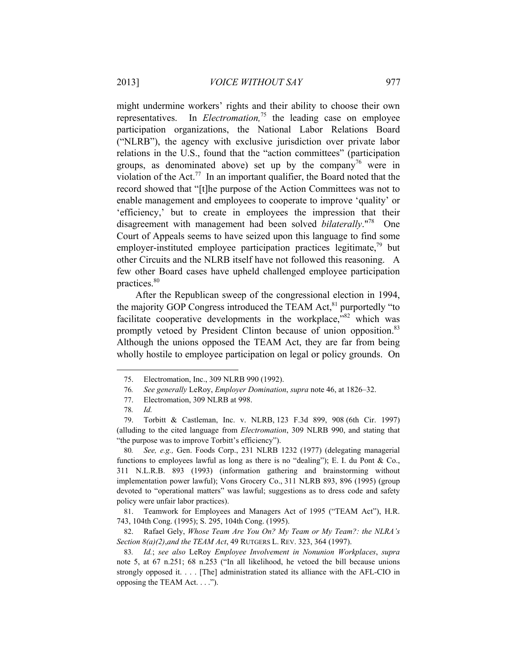might undermine workers' rights and their ability to choose their own representatives. In *Electromation,*<sup>75</sup> the leading case on employee participation organizations, the National Labor Relations Board ("NLRB"), the agency with exclusive jurisdiction over private labor relations in the U.S., found that the "action committees" (participation groups, as denominated above) set up by the company<sup>76</sup> were in violation of the Act.<sup>77</sup> In an important qualifier, the Board noted that the record showed that "[t]he purpose of the Action Committees was not to enable management and employees to cooperate to improve 'quality' or 'efficiency,' but to create in employees the impression that their disagreement with management had been solved *bilaterally*."78 One Court of Appeals seems to have seized upon this language to find some employer-instituted employee participation practices legitimate,  $^{79}$  but other Circuits and the NLRB itself have not followed this reasoning. A few other Board cases have upheld challenged employee participation practices.<sup>80</sup>

After the Republican sweep of the congressional election in 1994, the majority GOP Congress introduced the TEAM Act,<sup>81</sup> purportedly "to facilitate cooperative developments in the workplace, $182$  which was promptly vetoed by President Clinton because of union opposition.<sup>83</sup> Although the unions opposed the TEAM Act, they are far from being wholly hostile to employee participation on legal or policy grounds. On

<sup>75.</sup> Electromation, Inc., 309 NLRB 990 (1992).

<sup>76</sup>*. See generally* LeRoy, *Employer Domination*, *supra* note 46, at 1826–32.

<sup>77.</sup> Electromation, 309 NLRB at 998.

<sup>78</sup>*. Id.*

<sup>79.</sup> Torbitt & Castleman, Inc. v. NLRB, 123 F.3d 899, 908 (6th Cir. 1997) (alluding to the cited language from *Electromation*, 309 NLRB 990, and stating that "the purpose was to improve Torbitt's efficiency").

<sup>80</sup>*. See, e.g.,* Gen. Foods Corp., 231 NLRB 1232 (1977) (delegating managerial functions to employees lawful as long as there is no "dealing"); E. I. du Pont & Co., 311 N.L.R.B. 893 (1993) (information gathering and brainstorming without implementation power lawful); Vons Grocery Co., 311 NLRB 893, 896 (1995) (group devoted to "operational matters" was lawful; suggestions as to dress code and safety policy were unfair labor practices).

<sup>81.</sup> Teamwork for Employees and Managers Act of 1995 ("TEAM Act"), H.R. 743, 104th Cong. (1995); S. 295, 104th Cong. (1995).

<sup>82.</sup> Rafael Gely, *Whose Team Are You On? My Team or My Team?: the NLRA's Section 8(a)(2)*,*and the TEAM Act*, 49 RUTGERS L. REV. 323, 364 (1997).

<sup>83</sup>*. Id.*; *see also* LeRoy *Employee Involvement in Nonunion Workplaces*, *supra* note 5, at 67 n.251; 68 n.253 ("In all likelihood, he vetoed the bill because unions strongly opposed it. . . . [The] administration stated its alliance with the AFL-CIO in opposing the TEAM Act. . . .").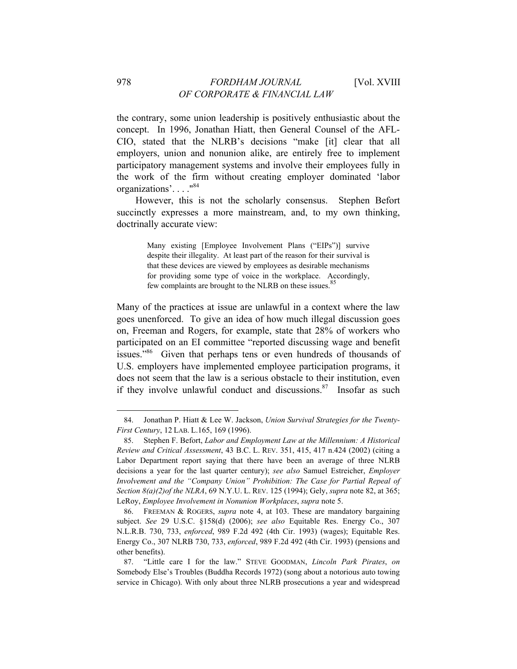the contrary, some union leadership is positively enthusiastic about the concept. In 1996, Jonathan Hiatt, then General Counsel of the AFL-CIO, stated that the NLRB's decisions "make [it] clear that all employers, union and nonunion alike, are entirely free to implement participatory management systems and involve their employees fully in the work of the firm without creating employer dominated 'labor organizations'. . . ."84

However, this is not the scholarly consensus. Stephen Befort succinctly expresses a more mainstream, and, to my own thinking, doctrinally accurate view:

> Many existing [Employee Involvement Plans ("EIPs")] survive despite their illegality. At least part of the reason for their survival is that these devices are viewed by employees as desirable mechanisms for providing some type of voice in the workplace. Accordingly, few complaints are brought to the NLRB on these issues.<sup>85</sup>

Many of the practices at issue are unlawful in a context where the law goes unenforced. To give an idea of how much illegal discussion goes on, Freeman and Rogers, for example, state that 28% of workers who participated on an EI committee "reported discussing wage and benefit issues."<sup>86</sup> Given that perhaps tens or even hundreds of thousands of U.S. employers have implemented employee participation programs, it does not seem that the law is a serious obstacle to their institution, even if they involve unlawful conduct and discussions. $87$  Insofar as such

<sup>84.</sup> Jonathan P. Hiatt & Lee W. Jackson, *Union Survival Strategies for the Twenty-First Century*, 12 LAB. L.165, 169 (1996).

<sup>85.</sup> Stephen F. Befort, *Labor and Employment Law at the Millennium: A Historical Review and Critical Assessment*, 43 B.C. L. REV. 351, 415, 417 n.424 (2002) (citing a Labor Department report saying that there have been an average of three NLRB decisions a year for the last quarter century); *see also* Samuel Estreicher, *Employer Involvement and the "Company Union" Prohibition: The Case for Partial Repeal of Section 8(a)(2)of the NLRA*, 69 N.Y.U. L. REV. 125 (1994); Gely, *supra* note 82, at 365; LeRoy, *Employee Involvement in Nonunion Workplaces*, *supra* note 5.

<sup>86.</sup> FREEMAN & ROGERS, *supra* note 4, at 103. These are mandatory bargaining subject. *See* 29 U.S.C. §158(d) (2006); *see also* Equitable Res. Energy Co., 307 N.L.R.B. 730, 733, *enforced*, 989 F.2d 492 (4th Cir. 1993) (wages); Equitable Res. Energy Co., 307 NLRB 730, 733, *enforced*, 989 F.2d 492 (4th Cir. 1993) (pensions and other benefits).

<sup>87. &</sup>quot;Little care I for the law." STEVE GOODMAN, *Lincoln Park Pirates*, *on* Somebody Else's Troubles (Buddha Records 1972) (song about a notorious auto towing service in Chicago). With only about three NLRB prosecutions a year and widespread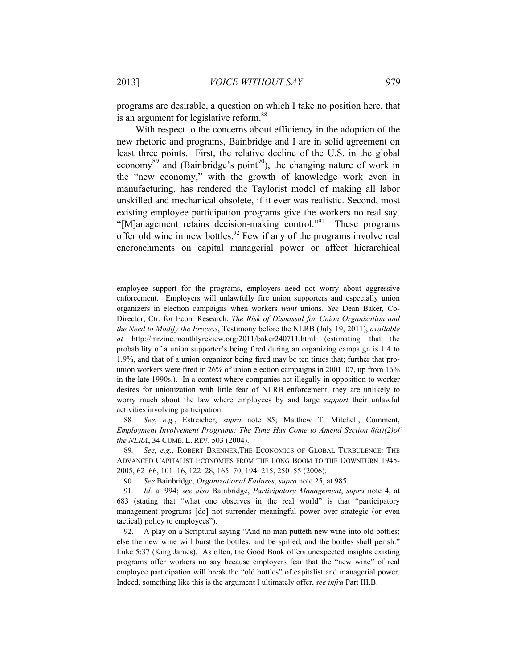programs are desirable, a question on which I take no position here, that is an argument for legislative reform.<sup>88</sup>

With respect to the concerns about efficiency in the adoption of the new rhetoric and programs, Bainbridge and I are in solid agreement on least three points. First, the relative decline of the U.S. in the global economy<sup>89</sup> and (Bainbridge's point<sup>90</sup>), the changing nature of work in the "new economy," with the growth of knowledge work even in manufacturing, has rendered the Taylorist model of making all labor unskilled and mechanical obsolete, if it ever was realistic. Second, most existing employee participation programs give the workers no real say. "[M]anagement retains decision-making control."91 These programs offer old wine in new bottles.<sup>92</sup> Few if any of the programs involve real encroachments on capital managerial power or affect hierarchical

88*. See*, *e.g.*, Estreicher, *supra* note 85; Matthew T. Mitchell, Comment, *Employment Involvement Programs: The Time Has Come to Amend Section 8(a)(2)of the NLRA*, 34 CUMB. L. REV. 503 (2004).

89*. See, e.g.*, ROBERT BRENNER,THE ECONOMICS OF GLOBAL TURBULENCE: THE ADVANCED CAPITALIST ECONOMIES FROM THE LONG BOOM TO THE DOWNTURN 1945- 2005, 62–66, 101–16, 122–28, 165–70, 194–215, 250–55 (2006).

90*. See* Bainbridge, *Organizational Failures*, *supra* note 25, at 985.

91*. Id.* at 994; *see also* Bainbridge, *Participatory Management*, *supra* note 4, at 683 (stating that "what one observes in the real world" is that "participatory management programs [do] not surrender meaningful power over strategic (or even tactical) policy to employees").

92. A play on a Scriptural saying "And no man putteth new wine into old bottles; else the new wine will burst the bottles, and be spilled, and the bottles shall perish." Luke 5:37 (King James). As often, the Good Book offers unexpected insights existing programs offer workers no say because employers fear that the "new wine" of real employee participation will break the "old bottles" of capitalist and managerial power. Indeed, something like this is the argument I ultimately offer, *see infra* Part III.B.

employee support for the programs, employers need not worry about aggressive enforcement. Employers will unlawfully fire union supporters and especially union organizers in election campaigns when workers *want* unions. *See* Dean Baker*,* Co-Director, Ctr. for Econ. Research, *The Risk of Dismissal for Union Organization and the Need to Modify the Process*, Testimony before the NLRB (July 19, 2011), *available at* http://mrzine.monthlyreview.org/2011/baker240711.html (estimating that the probability of a union supporter's being fired during an organizing campaign is 1.4 to 1.9%, and that of a union organizer being fired may be ten times that; further that prounion workers were fired in 26% of union election campaigns in 2001–07, up from 16% in the late 1990s.). In a context where companies act illegally in opposition to worker desires for unionization with little fear of NLRB enforcement, they are unlikely to worry much about the law where employees by and large *support* their unlawful activities involving participation.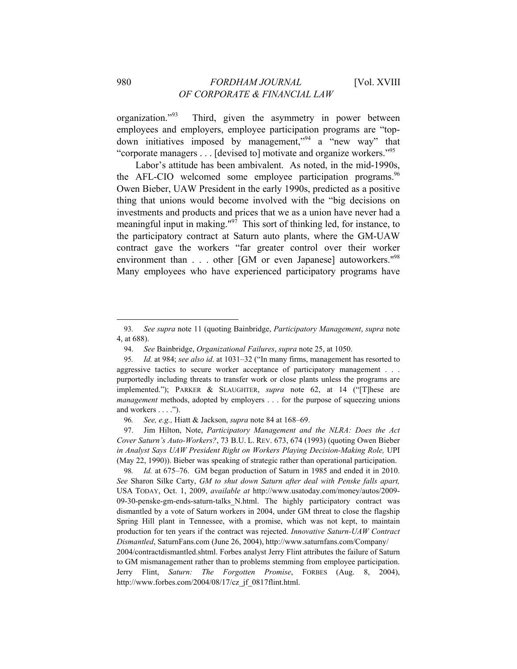organization."93 Third, given the asymmetry in power between employees and employers, employee participation programs are "topdown initiatives imposed by management,"94 a "new way" that "corporate managers . . . [devised to] motivate and organize workers."95

Labor's attitude has been ambivalent. As noted, in the mid-1990s, the AFL-CIO welcomed some employee participation programs.  $96$ Owen Bieber, UAW President in the early 1990s, predicted as a positive thing that unions would become involved with the "big decisions on investments and products and prices that we as a union have never had a meaningful input in making."<sup>97</sup> This sort of thinking led, for instance, to the participatory contract at Saturn auto plants, where the GM-UAW contract gave the workers "far greater control over their worker environment than . . . other [GM or even Japanese] autoworkers."<sup>98</sup> Many employees who have experienced participatory programs have

98*. Id.* at 675–76. GM began production of Saturn in 1985 and ended it in 2010. *See* Sharon Silke Carty, *GM to shut down Saturn after deal with Penske falls apart,*  USA TODAY, Oct. 1, 2009, *available at* http://www.usatoday.com/money/autos/2009- 09-30-penske-gm-ends-saturn-talks\_N.html. The highly participatory contract was dismantled by a vote of Saturn workers in 2004, under GM threat to close the flagship Spring Hill plant in Tennessee, with a promise, which was not kept, to maintain production for ten years if the contract was rejected. *Innovative Saturn-UAW Contract Dismantled*, SaturnFans.com (June 26, 2004), http://www.saturnfans.com/Company/

2004/contractdismantled.shtml. Forbes analyst Jerry Flint attributes the failure of Saturn to GM mismanagement rather than to problems stemming from employee participation. Jerry Flint, *Saturn: The Forgotten Promise*, FORBES (Aug. 8, 2004), http://www.forbes.com/2004/08/17/cz\_jf\_0817flint.html.

<sup>93</sup>*. See supra* note 11 (quoting Bainbridge, *Participatory Management*, *supra* note 4, at 688).

<sup>94.</sup> *See* Bainbridge, *Organizational Failures*, *supra* note 25, at 1050.

<sup>95</sup>*. Id.* at 984; *see also id*. at 1031–32 ("In many firms, management has resorted to aggressive tactics to secure worker acceptance of participatory management . . . purportedly including threats to transfer work or close plants unless the programs are implemented."); PARKER & SLAUGHTER, *supra* note 62, at 14 ("[T]hese are *management* methods, adopted by employers . . . for the purpose of squeezing unions and workers . . . .").

<sup>96</sup>*. See, e.g.,* Hiatt & Jackson, *supra* note 84 at 168–69.

<sup>97.</sup> Jim Hilton, Note, *Participatory Management and the NLRA: Does the Act Cover Saturn's Auto-Workers?*, 73 B.U. L. REV. 673, 674 (1993) (quoting Owen Bieber *in Analyst Says UAW President Right on Workers Playing Decision-Making Role,* UPI (May 22, 1990)). Bieber was speaking of strategic rather than operational participation.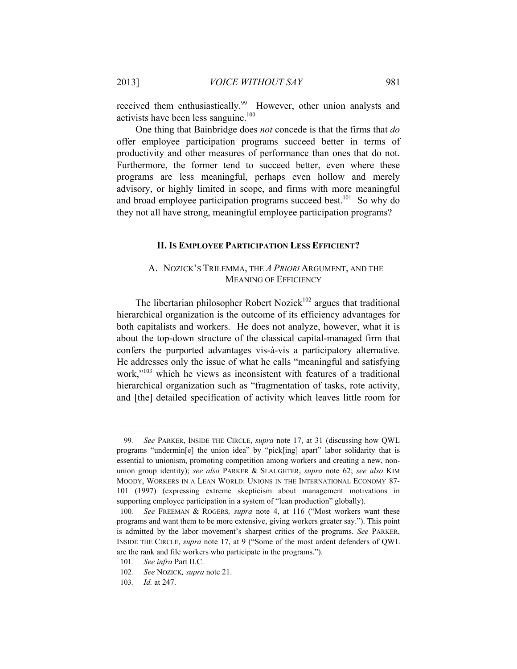received them enthusiastically.<sup>99</sup> However, other union analysts and activists have been less sanguine. $100$ 

One thing that Bainbridge does *not* concede is that the firms that *do* offer employee participation programs succeed better in terms of productivity and other measures of performance than ones that do not. Furthermore, the former tend to succeed better, even where these programs are less meaningful, perhaps even hollow and merely advisory, or highly limited in scope, and firms with more meaningful and broad employee participation programs succeed best.<sup>101</sup> So why do they not all have strong, meaningful employee participation programs?

#### **II.IS EMPLOYEE PARTICIPATION LESS EFFICIENT?**

### A. NOZICK'S TRILEMMA, THE *A PRIORI* ARGUMENT, AND THE MEANING OF EFFICIENCY

The libertarian philosopher Robert Nozick<sup>102</sup> argues that traditional hierarchical organization is the outcome of its efficiency advantages for both capitalists and workers. He does not analyze, however, what it is about the top-down structure of the classical capital-managed firm that confers the purported advantages vis-à-vis a participatory alternative. He addresses only the issue of what he calls "meaningful and satisfying work,"<sup>103</sup> which he views as inconsistent with features of a traditional hierarchical organization such as "fragmentation of tasks, rote activity, and [the] detailed specification of activity which leaves little room for

<sup>99</sup>*. See* PARKER, INSIDE THE CIRCLE, *supra* note 17, at 31 (discussing how QWL programs "undermin[e] the union idea" by "pick[ing] apart" labor solidarity that is essential to unionism, promoting competition among workers and creating a new, nonunion group identity); *see also* PARKER & SLAUGHTER, *supra* note 62; *see also* KIM MOODY, WORKERS IN A LEAN WORLD: UNIONS IN THE INTERNATIONAL ECONOMY 87- 101 (1997) (expressing extreme skepticism about management motivations in supporting employee participation in a system of "lean production" globally).

<sup>100</sup>*. See* FREEMAN & ROGERS*, supra* note 4, at 116 ("Most workers want these programs and want them to be more extensive, giving workers greater say."). This point is admitted by the labor movement's sharpest critics of the programs. *See* PARKER, INSIDE THE CIRCLE, *supra* note 17, at 9 ("Some of the most ardent defenders of QWL are the rank and file workers who participate in the programs.").

<sup>101</sup>*. See infra* Part II.C.

<sup>102</sup>*. See* NOZICK*, supra* note 21.

<sup>103</sup>*. Id.* at 247.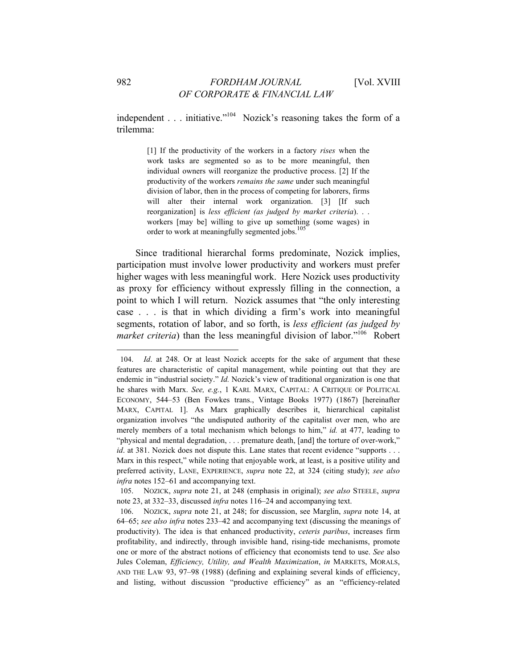independent . . . initiative."<sup>104</sup> Nozick's reasoning takes the form of a trilemma:

> [1] If the productivity of the workers in a factory *rises* when the work tasks are segmented so as to be more meaningful, then individual owners will reorganize the productive process. [2] If the productivity of the workers *remains the same* under such meaningful division of labor, then in the process of competing for laborers, firms will alter their internal work organization. [3] [If such reorganization] is *less efficient (as judged by market criteria*). . . workers [may be] willing to give up something (some wages) in order to work at meaningfully segmented jobs.<sup>105</sup>

Since traditional hierarchal forms predominate, Nozick implies, participation must involve lower productivity and workers must prefer higher wages with less meaningful work. Here Nozick uses productivity as proxy for efficiency without expressly filling in the connection, a point to which I will return. Nozick assumes that "the only interesting case . . . is that in which dividing a firm's work into meaningful segments, rotation of labor, and so forth, is *less efficient (as judged by market criteria*) than the less meaningful division of labor."<sup>106</sup> Robert

<sup>104.</sup> *Id*. at 248. Or at least Nozick accepts for the sake of argument that these features are characteristic of capital management, while pointing out that they are endemic in "industrial society." *Id.* Nozick's view of traditional organization is one that he shares with Marx. *See, e.g.*, 1 KARL MARX, CAPITAL: A CRITIQUE OF POLITICAL ECONOMY, 544–53 (Ben Fowkes trans., Vintage Books 1977) (1867) [hereinafter MARX, CAPITAL 1]. As Marx graphically describes it, hierarchical capitalist organization involves "the undisputed authority of the capitalist over men, who are merely members of a total mechanism which belongs to him," *id.* at 477, leading to "physical and mental degradation, . . . premature death, [and] the torture of over-work," *id*. at 381. Nozick does not dispute this. Lane states that recent evidence "supports . . . Marx in this respect," while noting that enjoyable work, at least, is a positive utility and preferred activity, LANE, EXPERIENCE, *supra* note 22, at 324 (citing study); *see also infra* notes 152–61 and accompanying text.

<sup>105.</sup> NOZICK, *supra* note 21, at 248 (emphasis in original); *see also* STEELE, *supra* note 23, at 332–33, discussed *infra* notes 116–24 and accompanying text.

<sup>106.</sup> NOZICK, *supra* note 21, at 248; for discussion, see Marglin, *supra* note 14, at 64–65; *see also infra* notes 233–42 and accompanying text (discussing the meanings of productivity). The idea is that enhanced productivity, *ceteris paribus*, increases firm profitability, and indirectly, through invisible hand, rising-tide mechanisms, promote one or more of the abstract notions of efficiency that economists tend to use. *See* also Jules Coleman, *Efficiency, Utility, and Wealth Maximization*, *in* MARKETS, MORALS, AND THE LAW 93, 97–98 (1988) (defining and explaining several kinds of efficiency, and listing, without discussion "productive efficiency" as an "efficiency-related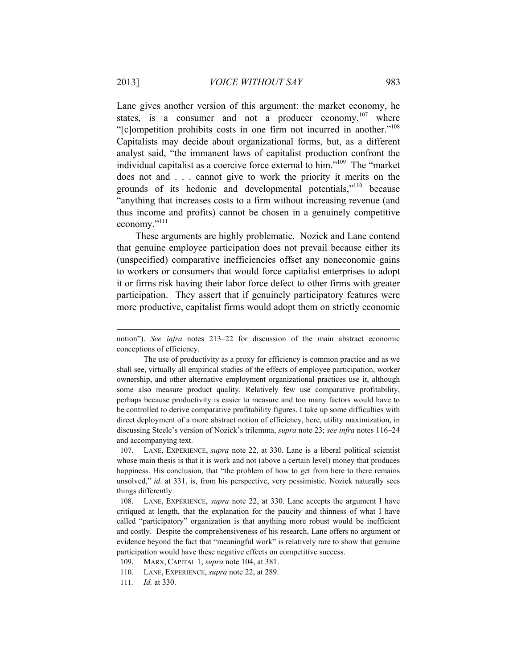Lane gives another version of this argument: the market economy, he states, is a consumer and not a producer economy.<sup>107</sup> where "[c]ompetition prohibits costs in one firm not incurred in another."108 Capitalists may decide about organizational forms, but, as a different analyst said, "the immanent laws of capitalist production confront the individual capitalist as a coercive force external to him."109 The "market does not and . . . cannot give to work the priority it merits on the grounds of its hedonic and developmental potentials,"110 because "anything that increases costs to a firm without increasing revenue (and thus income and profits) cannot be chosen in a genuinely competitive economy."111

These arguments are highly problematic. Nozick and Lane contend that genuine employee participation does not prevail because either its (unspecified) comparative inefficiencies offset any noneconomic gains to workers or consumers that would force capitalist enterprises to adopt it or firms risk having their labor force defect to other firms with greater participation. They assert that if genuinely participatory features were more productive, capitalist firms would adopt them on strictly economic

notion"). *See infra* notes 213–22 for discussion of the main abstract economic conceptions of efficiency.

The use of productivity as a proxy for efficiency is common practice and as we shall see, virtually all empirical studies of the effects of employee participation, worker ownership, and other alternative employment organizational practices use it, although some also measure product quality. Relatively few use comparative profitability, perhaps because productivity is easier to measure and too many factors would have to be controlled to derive comparative profitability figures. I take up some difficulties with direct deployment of a more abstract notion of efficiency, here, utility maximization, in discussing Steele's version of Nozick's trilemma, *supra* note 23; *see infra* notes 116–24 and accompanying text.

<sup>107.</sup> LANE, EXPERIENCE, *supra* note 22, at 330. Lane is a liberal political scientist whose main thesis is that it is work and not (above a certain level) money that produces happiness. His conclusion, that "the problem of how to get from here to there remains unsolved," *id*. at 331, is, from his perspective, very pessimistic. Nozick naturally sees things differently.

<sup>108.</sup> LANE, EXPERIENCE, *supra* note 22, at 330. Lane accepts the argument I have critiqued at length, that the explanation for the paucity and thinness of what I have called "participatory" organization is that anything more robust would be inefficient and costly. Despite the comprehensiveness of his research, Lane offers no argument or evidence beyond the fact that "meaningful work" is relatively rare to show that genuine participation would have these negative effects on competitive success.

<sup>109.</sup> MARX, CAPITAL 1, *supra* note 104, at 381.

<sup>110.</sup> LANE, EXPERIENCE, *supra* note 22, at 289.

<sup>111</sup>*. Id.* at 330.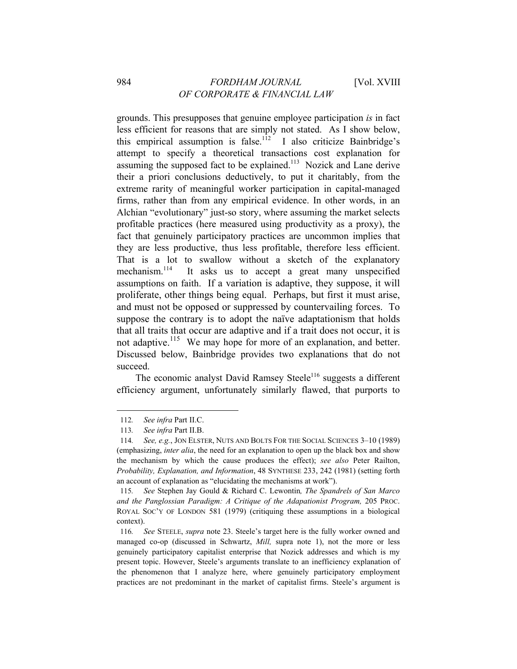grounds. This presupposes that genuine employee participation *is* in fact less efficient for reasons that are simply not stated. As I show below, this empirical assumption is false.<sup>112</sup> I also criticize Bainbridge's attempt to specify a theoretical transactions cost explanation for assuming the supposed fact to be explained.<sup>113</sup> Nozick and Lane derive their a priori conclusions deductively, to put it charitably, from the extreme rarity of meaningful worker participation in capital-managed firms, rather than from any empirical evidence. In other words, in an Alchian "evolutionary" just-so story, where assuming the market selects profitable practices (here measured using productivity as a proxy), the fact that genuinely participatory practices are uncommon implies that they are less productive, thus less profitable, therefore less efficient. That is a lot to swallow without a sketch of the explanatory mechanism.<sup>114</sup> It asks us to accept a great many unspecified assumptions on faith. If a variation is adaptive, they suppose, it will proliferate, other things being equal. Perhaps, but first it must arise, and must not be opposed or suppressed by countervailing forces. To suppose the contrary is to adopt the naïve adaptationism that holds that all traits that occur are adaptive and if a trait does not occur, it is not adaptive.<sup>115</sup> We may hope for more of an explanation, and better. Discussed below, Bainbridge provides two explanations that do not succeed.

The economic analyst David Ramsey Steele<sup>116</sup> suggests a different efficiency argument, unfortunately similarly flawed, that purports to

<sup>112</sup>*. See infra* Part II.C.

<sup>113</sup>*. See infra* Part II.B.

<sup>114</sup>*. See, e.g.*, JON ELSTER, NUTS AND BOLTS FOR THE SOCIAL SCIENCES 3–10 (1989) (emphasizing, *inter alia*, the need for an explanation to open up the black box and show the mechanism by which the cause produces the effect); *see also* Peter Railton, *Probability, Explanation, and Information*, 48 SYNTHESE 233, 242 (1981) (setting forth an account of explanation as "elucidating the mechanisms at work").

<sup>115</sup>*. See* Stephen Jay Gould & Richard C. Lewontin*, The Spandrels of San Marco and the Panglossian Paradigm: A Critique of the Adapationist Program,* 205 PROC. ROYAL SOC'Y OF LONDON 581 (1979) (critiquing these assumptions in a biological context).

<sup>116</sup>*. See* STEELE, *supra* note 23. Steele's target here is the fully worker owned and managed co-op (discussed in Schwartz, *Mill,* supra note 1), not the more or less genuinely participatory capitalist enterprise that Nozick addresses and which is my present topic. However, Steele's arguments translate to an inefficiency explanation of the phenomenon that I analyze here, where genuinely participatory employment practices are not predominant in the market of capitalist firms. Steele's argument is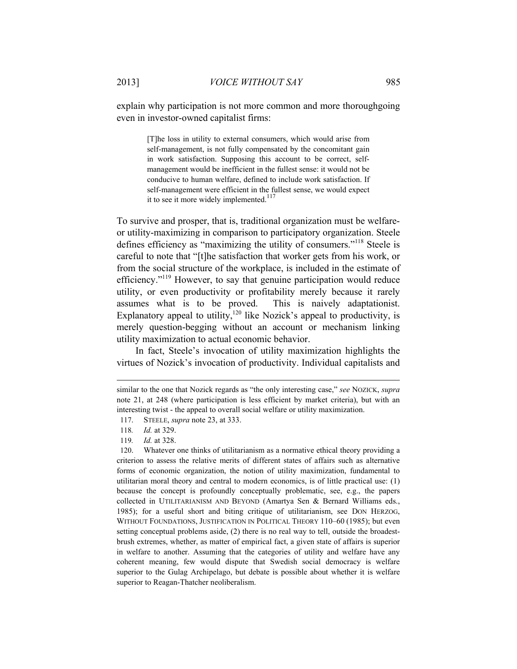explain why participation is not more common and more thoroughgoing even in investor-owned capitalist firms:

> [T]he loss in utility to external consumers, which would arise from self-management, is not fully compensated by the concomitant gain in work satisfaction. Supposing this account to be correct, selfmanagement would be inefficient in the fullest sense: it would not be conducive to human welfare, defined to include work satisfaction. If self-management were efficient in the fullest sense, we would expect it to see it more widely implemented.<sup>117</sup>

To survive and prosper, that is, traditional organization must be welfareor utility-maximizing in comparison to participatory organization. Steele defines efficiency as "maximizing the utility of consumers."118 Steele is careful to note that "[t]he satisfaction that worker gets from his work, or from the social structure of the workplace, is included in the estimate of efficiency."119 However, to say that genuine participation would reduce utility, or even productivity or profitability merely because it rarely assumes what is to be proved. This is naively adaptationist. Explanatory appeal to utility,<sup>120</sup> like Nozick's appeal to productivity, is merely question-begging without an account or mechanism linking utility maximization to actual economic behavior.

In fact, Steele's invocation of utility maximization highlights the virtues of Nozick's invocation of productivity. Individual capitalists and

l

120. Whatever one thinks of utilitarianism as a normative ethical theory providing a criterion to assess the relative merits of different states of affairs such as alternative forms of economic organization, the notion of utility maximization, fundamental to utilitarian moral theory and central to modern economics, is of little practical use: (1) because the concept is profoundly conceptually problematic, see, e.g., the papers collected in UTILITARIANISM AND BEYOND (Amartya Sen & Bernard Williams eds., 1985); for a useful short and biting critique of utilitarianism, see DON HERZOG, WITHOUT FOUNDATIONS, JUSTIFICATION IN POLITICAL THEORY 110–60 (1985); but even setting conceptual problems aside, (2) there is no real way to tell, outside the broadestbrush extremes, whether, as matter of empirical fact, a given state of affairs is superior in welfare to another. Assuming that the categories of utility and welfare have any coherent meaning, few would dispute that Swedish social democracy is welfare superior to the Gulag Archipelago, but debate is possible about whether it is welfare superior to Reagan-Thatcher neoliberalism.

similar to the one that Nozick regards as "the only interesting case," *see* NOZICK, *supra* note 21, at 248 (where participation is less efficient by market criteria), but with an interesting twist - the appeal to overall social welfare or utility maximization.

<sup>117.</sup> STEELE, *supra* note 23, at 333.

<sup>118</sup>*. Id.* at 329.

<sup>119</sup>*. Id.* at 328.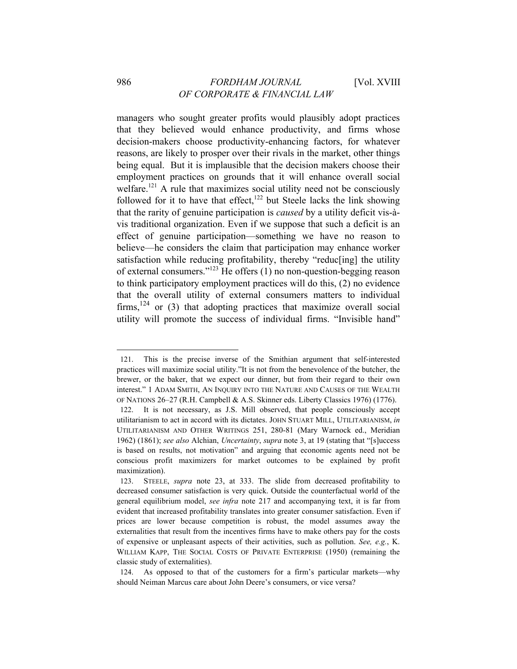managers who sought greater profits would plausibly adopt practices that they believed would enhance productivity, and firms whose decision-makers choose productivity-enhancing factors, for whatever reasons, are likely to prosper over their rivals in the market, other things being equal. But it is implausible that the decision makers choose their employment practices on grounds that it will enhance overall social welfare.<sup>121</sup> A rule that maximizes social utility need not be consciously followed for it to have that effect, $122$  but Steele lacks the link showing that the rarity of genuine participation is *caused* by a utility deficit vis-àvis traditional organization. Even if we suppose that such a deficit is an effect of genuine participation—something we have no reason to believe—he considers the claim that participation may enhance worker satisfaction while reducing profitability, thereby "reduc[ing] the utility of external consumers."123 He offers (1) no non-question-begging reason to think participatory employment practices will do this, (2) no evidence that the overall utility of external consumers matters to individual firms,  $124$  or (3) that adopting practices that maximize overall social utility will promote the success of individual firms. "Invisible hand"

<sup>121.</sup> This is the precise inverse of the Smithian argument that self-interested practices will maximize social utility."It is not from the benevolence of the butcher, the brewer, or the baker, that we expect our dinner, but from their regard to their own interest." 1 ADAM SMITH, AN INQUIRY INTO THE NATURE AND CAUSES OF THE WEALTH OF NATIONS 26–27 (R.H. Campbell & A.S. Skinner eds. Liberty Classics 1976) (1776).

<sup>122.</sup> It is not necessary, as J.S. Mill observed, that people consciously accept utilitarianism to act in accord with its dictates. JOHN STUART MILL, UTILITARIANISM, *in*  UTILITARIANISM AND OTHER WRITINGS 251, 280-81 (Mary Warnock ed., Meridian 1962) (1861); *see also* Alchian, *Uncertainty*, *supra* note 3, at 19 (stating that "[s]uccess is based on results, not motivation" and arguing that economic agents need not be conscious profit maximizers for market outcomes to be explained by profit maximization).

<sup>123.</sup> STEELE, *supra* note 23, at 333. The slide from decreased profitability to decreased consumer satisfaction is very quick. Outside the counterfactual world of the general equilibrium model, *see infra* note 217 and accompanying text, it is far from evident that increased profitability translates into greater consumer satisfaction. Even if prices are lower because competition is robust, the model assumes away the externalities that result from the incentives firms have to make others pay for the costs of expensive or unpleasant aspects of their activities, such as pollution. *See, e.g.*, K. WILLIAM KAPP, THE SOCIAL COSTS OF PRIVATE ENTERPRISE (1950) (remaining the classic study of externalities).

<sup>124.</sup> As opposed to that of the customers for a firm's particular markets—why should Neiman Marcus care about John Deere's consumers, or vice versa?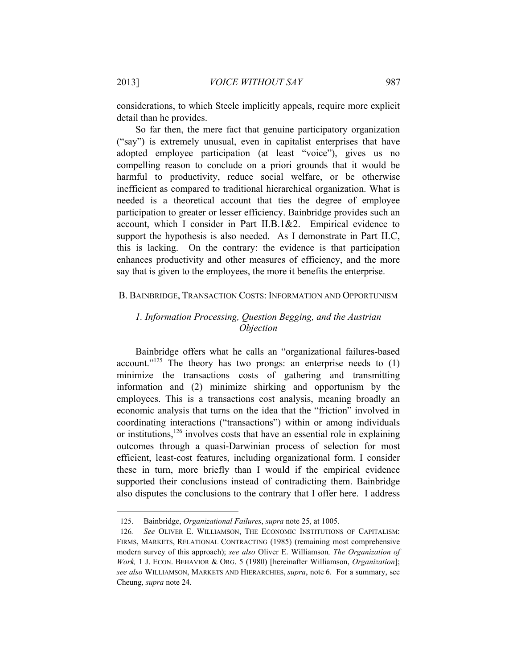considerations, to which Steele implicitly appeals, require more explicit detail than he provides.

So far then, the mere fact that genuine participatory organization ("say") is extremely unusual, even in capitalist enterprises that have adopted employee participation (at least "voice"), gives us no compelling reason to conclude on a priori grounds that it would be harmful to productivity, reduce social welfare, or be otherwise inefficient as compared to traditional hierarchical organization. What is needed is a theoretical account that ties the degree of employee participation to greater or lesser efficiency. Bainbridge provides such an account, which I consider in Part II.B.1&2. Empirical evidence to support the hypothesis is also needed. As I demonstrate in Part II.C, this is lacking. On the contrary: the evidence is that participation enhances productivity and other measures of efficiency, and the more say that is given to the employees, the more it benefits the enterprise.

#### B. BAINBRIDGE, TRANSACTION COSTS: INFORMATION AND OPPORTUNISM

# *1. Information Processing, Question Begging, and the Austrian Objection*

Bainbridge offers what he calls an "organizational failures-based account."<sup>125</sup> The theory has two prongs: an enterprise needs to  $(1)$ minimize the transactions costs of gathering and transmitting information and (2) minimize shirking and opportunism by the employees. This is a transactions cost analysis, meaning broadly an economic analysis that turns on the idea that the "friction" involved in coordinating interactions ("transactions") within or among individuals or institutions,  $126$  involves costs that have an essential role in explaining outcomes through a quasi-Darwinian process of selection for most efficient, least-cost features, including organizational form. I consider these in turn, more briefly than I would if the empirical evidence supported their conclusions instead of contradicting them. Bainbridge also disputes the conclusions to the contrary that I offer here. I address

<sup>125.</sup> Bainbridge, *Organizational Failures*, *supra* note 25, at 1005.

<sup>126</sup>*. See* OLIVER E. WILLIAMSON, THE ECONOMIC INSTITUTIONS OF CAPITALISM: FIRMS, MARKETS, RELATIONAL CONTRACTING (1985) (remaining most comprehensive modern survey of this approach); *see also* Oliver E. Williamson*, The Organization of Work,* 1 J. ECON. BEHAVIOR & ORG. 5 (1980) [hereinafter Williamson, *Organization*]; *see also* WILLIAMSON, MARKETS AND HIERARCHIES, *supra*, note 6. For a summary, see Cheung, *supra* note 24.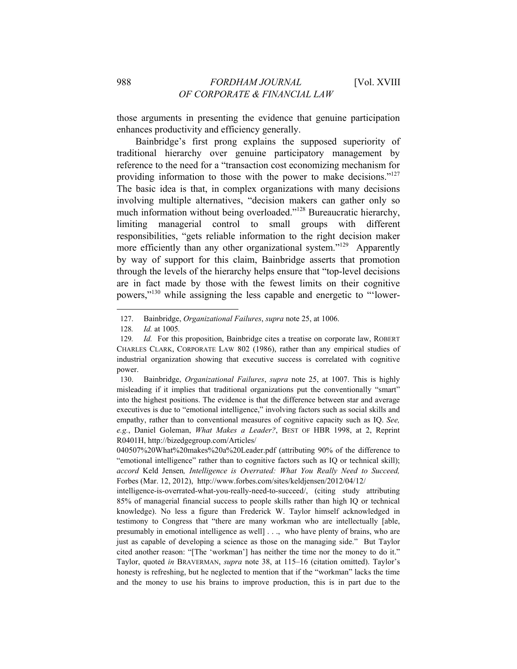those arguments in presenting the evidence that genuine participation enhances productivity and efficiency generally.

Bainbridge's first prong explains the supposed superiority of traditional hierarchy over genuine participatory management by reference to the need for a "transaction cost economizing mechanism for providing information to those with the power to make decisions."<sup>127</sup> The basic idea is that, in complex organizations with many decisions involving multiple alternatives, "decision makers can gather only so much information without being overloaded."<sup>128</sup> Bureaucratic hierarchy, limiting managerial control to small groups with different responsibilities, "gets reliable information to the right decision maker more efficiently than any other organizational system."<sup>129</sup> Apparently by way of support for this claim, Bainbridge asserts that promotion through the levels of the hierarchy helps ensure that "top-level decisions are in fact made by those with the fewest limits on their cognitive powers,"130 while assigning the less capable and energetic to "'lower-

<sup>127.</sup> Bainbridge, *Organizational Failures*, *supra* note 25, at 1006.

<sup>128</sup>*. Id.* at 1005*.*

<sup>129</sup>*. Id.* For this proposition, Bainbridge cites a treatise on corporate law, ROBERT CHARLES CLARK, CORPORATE LAW 802 (1986), rather than any empirical studies of industrial organization showing that executive success is correlated with cognitive power.

<sup>130.</sup> Bainbridge, *Organizational Failures*, *supra* note 25, at 1007. This is highly misleading if it implies that traditional organizations put the conventionally "smart" into the highest positions. The evidence is that the difference between star and average executives is due to "emotional intelligence," involving factors such as social skills and empathy, rather than to conventional measures of cognitive capacity such as IQ. *See, e.g.*, Daniel Goleman, *What Makes a Leader?*, BEST OF HBR 1998, at 2, Reprint R0401H, http://bizedgegroup.com/Articles/

<sup>040507%20</sup>What%20makes%20a%20Leader.pdf (attributing 90% of the difference to "emotional intelligence" rather than to cognitive factors such as IQ or technical skill); *accord* Keld Jensen*, Intelligence is Overrated: What You Really Need to Succeed,*  Forbes (Mar. 12, 2012), http://www.forbes.com/sites/keldjensen/2012/04/12/

intelligence-is-overrated-what-you-really-need-to-succeed/, (citing study attributing 85% of managerial financial success to people skills rather than high IQ or technical knowledge). No less a figure than Frederick W. Taylor himself acknowledged in testimony to Congress that "there are many workman who are intellectually [able, presumably in emotional intelligence as well] . . ., who have plenty of brains, who are just as capable of developing a science as those on the managing side." But Taylor cited another reason: "[The 'workman'] has neither the time nor the money to do it." Taylor, quoted *in* BRAVERMAN, *supra* note 38, at 115–16 (citation omitted). Taylor's honesty is refreshing, but he neglected to mention that if the "workman" lacks the time and the money to use his brains to improve production, this is in part due to the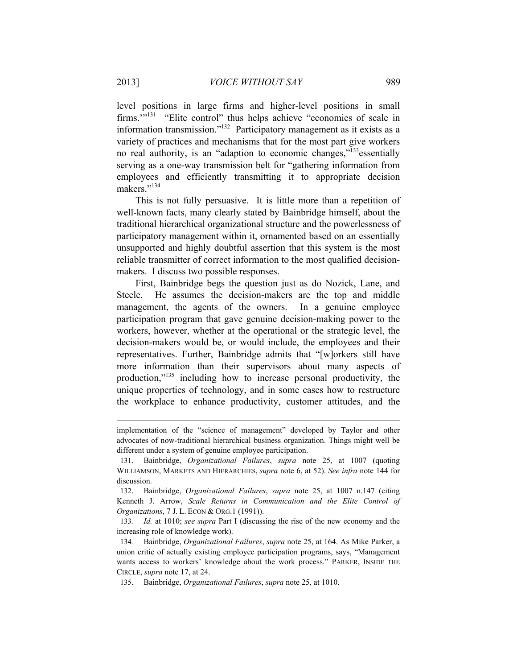level positions in large firms and higher-level positions in small firms.'"131 "Elite control" thus helps achieve "economies of scale in information transmission."<sup>132</sup> Participatory management as it exists as a variety of practices and mechanisms that for the most part give workers no real authority, is an "adaption to economic changes,"<sup>133</sup>essentially serving as a one-way transmission belt for "gathering information from employees and efficiently transmitting it to appropriate decision makers."134

This is not fully persuasive. It is little more than a repetition of well-known facts, many clearly stated by Bainbridge himself, about the traditional hierarchical organizational structure and the powerlessness of participatory management within it, ornamented based on an essentially unsupported and highly doubtful assertion that this system is the most reliable transmitter of correct information to the most qualified decisionmakers. I discuss two possible responses.

First, Bainbridge begs the question just as do Nozick, Lane, and Steele. He assumes the decision-makers are the top and middle management, the agents of the owners. In a genuine employee participation program that gave genuine decision-making power to the workers, however, whether at the operational or the strategic level, the decision-makers would be, or would include, the employees and their representatives. Further, Bainbridge admits that "[w]orkers still have more information than their supervisors about many aspects of production,"135 including how to increase personal productivity, the unique properties of technology, and in some cases how to restructure the workplace to enhance productivity, customer attitudes, and the

implementation of the "science of management" developed by Taylor and other advocates of now-traditional hierarchical business organization. Things might well be different under a system of genuine employee participation.

<sup>131.</sup> Bainbridge, *Organizational Failures*, *supra* note 25, at 1007 (quoting WILLIAMSON, MARKETS AND HIERARCHIES, *supra* note 6, at 52). *See infra* note 144 for discussion.

<sup>132.</sup> Bainbridge, *Organizational Failures*, *supra* note 25, at 1007 n.147 (citing Kenneth J. Arrow, *Scale Returns in Communication and the Elite Control of Organizations*, 7 J. L. ECON & ORG.1 (1991)).

<sup>133</sup>*. Id.* at 1010; *see supra* Part I (discussing the rise of the new economy and the increasing role of knowledge work).

<sup>134</sup>*.* Bainbridge, *Organizational Failures*, *supra* note 25, at 164. As Mike Parker, a union critic of actually existing employee participation programs, says, "Management wants access to workers' knowledge about the work process." PARKER, INSIDE THE CIRCLE, *supra* note 17, at 24.

<sup>135.</sup> Bainbridge, *Organizational Failures*, *supra* note 25, at 1010.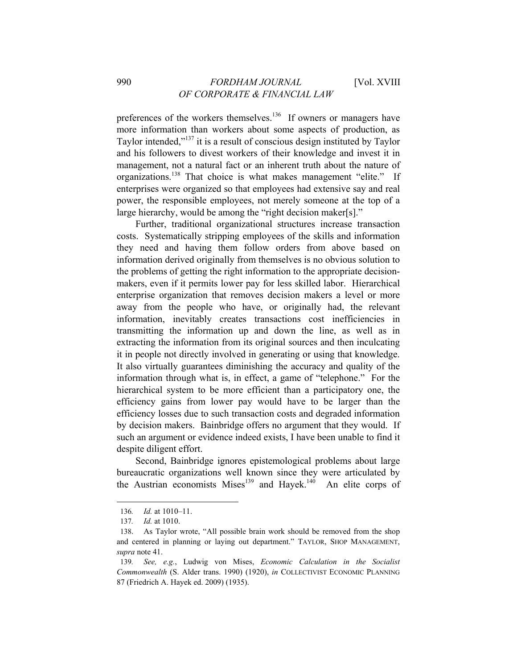preferences of the workers themselves.<sup>136</sup> If owners or managers have more information than workers about some aspects of production, as Taylor intended,"<sup>137</sup> it is a result of conscious design instituted by Taylor and his followers to divest workers of their knowledge and invest it in management, not a natural fact or an inherent truth about the nature of organizations.138 That choice is what makes management "elite." If enterprises were organized so that employees had extensive say and real power, the responsible employees, not merely someone at the top of a large hierarchy, would be among the "right decision maker[s]."

Further, traditional organizational structures increase transaction costs. Systematically stripping employees of the skills and information they need and having them follow orders from above based on information derived originally from themselves is no obvious solution to the problems of getting the right information to the appropriate decisionmakers, even if it permits lower pay for less skilled labor. Hierarchical enterprise organization that removes decision makers a level or more away from the people who have, or originally had, the relevant information, inevitably creates transactions cost inefficiencies in transmitting the information up and down the line, as well as in extracting the information from its original sources and then inculcating it in people not directly involved in generating or using that knowledge. It also virtually guarantees diminishing the accuracy and quality of the information through what is, in effect, a game of "telephone." For the hierarchical system to be more efficient than a participatory one, the efficiency gains from lower pay would have to be larger than the efficiency losses due to such transaction costs and degraded information by decision makers. Bainbridge offers no argument that they would. If such an argument or evidence indeed exists, I have been unable to find it despite diligent effort.

Second, Bainbridge ignores epistemological problems about large bureaucratic organizations well known since they were articulated by the Austrian economists Mises<sup>139</sup> and Hayek.<sup>140</sup> An elite corps of

<sup>136</sup>*. Id.* at 1010–11.

<sup>137</sup>*. Id.* at 1010.

<sup>138.</sup> As Taylor wrote, "All possible brain work should be removed from the shop and centered in planning or laying out department." TAYLOR, SHOP MANAGEMENT, *supra* note 41.

<sup>139</sup>*. See, e.g.*, Ludwig von Mises, *Economic Calculation in the Socialist Commonwealth* (S. Alder trans. 1990) (1920), *in* COLLECTIVIST ECONOMIC PLANNING 87 (Friedrich A. Hayek ed. 2009) (1935).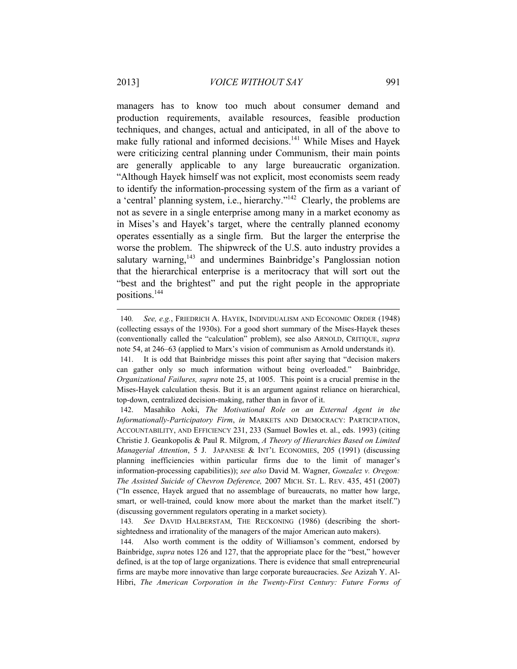managers has to know too much about consumer demand and production requirements, available resources, feasible production techniques, and changes, actual and anticipated, in all of the above to make fully rational and informed decisions.<sup>141</sup> While Mises and Hayek were criticizing central planning under Communism, their main points are generally applicable to any large bureaucratic organization. "Although Hayek himself was not explicit, most economists seem ready to identify the information-processing system of the firm as a variant of a 'central' planning system, i.e., hierarchy."142 Clearly, the problems are not as severe in a single enterprise among many in a market economy as in Mises's and Hayek's target, where the centrally planned economy operates essentially as a single firm. But the larger the enterprise the worse the problem. The shipwreck of the U.S. auto industry provides a salutary warning,<sup>143</sup> and undermines Bainbridge's Panglossian notion that the hierarchical enterprise is a meritocracy that will sort out the "best and the brightest" and put the right people in the appropriate positions.144

<sup>140</sup>*. See, e.g.*, FRIEDRICH A. HAYEK, INDIVIDUALISM AND ECONOMIC ORDER (1948) (collecting essays of the 1930s). For a good short summary of the Mises-Hayek theses (conventionally called the "calculation" problem), see also ARNOLD, CRITIQUE, *supra* note 54, at 246–63 (applied to Marx's vision of communism as Arnold understands it).

<sup>141.</sup> It is odd that Bainbridge misses this point after saying that "decision makers can gather only so much information without being overloaded." Bainbridge, *Organizational Failures, supra* note 25, at 1005. This point is a crucial premise in the Mises-Hayek calculation thesis. But it is an argument against reliance on hierarchical, top-down, centralized decision-making, rather than in favor of it.

<sup>142.</sup> Masahiko Aoki, *The Motivational Role on an External Agent in the Informationally-Participatory Firm*, *in* MARKETS AND DEMOCRACY: PARTICIPATION, ACCOUNTABILITY, AND EFFICIENCY 231, 233 (Samuel Bowles et. al., eds. 1993) (citing Christie J. Geankopolis & Paul R. Milgrom, *A Theory of Hierarchies Based on Limited Managerial Attention*, 5 J. JAPANESE & INT'L ECONOMIES, 205 (1991) (discussing planning inefficiencies within particular firms due to the limit of manager's information-processing capabilities)); *see also* David M. Wagner, *Gonzalez v. Oregon: The Assisted Suicide of Chevron Deference,* 2007 MICH. ST. L. REV. 435, 451 (2007) ("In essence, Hayek argued that no assemblage of bureaucrats, no matter how large, smart, or well-trained, could know more about the market than the market itself.") (discussing government regulators operating in a market society).

<sup>143</sup>*. See* DAVID HALBERSTAM, THE RECKONING (1986) (describing the shortsightedness and irrationality of the managers of the major American auto makers).

<sup>144.</sup> Also worth comment is the oddity of Williamson's comment, endorsed by Bainbridge, *supra* notes 126 and 127, that the appropriate place for the "best," however defined, is at the top of large organizations. There is evidence that small entrepreneurial firms are maybe more innovative than large corporate bureaucracies. *See* Azizah Y. Al-Hibri, *The American Corporation in the Twenty-First Century: Future Forms of*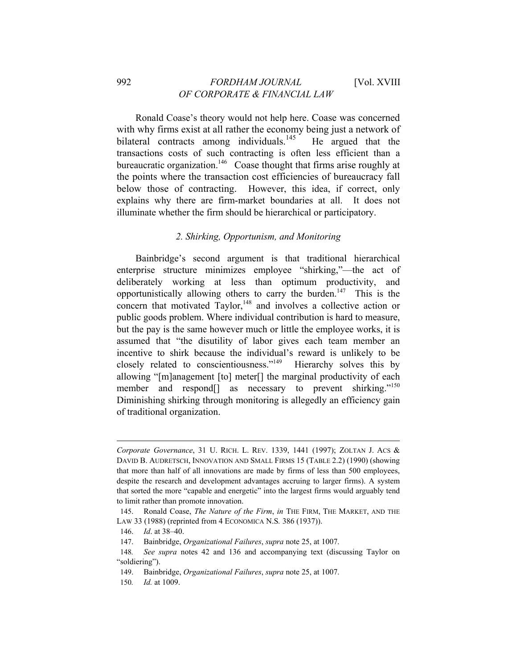Ronald Coase's theory would not help here. Coase was concerned with why firms exist at all rather the economy being just a network of bilateral contracts among individuals.<sup>145</sup> He argued that the transactions costs of such contracting is often less efficient than a bureaucratic organization.<sup>146</sup> Coase thought that firms arise roughly at the points where the transaction cost efficiencies of bureaucracy fall below those of contracting. However, this idea, if correct, only explains why there are firm-market boundaries at all. It does not illuminate whether the firm should be hierarchical or participatory.

### *2. Shirking, Opportunism, and Monitoring*

Bainbridge's second argument is that traditional hierarchical enterprise structure minimizes employee "shirking,"—the act of deliberately working at less than optimum productivity, and opportunistically allowing others to carry the burden.<sup>147</sup> This is the concern that motivated  $Taylor<sub>148</sub>$  and involves a collective action or public goods problem. Where individual contribution is hard to measure, but the pay is the same however much or little the employee works, it is assumed that "the disutility of labor gives each team member an incentive to shirk because the individual's reward is unlikely to be closely related to conscientiousness."149 Hierarchy solves this by allowing "[m]anagement [to] meter[] the marginal productivity of each member and respond<sup>[]</sup> as necessary to prevent shirking."<sup>150</sup> Diminishing shirking through monitoring is allegedly an efficiency gain of traditional organization.

*Corporate Governance*, 31 U. RICH. L. REV. 1339, 1441 (1997); ZOLTAN J. ACS & DAVID B. AUDRETSCH, INNOVATION AND SMALL FIRMS 15 (TABLE 2.2) (1990) (showing that more than half of all innovations are made by firms of less than 500 employees, despite the research and development advantages accruing to larger firms). A system that sorted the more "capable and energetic" into the largest firms would arguably tend to limit rather than promote innovation.

<sup>145.</sup> Ronald Coase, *The Nature of the Firm*, *in* THE FIRM, THE MARKET, AND THE LAW 33 (1988) (reprinted from 4 ECONOMICA N.S*.* 386 (1937)).

<sup>146.</sup> *Id*. at 38–40.

<sup>147.</sup> Bainbridge, *Organizational Failures*, *supra* note 25, at 1007.

<sup>148</sup>*. See supra* notes 42 and 136 and accompanying text (discussing Taylor on "soldiering").

<sup>149.</sup> Bainbridge, *Organizational Failures*, *supra* note 25, at 1007.

<sup>150</sup>*. Id.* at 1009.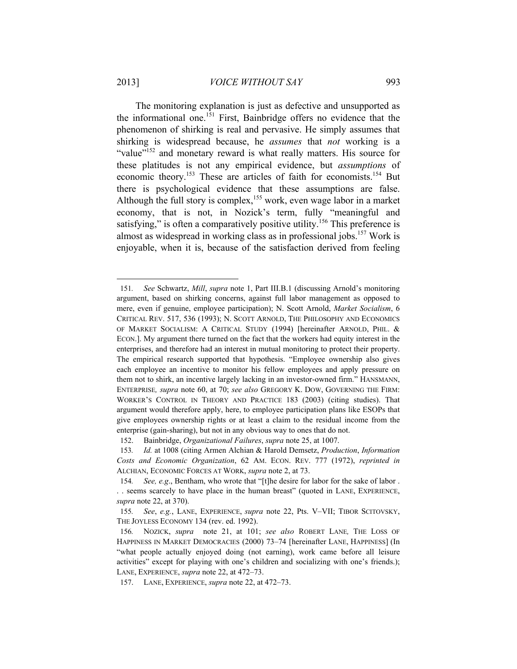The monitoring explanation is just as defective and unsupported as the informational one.<sup>151</sup> First, Bainbridge offers no evidence that the phenomenon of shirking is real and pervasive. He simply assumes that shirking is widespread because, he *assumes* that *not* working is a "value"<sup>152</sup> and monetary reward is what really matters. His source for these platitudes is not any empirical evidence, but *assumptions* of economic theory.<sup>153</sup> These are articles of faith for economists.<sup>154</sup> But there is psychological evidence that these assumptions are false. Although the full story is complex,<sup>155</sup> work, even wage labor in a market economy, that is not, in Nozick's term, fully "meaningful and satisfying," is often a comparatively positive utility.<sup>156</sup> This preference is almost as widespread in working class as in professional jobs.<sup>157</sup> Work is enjoyable, when it is, because of the satisfaction derived from feeling

<sup>151</sup>*. See* Schwartz, *Mill*, *supra* note 1, Part III.B.1 (discussing Arnold's monitoring argument, based on shirking concerns, against full labor management as opposed to mere, even if genuine, employee participation); N. Scott Arnold, *Market Socialism*, 6 CRITICAL REV. 517, 536 (1993); N. SCOTT ARNOLD, THE PHILOSOPHY AND ECONOMICS OF MARKET SOCIALISM: A CRITICAL STUDY (1994) [hereinafter ARNOLD, PHIL. & ECON.]. My argument there turned on the fact that the workers had equity interest in the enterprises, and therefore had an interest in mutual monitoring to protect their property. The empirical research supported that hypothesis. "Employee ownership also gives each employee an incentive to monitor his fellow employees and apply pressure on them not to shirk, an incentive largely lacking in an investor-owned firm." HANSMANN, ENTERPRISE*, supra* note 60, at 70; *see also* GREGORY K. DOW, GOVERNING THE FIRM: WORKER'S CONTROL IN THEORY AND PRACTICE 183 (2003) (citing studies). That argument would therefore apply, here, to employee participation plans like ESOPs that give employees ownership rights or at least a claim to the residual income from the enterprise (gain-sharing), but not in any obvious way to ones that do not.

<sup>152.</sup> Bainbridge, *Organizational Failures*, *supra* note 25, at 1007.

<sup>153</sup>*. Id.* at 1008 (citing Armen Alchian & Harold Demsetz, *Production*, *Information Costs and Economic Organization*, 62 AM. ECON. REV. 777 (1972), *reprinted in*  ALCHIAN, ECONOMIC FORCES AT WORK, *supra* note 2, at 73.

<sup>154</sup>*. See, e.g*., Bentham, who wrote that "[t]he desire for labor for the sake of labor . . . seems scarcely to have place in the human breast" (quoted in LANE, EXPERIENCE, *supra* note 22, at 370).

<sup>155</sup>*. See*, *e.g.*, LANE, EXPERIENCE, *supra* note 22, Pts. V–VII; TIBOR SCITOVSKY, THE JOYLESS ECONOMY 134 (rev. ed. 1992).

<sup>156</sup>*.* NOZICK, *supra* note 21, at 101; *see also* ROBERT LANE*,* THE LOSS OF HAPPINESS IN MARKET DEMOCRACIES (2000) 73–74 [hereinafter LANE, HAPPINESS] (In "what people actually enjoyed doing (not earning), work came before all leisure activities" except for playing with one's children and socializing with one's friends.); LANE, EXPERIENCE, *supra* note 22, at 472–73.

<sup>157.</sup> LANE, EXPERIENCE, *supra* note 22, at 472–73.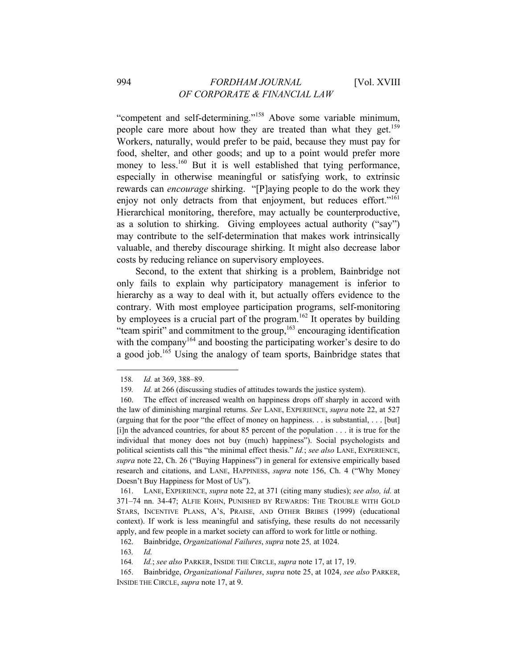"competent and self-determining."158 Above some variable minimum, people care more about how they are treated than what they get.<sup>159</sup> Workers, naturally, would prefer to be paid, because they must pay for food, shelter, and other goods; and up to a point would prefer more money to less.<sup>160</sup> But it is well established that tying performance, especially in otherwise meaningful or satisfying work, to extrinsic rewards can *encourage* shirking. "[P]aying people to do the work they enjoy not only detracts from that enjoyment, but reduces effort."<sup>161</sup> Hierarchical monitoring, therefore, may actually be counterproductive, as a solution to shirking. Giving employees actual authority ("say") may contribute to the self-determination that makes work intrinsically valuable, and thereby discourage shirking. It might also decrease labor costs by reducing reliance on supervisory employees.

Second, to the extent that shirking is a problem, Bainbridge not only fails to explain why participatory management is inferior to hierarchy as a way to deal with it, but actually offers evidence to the contrary. With most employee participation programs, self-monitoring by employees is a crucial part of the program.<sup>162</sup> It operates by building "team spirit" and commitment to the group,163 encouraging identification with the company<sup>164</sup> and boosting the participating worker's desire to do a good job.165 Using the analogy of team sports, Bainbridge states that

<sup>158</sup>*. Id.* at 369, 388–89.

<sup>159</sup>*. Id.* at 266 (discussing studies of attitudes towards the justice system).

<sup>160.</sup> The effect of increased wealth on happiness drops off sharply in accord with the law of diminishing marginal returns. *See* LANE, EXPERIENCE, *supra* note 22, at 527 (arguing that for the poor "the effect of money on happiness. . . is substantial, . . . [but] [i]n the advanced countries, for about 85 percent of the population . . . it is true for the individual that money does not buy (much) happiness"). Social psychologists and political scientists call this "the minimal effect thesis." *Id.*; *see also* LANE, EXPERIENCE, *supra* note 22, Ch. 26 ("Buying Happiness") in general for extensive empirically based research and citations, and LANE, HAPPINESS, *supra* note 156, Ch. 4 ("Why Money Doesn't Buy Happiness for Most of Us").

<sup>161.</sup> LANE, EXPERIENCE, *supra* note 22, at 371 (citing many studies); *see also, id.* at 371–74 nn. 34-47; ALFIE KOHN, PUNISHED BY REWARDS: THE TROUBLE WITH GOLD STARS, INCENTIVE PLANS, A'S, PRAISE, AND OTHER BRIBES (1999) (educational context). If work is less meaningful and satisfying, these results do not necessarily apply, and few people in a market society can afford to work for little or nothing.

<sup>162.</sup> Bainbridge, *Organizational Failures*, *supra* note 25*,* at 1024.

<sup>163</sup>*. Id.*

<sup>164</sup>*. Id.*; *see also* PARKER, INSIDE THE CIRCLE, *supra* note 17, at 17, 19.

<sup>165.</sup> Bainbridge, *Organizational Failures*, *supra* note 25, at 1024, *see also* PARKER, INSIDE THE CIRCLE, *supra* note 17, at 9.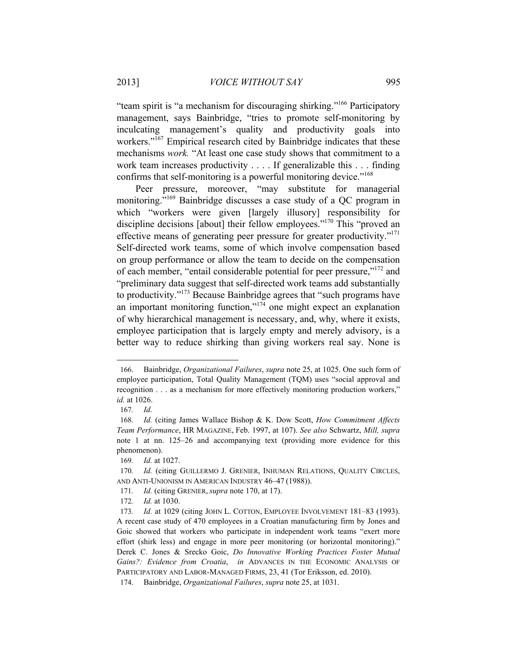"team spirit is "a mechanism for discouraging shirking."166 Participatory management, says Bainbridge, "tries to promote self-monitoring by inculcating management's quality and productivity goals into workers."<sup>167</sup> Empirical research cited by Bainbridge indicates that these mechanisms *work.* "At least one case study shows that commitment to a work team increases productivity . . . . If generalizable this . . . finding confirms that self-monitoring is a powerful monitoring device."<sup>168</sup>

Peer pressure, moreover, "may substitute for managerial monitoring."<sup>169</sup> Bainbridge discusses a case study of a QC program in which "workers were given [largely illusory] responsibility for discipline decisions [about] their fellow employees."<sup>170</sup> This "proved an effective means of generating peer pressure for greater productivity."<sup>171</sup> Self-directed work teams, some of which involve compensation based on group performance or allow the team to decide on the compensation of each member, "entail considerable potential for peer pressure,"172 and "preliminary data suggest that self-directed work teams add substantially to productivity."173 Because Bainbridge agrees that "such programs have an important monitoring function,"174 one might expect an explanation of why hierarchical management is necessary, and, why, where it exists, employee participation that is largely empty and merely advisory, is a better way to reduce shirking than giving workers real say. None is

<sup>166.</sup> Bainbridge, *Organizational Failures*, *supra* note 25, at 1025. One such form of employee participation, Total Quality Management (TQM) uses "social approval and recognition . . . as a mechanism for more effectively monitoring production workers," *id.* at 1026.

<sup>167</sup>*. Id.* 

<sup>168</sup>*. Id.* (citing James Wallace Bishop & K. Dow Scott, *How Commitment Affects Team Performance*, HR MAGAZINE, Feb. 1997, at 107). *See also* Schwartz, *Mill, supra* note 1 at nn. 125–26 and accompanying text (providing more evidence for this phenomenon).

<sup>169</sup>*. Id.* at 1027.

<sup>170</sup>*. Id.* (citing GUILLERMO J. GRENIER, INHUMAN RELATIONS, QUALITY CIRCLES, AND ANTI-UNIONISM IN AMERICAN INDUSTRY 46–47 (1988)).

<sup>171</sup>*. Id.* (citing GRENIER, *supra* note 170, at 17).

<sup>172</sup>*. Id.* at 1030.

<sup>173</sup>*. Id.* at 1029 (citing JOHN L. COTTON, EMPLOYEE INVOLVEMENT 181–83 (1993). A recent case study of 470 employees in a Croatian manufacturing firm by Jones and Goic showed that workers who participate in independent work teams "exert more effort (shirk less) and engage in more peer monitoring (or horizontal monitoring)." Derek C. Jones & Srecko Goic, *Do Innovative Working Practices Foster Mutual Gains?: Evidence from Croatia*, *in* ADVANCES IN THE ECONOMIC ANALYSIS OF PARTICIPATORY AND LABOR-MANAGED FIRMS, 23, 41 (Tor Eriksson, ed. 2010).

<sup>174.</sup> Bainbridge, *Organizational Failures*, *supra* note 25, at 1031.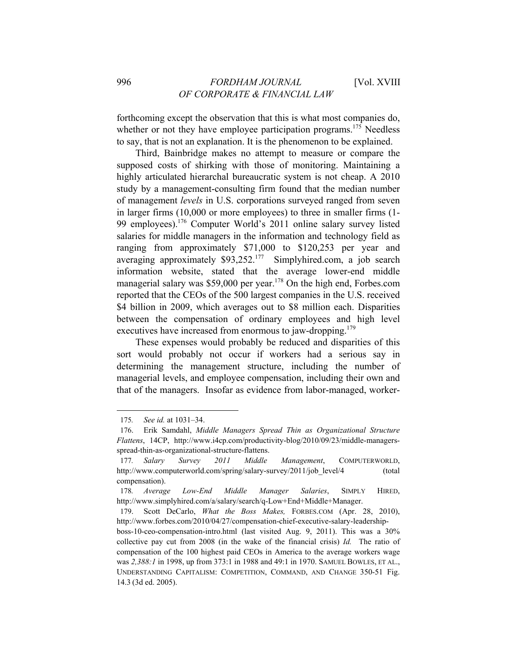forthcoming except the observation that this is what most companies do, whether or not they have employee participation programs.<sup>175</sup> Needless to say, that is not an explanation. It is the phenomenon to be explained.

Third, Bainbridge makes no attempt to measure or compare the supposed costs of shirking with those of monitoring. Maintaining a highly articulated hierarchal bureaucratic system is not cheap. A 2010 study by a management-consulting firm found that the median number of management *levels* in U.S. corporations surveyed ranged from seven in larger firms (10,000 or more employees) to three in smaller firms (1- 99 employees).176 Computer World's 2011 online salary survey listed salaries for middle managers in the information and technology field as ranging from approximately \$71,000 to \$120,253 per year and averaging approximately  $$93,252<sup>177</sup>$  Simplyhired.com, a job search information website, stated that the average lower-end middle managerial salary was \$59,000 per year.<sup>178</sup> On the high end, Forbes.com reported that the CEOs of the 500 largest companies in the U.S. received \$4 billion in 2009, which averages out to \$8 million each. Disparities between the compensation of ordinary employees and high level executives have increased from enormous to jaw-dropping.<sup>179</sup>

These expenses would probably be reduced and disparities of this sort would probably not occur if workers had a serious say in determining the management structure, including the number of managerial levels, and employee compensation, including their own and that of the managers. Insofar as evidence from labor-managed, worker-

<sup>175</sup>*. See id.* at 1031–34.

<sup>176.</sup> Erik Samdahl, *Middle Managers Spread Thin as Organizational Structure Flattens*, 14CP, http://www.i4cp.com/productivity-blog/2010/09/23/middle-managersspread-thin-as-organizational-structure-flattens.

<sup>177</sup>*. Salary Survey 2011 Middle Management*, COMPUTERWORLD, http://www.computerworld.com/spring/salary-survey/2011/job\_level/4 (total compensation).

<sup>178</sup>*. Average Low-End Middle Manager Salaries*, SIMPLY HIRED, http://www.simplyhired.com/a/salary/search/q-Low+End+Middle+Manager.

<sup>179.</sup> Scott DeCarlo, *What the Boss Makes,* FORBES.COM (Apr. 28, 2010), http://www.forbes.com/2010/04/27/compensation-chief-executive-salary-leadership-

boss-10-ceo-compensation-intro.html (last visited Aug. 9, 2011). This was a 30% collective pay cut from 2008 (in the wake of the financial crisis) *Id.* The ratio of compensation of the 100 highest paid CEOs in America to the average workers wage was *2,388:1* in 1998, up from 373:1 in 1988 and 49:1 in 1970. SAMUEL BOWLES, ET AL., UNDERSTANDING CAPITALISM: COMPETITION, COMMAND, AND CHANGE 350-51 Fig. 14.3 (3d ed. 2005).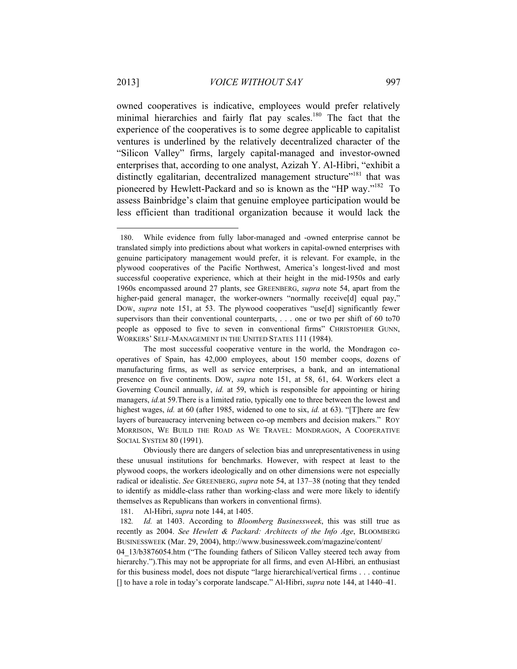owned cooperatives is indicative, employees would prefer relatively minimal hierarchies and fairly flat pay scales.<sup>180</sup> The fact that the experience of the cooperatives is to some degree applicable to capitalist ventures is underlined by the relatively decentralized character of the "Silicon Valley" firms, largely capital-managed and investor-owned enterprises that, according to one analyst, Azizah Y. Al-Hibri, "exhibit a distinctly egalitarian, decentralized management structure"<sup>181</sup> that was pioneered by Hewlett-Packard and so is known as the "HP way."182 To assess Bainbridge's claim that genuine employee participation would be less efficient than traditional organization because it would lack the

181. Al-Hibri, *supra* note 144, at 1405.

<sup>180.</sup> While evidence from fully labor-managed and -owned enterprise cannot be translated simply into predictions about what workers in capital-owned enterprises with genuine participatory management would prefer, it is relevant. For example, in the plywood cooperatives of the Pacific Northwest, America's longest-lived and most successful cooperative experience, which at their height in the mid-1950s and early 1960s encompassed around 27 plants, see GREENBERG, *supra* note 54, apart from the higher-paid general manager, the worker-owners "normally receive[d] equal pay," DOW, *supra* note 151, at 53. The plywood cooperatives "use[d] significantly fewer supervisors than their conventional counterparts, ... one or two per shift of 60 to70 people as opposed to five to seven in conventional firms" CHRISTOPHER GUNN, WORKERS' SELF-MANAGEMENT IN THE UNITED STATES 111 (1984).

The most successful cooperative venture in the world, the Mondragon cooperatives of Spain, has 42,000 employees, about 150 member coops, dozens of manufacturing firms, as well as service enterprises, a bank, and an international presence on five continents. DOW, *supra* note 151, at 58, 61, 64. Workers elect a Governing Council annually, *id.* at 59, which is responsible for appointing or hiring managers, *id.*at 59.There is a limited ratio, typically one to three between the lowest and highest wages, *id.* at 60 (after 1985, widened to one to six, *id.* at 63). "[T]here are few layers of bureaucracy intervening between co-op members and decision makers." ROY MORRISON, WE BUILD THE ROAD AS WE TRAVEL: MONDRAGON, A COOPERATIVE SOCIAL SYSTEM 80 (1991).

Obviously there are dangers of selection bias and unrepresentativeness in using these unusual institutions for benchmarks. However, with respect at least to the plywood coops, the workers ideologically and on other dimensions were not especially radical or idealistic. *See* GREENBERG, *supra* note 54, at 137–38 (noting that they tended to identify as middle-class rather than working-class and were more likely to identify themselves as Republicans than workers in conventional firms).

<sup>182</sup>*. Id.* at 1403. According to *Bloomberg Businessweek*, this was still true as recently as 2004. *See Hewlett & Packard: Architects of the Info Age*, BLOOMBERG BUSINESSWEEK (Mar. 29, 2004), http://www.businessweek.com/magazine/content/

<sup>04</sup>\_13/b3876054.htm ("The founding fathers of Silicon Valley steered tech away from hierarchy.").This may not be appropriate for all firms, and even Al-Hibri*,* an enthusiast for this business model, does not dispute "large hierarchical/vertical firms . . . continue [] to have a role in today's corporate landscape." Al-Hibri, *supra* note 144, at 1440–41.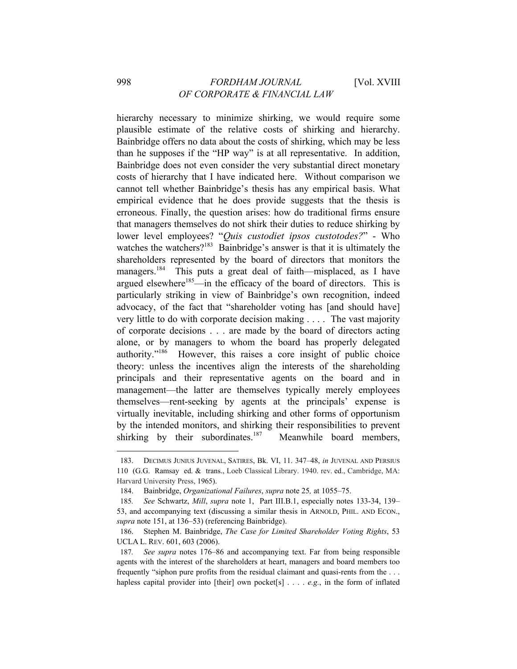hierarchy necessary to minimize shirking, we would require some plausible estimate of the relative costs of shirking and hierarchy. Bainbridge offers no data about the costs of shirking, which may be less than he supposes if the "HP way" is at all representative. In addition, Bainbridge does not even consider the very substantial direct monetary costs of hierarchy that I have indicated here. Without comparison we cannot tell whether Bainbridge's thesis has any empirical basis. What empirical evidence that he does provide suggests that the thesis is erroneous. Finally, the question arises: how do traditional firms ensure that managers themselves do not shirk their duties to reduce shirking by lower level employees? "*Quis custodiet ipsos custotodes?*" - Who watches the watchers?<sup>183</sup> Bainbridge's answer is that it is ultimately the shareholders represented by the board of directors that monitors the managers.<sup>184</sup> This puts a great deal of faith—misplaced, as I have argued elsewhere $185$ —in the efficacy of the board of directors. This is particularly striking in view of Bainbridge's own recognition, indeed advocacy, of the fact that "shareholder voting has [and should have] very little to do with corporate decision making . . . . The vast majority of corporate decisions . . . are made by the board of directors acting alone, or by managers to whom the board has properly delegated authority."186 However, this raises a core insight of public choice theory: unless the incentives align the interests of the shareholding principals and their representative agents on the board and in management—the latter are themselves typically merely employees themselves—rent-seeking by agents at the principals' expense is virtually inevitable, including shirking and other forms of opportunism by the intended monitors, and shirking their responsibilities to prevent shirking by their subordinates.<sup>187</sup> Meanwhile board members,

<sup>183.</sup> DECIMUS JUNIUS JUVENAL, SATIRES, Bk. VI, 11. 347–48, *in* JUVENAL AND PERSIUS 110 (G.G. Ramsay ed. & trans., Loeb Classical Library. 1940. rev. ed., Cambridge, MA: Harvard University Press, 1965).

<sup>184.</sup> Bainbridge, *Organizational Failures*, *supra* note 25*,* at 1055–75.

<sup>185</sup>*. See* Schwartz, *Mill*, *supra* note 1, Part III.B.1, especially notes 133-34, 139– 53, and accompanying text (discussing a similar thesis in ARNOLD, PHIL. AND ECON., *supra* note 151, at 136–53) (referencing Bainbridge).

<sup>186.</sup> Stephen M. Bainbridge, *The Case for Limited Shareholder Voting Rights*, 53 UCLA L. REV. 601, 603 (2006).

<sup>187</sup>*. See supra* notes 176–86 and accompanying text. Far from being responsible agents with the interest of the shareholders at heart, managers and board members too frequently "siphon pure profits from the residual claimant and quasi-rents from the . . . hapless capital provider into [their] own pocket[s] . . . . *e.g.*, in the form of inflated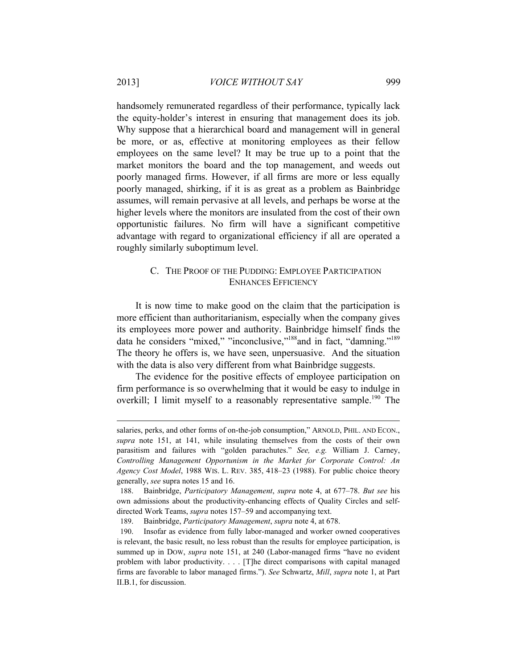handsomely remunerated regardless of their performance, typically lack the equity-holder's interest in ensuring that management does its job. Why suppose that a hierarchical board and management will in general be more, or as, effective at monitoring employees as their fellow employees on the same level? It may be true up to a point that the market monitors the board and the top management, and weeds out poorly managed firms. However, if all firms are more or less equally poorly managed, shirking, if it is as great as a problem as Bainbridge assumes, will remain pervasive at all levels, and perhaps be worse at the higher levels where the monitors are insulated from the cost of their own opportunistic failures. No firm will have a significant competitive advantage with regard to organizational efficiency if all are operated a roughly similarly suboptimum level.

### C. THE PROOF OF THE PUDDING: EMPLOYEE PARTICIPATION ENHANCES EFFICIENCY

It is now time to make good on the claim that the participation is more efficient than authoritarianism, especially when the company gives its employees more power and authority. Bainbridge himself finds the data he considers "mixed," "inconclusive,"<sup>188</sup>and in fact, "damning."<sup>189</sup> The theory he offers is, we have seen, unpersuasive. And the situation with the data is also very different from what Bainbridge suggests.

The evidence for the positive effects of employee participation on firm performance is so overwhelming that it would be easy to indulge in overkill; I limit myself to a reasonably representative sample.<sup>190</sup> The

salaries, perks, and other forms of on-the-job consumption," ARNOLD, PHIL. AND ECON., *supra* note 151, at 141, while insulating themselves from the costs of their own parasitism and failures with "golden parachutes." *See, e.g.* William J. Carney, *Controlling Management Opportunism in the Market for Corporate Control: An Agency Cost Model*, 1988 WIS. L. REV. 385, 418–23 (1988). For public choice theory generally, *see* supra notes 15 and 16.

<sup>188.</sup> Bainbridge, *Participatory Management*, *supra* note 4, at 677–78. *But see* his own admissions about the productivity-enhancing effects of Quality Circles and selfdirected Work Teams, *supra* notes 157–59 and accompanying text.

<sup>189.</sup> Bainbridge, *Participatory Management*, *supra* note 4, at 678.

<sup>190.</sup> Insofar as evidence from fully labor-managed and worker owned cooperatives is relevant, the basic result, no less robust than the results for employee participation, is summed up in DOW, *supra* note 151, at 240 (Labor-managed firms "have no evident problem with labor productivity. . . . [T]he direct comparisons with capital managed firms are favorable to labor managed firms."). *See* Schwartz, *Mill*, *supra* note 1, at Part II.B.1, for discussion.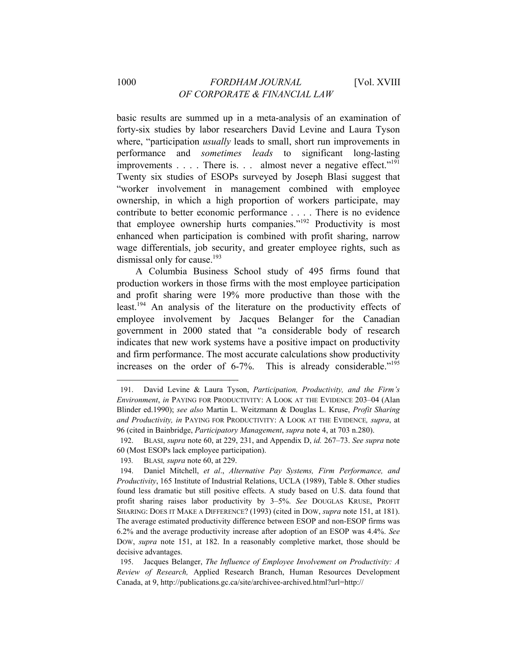basic results are summed up in a meta-analysis of an examination of forty-six studies by labor researchers David Levine and Laura Tyson where, "participation *usually* leads to small, short run improvements in performance and *sometimes leads* to significant long-lasting improvements . . . . There is. . . almost never a negative effect."<sup>191</sup> Twenty six studies of ESOPs surveyed by Joseph Blasi suggest that "worker involvement in management combined with employee ownership, in which a high proportion of workers participate, may contribute to better economic performance . . . . There is no evidence that employee ownership hurts companies."192 Productivity is most enhanced when participation is combined with profit sharing, narrow wage differentials, job security, and greater employee rights, such as dismissal only for cause.<sup>193</sup>

A Columbia Business School study of 495 firms found that production workers in those firms with the most employee participation and profit sharing were 19% more productive than those with the least.<sup>194</sup> An analysis of the literature on the productivity effects of employee involvement by Jacques Belanger for the Canadian government in 2000 stated that "a considerable body of research indicates that new work systems have a positive impact on productivity and firm performance. The most accurate calculations show productivity increases on the order of 6-7%. This is already considerable."<sup>195</sup>

<sup>191.</sup> David Levine & Laura Tyson, *Participation, Productivity, and the Firm's Environment*, *in* PAYING FOR PRODUCTIVITY: A LOOK AT THE EVIDENCE 203–04 (Alan Blinder ed.1990); *see also* Martin L. Weitzmann & Douglas L. Kruse, *Profit Sharing and Productivity, in* PAYING FOR PRODUCTIVITY: A LOOK AT THE EVIDENCE*, supra*, at 96 (cited in Bainbridge, *Participatory Management*, *supra* note 4, at 703 n.280).

<sup>192.</sup> BLASI, *supra* note 60, at 229, 231, and Appendix D, *id.* 267–73. *See supra* note 60 (Most ESOPs lack employee participation).

<sup>193</sup>*.* BLASI*, supra* note 60, at 229.

<sup>194.</sup> Daniel Mitchell, *et al*., *Alternative Pay Systems, Firm Performance, and Productivity*, 165 Institute of Industrial Relations, UCLA (1989), Table 8. Other studies found less dramatic but still positive effects. A study based on U.S. data found that profit sharing raises labor productivity by 3–5%. *See* DOUGLAS KRUSE, PROFIT SHARING: DOES IT MAKE A DIFFERENCE? (1993) (cited in DOW, *supra* note 151, at 181). The average estimated productivity difference between ESOP and non-ESOP firms was 6.2% and the average productivity increase after adoption of an ESOP was 4.4%. *See*  DOW, *supra* note 151, at 182. In a reasonably completive market, those should be decisive advantages.

<sup>195.</sup> Jacques Belanger, *The Influence of Employee Involvement on Productivity: A Review of Research,* Applied Research Branch, Human Resources Development Canada, at 9, http://publications.gc.ca/site/archivee-archived.html?url=http://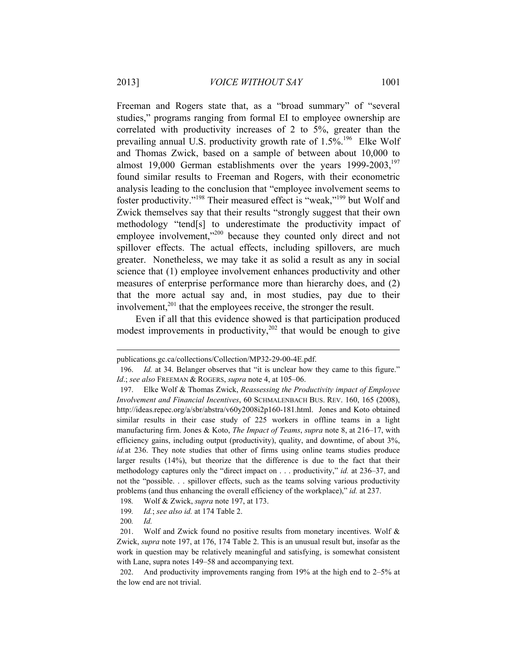Freeman and Rogers state that, as a "broad summary" of "several studies," programs ranging from formal EI to employee ownership are correlated with productivity increases of 2 to 5%, greater than the prevailing annual U.S. productivity growth rate of  $1.5\%$ .<sup>196</sup> Elke Wolf and Thomas Zwick, based on a sample of between about 10,000 to almost 19,000 German establishments over the years  $1999-2003$ ,<sup>197</sup> found similar results to Freeman and Rogers, with their econometric analysis leading to the conclusion that "employee involvement seems to foster productivity."198 Their measured effect is "weak,"199 but Wolf and Zwick themselves say that their results "strongly suggest that their own methodology "tend[s] to underestimate the productivity impact of employee involvement,"<sup>200</sup> because they counted only direct and not spillover effects. The actual effects, including spillovers, are much greater. Nonetheless, we may take it as solid a result as any in social science that (1) employee involvement enhances productivity and other measures of enterprise performance more than hierarchy does, and (2) that the more actual say and, in most studies, pay due to their involvement, $2^{01}$  that the employees receive, the stronger the result.

Even if all that this evidence showed is that participation produced modest improvements in productivity, $202$  that would be enough to give

publications.gc.ca/collections/Collection/MP32-29-00-4E.pdf.

<sup>196.</sup> *Id.* at 34. Belanger observes that "it is unclear how they came to this figure." *Id*.; *see also* FREEMAN & ROGERS, *supra* note 4, at 105–06.

<sup>197.</sup> Elke Wolf & Thomas Zwick, *Reassessing the Productivity impact of Employee Involvement and Financial Incentives*, 60 SCHMALENBACH BUS. REV. 160, 165 (2008), http://ideas.repec.org/a/sbr/abstra/v60y2008i2p160-181.html. Jones and Koto obtained similar results in their case study of 225 workers in offline teams in a light manufacturing firm. Jones & Koto, *The Impact of Teams*, *supra* note 8, at 216–17, with efficiency gains, including output (productivity), quality, and downtime, of about 3%, *id.*at 236. They note studies that other of firms using online teams studies produce larger results (14%), but theorize that the difference is due to the fact that their methodology captures only the "direct impact on . . . productivity," *id.* at 236–37, and not the "possible. . . spillover effects, such as the teams solving various productivity problems (and thus enhancing the overall efficiency of the workplace)," *id.* at 237.

<sup>198</sup>*.* Wolf & Zwick, *supra* note 197, at 173.

<sup>199</sup>*. Id.*; *see also id.* at 174 Table 2.

<sup>200</sup>*. Id.* 

<sup>201.</sup> Wolf and Zwick found no positive results from monetary incentives. Wolf & Zwick, *supra* note 197, at 176, 174 Table 2. This is an unusual result but, insofar as the work in question may be relatively meaningful and satisfying, is somewhat consistent with Lane, supra notes 149–58 and accompanying text.

<sup>202.</sup> And productivity improvements ranging from 19% at the high end to 2–5% at the low end are not trivial.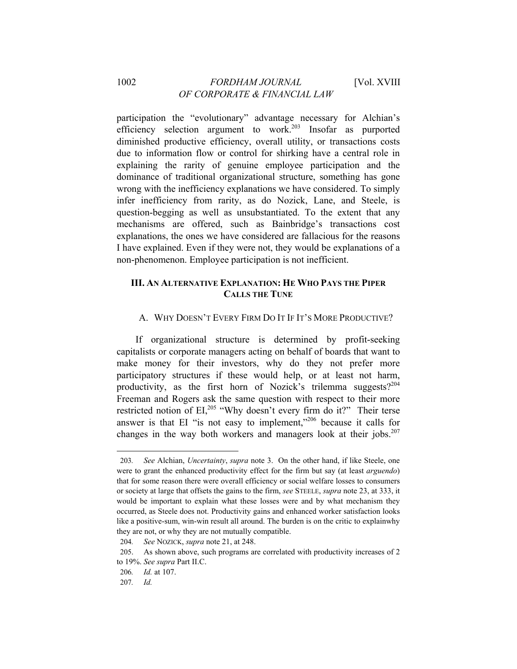### 1002 *FORDHAM JOURNAL* [Vol. XVIII *OF CORPORATE & FINANCIAL LAW*

participation the "evolutionary" advantage necessary for Alchian's efficiency selection argument to work.203 Insofar as purported diminished productive efficiency, overall utility, or transactions costs due to information flow or control for shirking have a central role in explaining the rarity of genuine employee participation and the dominance of traditional organizational structure, something has gone wrong with the inefficiency explanations we have considered. To simply infer inefficiency from rarity, as do Nozick, Lane, and Steele, is question-begging as well as unsubstantiated. To the extent that any mechanisms are offered, such as Bainbridge's transactions cost explanations, the ones we have considered are fallacious for the reasons I have explained. Even if they were not, they would be explanations of a non-phenomenon. Employee participation is not inefficient.

# **III. AN ALTERNATIVE EXPLANATION: HE WHO PAYS THE PIPER CALLS THE TUNE**

### A. WHY DOESN'T EVERY FIRM DO IT IF IT'S MORE PRODUCTIVE?

If organizational structure is determined by profit-seeking capitalists or corporate managers acting on behalf of boards that want to make money for their investors, why do they not prefer more participatory structures if these would help, or at least not harm, productivity, as the first horn of Nozick's trilemma suggests? $204$ Freeman and Rogers ask the same question with respect to their more restricted notion of EI,<sup>205</sup> "Why doesn't every firm do it?" Their terse answer is that EI "is not easy to implement," $206$  because it calls for changes in the way both workers and managers look at their jobs. $207$ 

<sup>203</sup>*. See* Alchian, *Uncertainty*, *supra* note 3. On the other hand, if like Steele, one were to grant the enhanced productivity effect for the firm but say (at least *arguendo*) that for some reason there were overall efficiency or social welfare losses to consumers or society at large that offsets the gains to the firm, *see* STEELE, *supra* note 23, at 333, it would be important to explain what these losses were and by what mechanism they occurred, as Steele does not. Productivity gains and enhanced worker satisfaction looks like a positive-sum, win-win result all around. The burden is on the critic to explainwhy they are not, or why they are not mutually compatible.

<sup>204</sup>*. See* NOZICK, *supra* note 21, at 248.

<sup>205.</sup> As shown above, such programs are correlated with productivity increases of 2 to 19%. *See supra* Part II.C.

<sup>206</sup>*. Id.* at 107.

<sup>207</sup>*. Id.*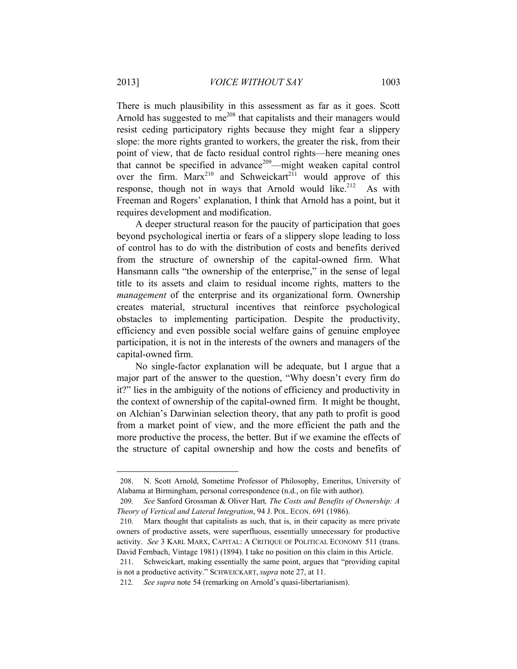There is much plausibility in this assessment as far as it goes. Scott Arnold has suggested to  $me^{208}$  that capitalists and their managers would resist ceding participatory rights because they might fear a slippery slope: the more rights granted to workers, the greater the risk, from their point of view, that de facto residual control rights—here meaning ones that cannot be specified in advance<sup>209</sup>—might weaken capital control over the firm.  $Marx^{210}$  and Schweickart<sup>211</sup> would approve of this response, though not in ways that Arnold would like.<sup>212</sup> As with Freeman and Rogers' explanation, I think that Arnold has a point, but it requires development and modification.

A deeper structural reason for the paucity of participation that goes beyond psychological inertia or fears of a slippery slope leading to loss of control has to do with the distribution of costs and benefits derived from the structure of ownership of the capital-owned firm. What Hansmann calls "the ownership of the enterprise," in the sense of legal title to its assets and claim to residual income rights, matters to the *management* of the enterprise and its organizational form. Ownership creates material, structural incentives that reinforce psychological obstacles to implementing participation. Despite the productivity, efficiency and even possible social welfare gains of genuine employee participation, it is not in the interests of the owners and managers of the capital-owned firm.

No single-factor explanation will be adequate, but I argue that a major part of the answer to the question, "Why doesn't every firm do it?" lies in the ambiguity of the notions of efficiency and productivity in the context of ownership of the capital-owned firm. It might be thought, on Alchian's Darwinian selection theory, that any path to profit is good from a market point of view, and the more efficient the path and the more productive the process, the better. But if we examine the effects of the structure of capital ownership and how the costs and benefits of

<sup>208.</sup> N. Scott Arnold, Sometime Professor of Philosophy, Emeritus, University of Alabama at Birmingham, personal correspondence (n.d., on file with author).

<sup>209</sup>*. See* Sanford Grossman & Oliver Hart*, The Costs and Benefits of Ownership: A Theory of Vertical and Lateral Integration*, 94 J. POL. ECON. 691 (1986).

<sup>210.</sup> Marx thought that capitalists as such, that is, in their capacity as mere private owners of productive assets, were superfluous, essentially unnecessary for productive activity. *See* 3 KARL MARX, CAPITAL: A CRITIQUE OF POLITICAL ECONOMY 511 (trans. David Fernbach, Vintage 1981) (1894). I take no position on this claim in this Article.

<sup>211.</sup> Schweickart, making essentially the same point, argues that "providing capital is not a productive activity." SCHWEICKART, *supra* note 27, at 11.

<sup>212</sup>*. See supra* note 54 (remarking on Arnold's quasi-libertarianism).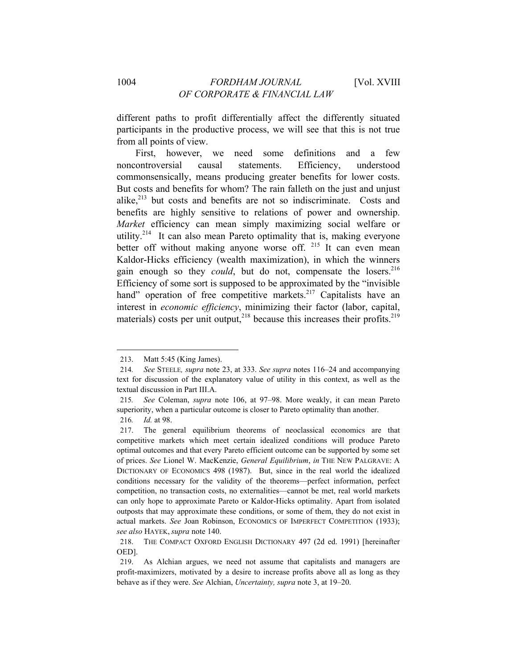different paths to profit differentially affect the differently situated participants in the productive process, we will see that this is not true from all points of view.

First, however, we need some definitions and a few noncontroversial causal statements. Efficiency, understood commonsensically, means producing greater benefits for lower costs. But costs and benefits for whom? The rain falleth on the just and unjust alike,<sup>213</sup> but costs and benefits are not so indiscriminate. Costs and benefits are highly sensitive to relations of power and ownership. *Market* efficiency can mean simply maximizing social welfare or utility.<sup>214</sup> It can also mean Pareto optimality that is, making everyone better off without making anyone worse off.  $215$  It can even mean Kaldor-Hicks efficiency (wealth maximization), in which the winners gain enough so they *could*, but do not, compensate the losers.<sup>216</sup> Efficiency of some sort is supposed to be approximated by the "invisible hand" operation of free competitive markets. $217$  Capitalists have an interest in *economic efficiency*, minimizing their factor (labor, capital, materials) costs per unit output,  $2^{18}$  because this increases their profits.  $2^{19}$ 

<sup>213.</sup> Matt 5:45 (King James).

<sup>214</sup>*. See* STEELE*, supra* note 23, at 333. *See supra* notes 116–24 and accompanying text for discussion of the explanatory value of utility in this context, as well as the textual discussion in Part III.A.

<sup>215</sup>*. See* Coleman, *supra* note 106, at 97–98. More weakly, it can mean Pareto superiority, when a particular outcome is closer to Pareto optimality than another.

<sup>216</sup>*. Id.* at 98.

<sup>217.</sup> The general equilibrium theorems of neoclassical economics are that competitive markets which meet certain idealized conditions will produce Pareto optimal outcomes and that every Pareto efficient outcome can be supported by some set of prices. *See* Lionel W. MacKenzie, *General Equilibrium*, *in* THE NEW PALGRAVE: A DICTIONARY OF ECONOMICS 498 (1987). But, since in the real world the idealized conditions necessary for the validity of the theorems—perfect information, perfect competition, no transaction costs, no externalities—cannot be met, real world markets can only hope to approximate Pareto or Kaldor-Hicks optimality. Apart from isolated outposts that may approximate these conditions, or some of them, they do not exist in actual markets. *See* Joan Robinson, ECONOMICS OF IMPERFECT COMPETITION (1933); *see also* HAYEK, *supra* note 140.

<sup>218.</sup> THE COMPACT OXFORD ENGLISH DICTIONARY 497 (2d ed. 1991) [hereinafter OED].

<sup>219.</sup> As Alchian argues, we need not assume that capitalists and managers are profit-maximizers, motivated by a desire to increase profits above all as long as they behave as if they were. *See* Alchian, *Uncertainty, supra* note 3, at 19–20.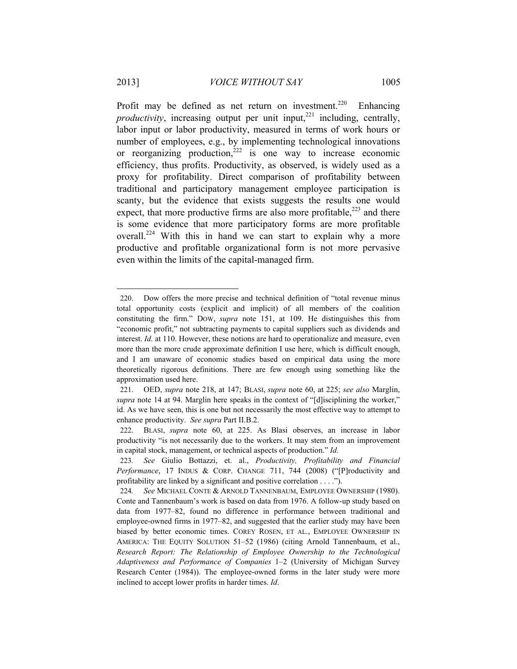Profit may be defined as net return on investment.<sup>220</sup> Enhancing *productivity*, increasing output per unit input, $^{221}$  including, centrally, labor input or labor productivity, measured in terms of work hours or number of employees, e.g., by implementing technological innovations or reorganizing production, $222$  is one way to increase economic efficiency, thus profits. Productivity, as observed, is widely used as a proxy for profitability. Direct comparison of profitability between traditional and participatory management employee participation is scanty, but the evidence that exists suggests the results one would expect, that more productive firms are also more profitable, $223$  and there is some evidence that more participatory forms are more profitable overall.<sup>224</sup> With this in hand we can start to explain why a more productive and profitable organizational form is not more pervasive even within the limits of the capital-managed firm.

<sup>220.</sup> Dow offers the more precise and technical definition of "total revenue minus total opportunity costs (explicit and implicit) of all members of the coalition constituting the firm." DOW, *supra* note 151, at 109. He distinguishes this from "economic profit," not subtracting payments to capital suppliers such as dividends and interest. *Id.* at 110. However, these notions are hard to operationalize and measure, even more than the more crude approximate definition I use here, which is difficult enough, and I am unaware of economic studies based on empirical data using the more theoretically rigorous definitions. There are few enough using something like the approximation used here.

<sup>221.</sup> OED, *supra* note 218, at 147; BLASI, *supra* note 60, at 225; *see also* Marglin, *supra* note 14 at 94. Marglin here speaks in the context of "[d]isciplining the worker," id. As we have seen, this is one but not necessarily the most effective way to attempt to enhance productivity. *See supra* Part II.B.2.

<sup>222.</sup> BLASI, *supra* note 60, at 225. As Blasi observes, an increase in labor productivity "is not necessarily due to the workers. It may stem from an improvement in capital stock, management, or technical aspects of production." *Id.* 

<sup>223</sup>*. See* Giulio Bottazzi, et. al., *Productivity, Profitability and Financial Performance*, 17 INDUS & CORP. CHANGE 711, 744 (2008) ("[P]roductivity and profitability are linked by a significant and positive correlation . . . .").

<sup>224</sup>*. See* MICHAEL CONTE & ARNOLD TANNENBAUM, EMPLOYEE OWNERSHIP (1980). Conte and Tannenbaum's work is based on data from 1976. A follow-up study based on data from 1977–82, found no difference in performance between traditional and employee-owned firms in 1977–82, and suggested that the earlier study may have been biased by better economic times. COREY ROSEN, ET AL., EMPLOYEE OWNERSHIP IN AMERICA: THE EQUITY SOLUTION 51–52 (1986) (citing Arnold Tannenbaum, et al., *Research Report: The Relationship of Employee Ownership to the Technological Adaptiveness and Performance of Companies* 1–2 (University of Michigan Survey Research Center (1984)). The employee-owned forms in the later study were more inclined to accept lower profits in harder times. *Id*.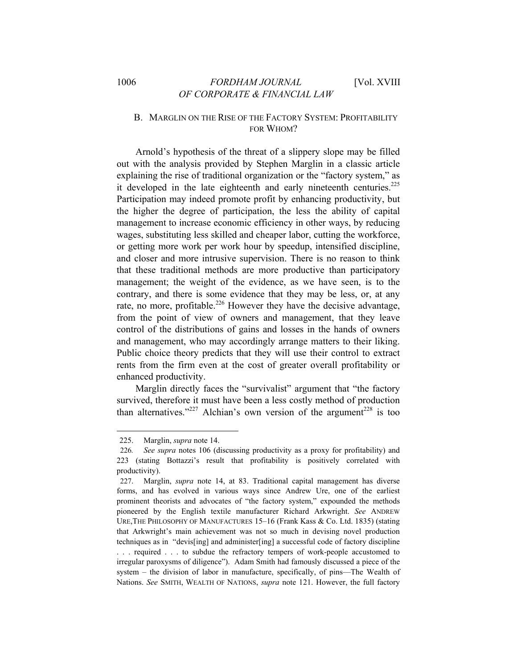# 1006 *FORDHAM JOURNAL* [Vol. XVIII *OF CORPORATE & FINANCIAL LAW*

# B. MARGLIN ON THE RISE OF THE FACTORY SYSTEM: PROFITABILITY FOR WHOM?

Arnold's hypothesis of the threat of a slippery slope may be filled out with the analysis provided by Stephen Marglin in a classic article explaining the rise of traditional organization or the "factory system," as it developed in the late eighteenth and early nineteenth centuries.<sup>225</sup> Participation may indeed promote profit by enhancing productivity, but the higher the degree of participation, the less the ability of capital management to increase economic efficiency in other ways, by reducing wages, substituting less skilled and cheaper labor, cutting the workforce, or getting more work per work hour by speedup, intensified discipline, and closer and more intrusive supervision. There is no reason to think that these traditional methods are more productive than participatory management; the weight of the evidence, as we have seen, is to the contrary, and there is some evidence that they may be less, or, at any rate, no more, profitable.<sup>226</sup> However they have the decisive advantage, from the point of view of owners and management, that they leave control of the distributions of gains and losses in the hands of owners and management, who may accordingly arrange matters to their liking. Public choice theory predicts that they will use their control to extract rents from the firm even at the cost of greater overall profitability or enhanced productivity.

Marglin directly faces the "survivalist" argument that "the factory survived, therefore it must have been a less costly method of production than alternatives."<sup>227</sup> Alchian's own version of the argument<sup>228</sup> is too

 <sup>225.</sup> Marglin, *supra* note 14.

<sup>226</sup>*. See supra* notes 106 (discussing productivity as a proxy for profitability) and 223 (stating Bottazzi's result that profitability is positively correlated with productivity).

<sup>227.</sup> Marglin, *supra* note 14, at 83. Traditional capital management has diverse forms, and has evolved in various ways since Andrew Ure, one of the earliest prominent theorists and advocates of "the factory system," expounded the methods pioneered by the English textile manufacturer Richard Arkwright. *See* ANDREW URE,THE PHILOSOPHY OF MANUFACTURES 15–16 (Frank Kass & Co. Ltd. 1835) (stating that Arkwright's main achievement was not so much in devising novel production techniques as in "devis[ing] and administer[ing] a successful code of factory discipline . . . required . . . to subdue the refractory tempers of work-people accustomed to irregular paroxysms of diligence"). Adam Smith had famously discussed a piece of the system – the division of labor in manufacture, specifically, of pins—The Wealth of Nations. *See* SMITH, WEALTH OF NATIONS, *supra* note 121. However, the full factory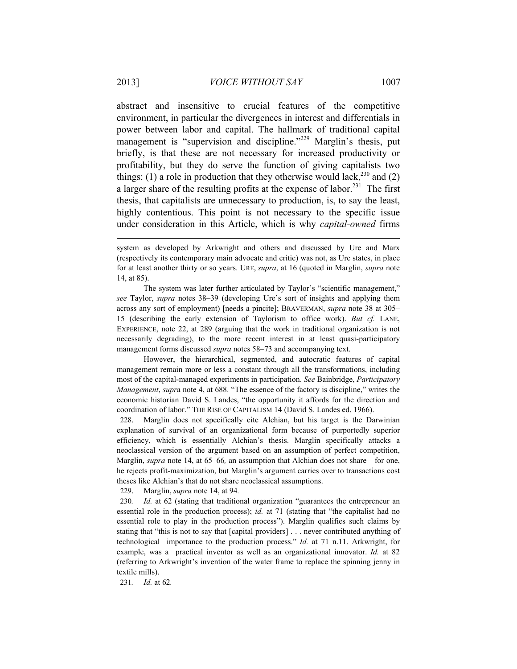abstract and insensitive to crucial features of the competitive environment, in particular the divergences in interest and differentials in power between labor and capital. The hallmark of traditional capital management is "supervision and discipline."<sup>229</sup> Marglin's thesis, put briefly, is that these are not necessary for increased productivity or profitability, but they do serve the function of giving capitalists two things: (1) a role in production that they otherwise would lack,<sup>230</sup> and (2) a larger share of the resulting profits at the expense of labor.<sup>231</sup> The first thesis, that capitalists are unnecessary to production, is, to say the least, highly contentious. This point is not necessary to the specific issue under consideration in this Article, which is why *capital-owned* firms

 The system was later further articulated by Taylor's "scientific management," *see* Taylor, *supra* notes 38–39 (developing Ure's sort of insights and applying them across any sort of employment) [needs a pincite]; BRAVERMAN, *supra* note 38 at 305– 15 (describing the early extension of Taylorism to office work). *But cf.* LANE, EXPERIENCE, note 22, at 289 (arguing that the work in traditional organization is not necessarily degrading), to the more recent interest in at least quasi-participatory management forms discussed *supra* notes 58–73 and accompanying text.

 However, the hierarchical, segmented, and autocratic features of capital management remain more or less a constant through all the transformations, including most of the capital-managed experiments in participation. *See* Bainbridge, *Participatory Management*, *supr*a note 4, at 688. "The essence of the factory is discipline," writes the economic historian David S. Landes, "the opportunity it affords for the direction and coordination of labor." THE RISE OF CAPITALISM 14 (David S. Landes ed. 1966).

228. Marglin does not specifically cite Alchian, but his target is the Darwinian explanation of survival of an organizational form because of purportedly superior efficiency, which is essentially Alchian's thesis. Marglin specifically attacks a neoclassical version of the argument based on an assumption of perfect competition, Marglin, *supra* note 14, at 65–66*,* an assumption that Alchian does not share—for one, he rejects profit-maximization, but Marglin's argument carries over to transactions cost theses like Alchian's that do not share neoclassical assumptions.

229. Marglin, *supra* note 14, at 94*.* 

230*. Id.* at 62 (stating that traditional organization "guarantees the entrepreneur an essential role in the production process); *id.* at 71 (stating that "the capitalist had no essential role to play in the production process"). Marglin qualifies such claims by stating that "this is not to say that [capital providers] . . . never contributed anything of technological importance to the production process." *Id.* at 71 n.11. Arkwright, for example, was a practical inventor as well as an organizational innovator. *Id.* at 82 (referring to Arkwright's invention of the water frame to replace the spinning jenny in textile mills).

231*. Id.* at 62*.* 

system as developed by Arkwright and others and discussed by Ure and Marx (respectively its contemporary main advocate and critic) was not, as Ure states, in place for at least another thirty or so years. URE, *supra*, at 16 (quoted in Marglin, *supra* note 14, at 85).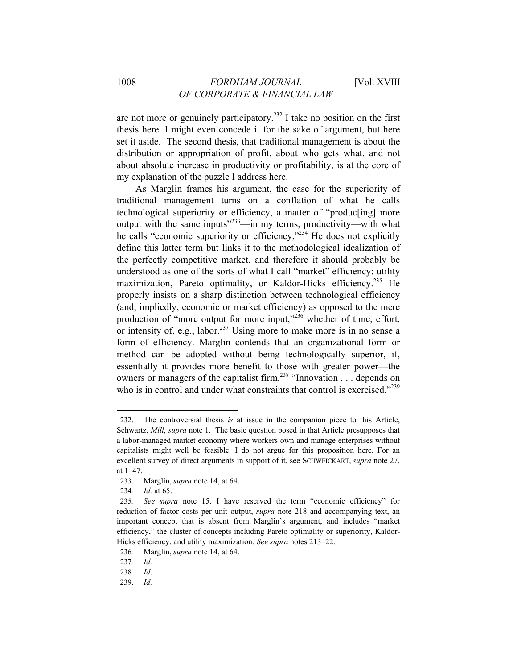are not more or genuinely participatory.<sup>232</sup> I take no position on the first thesis here. I might even concede it for the sake of argument, but here set it aside. The second thesis, that traditional management is about the distribution or appropriation of profit, about who gets what, and not about absolute increase in productivity or profitability, is at the core of my explanation of the puzzle I address here.

As Marglin frames his argument, the case for the superiority of traditional management turns on a conflation of what he calls technological superiority or efficiency, a matter of "produc[ing] more output with the same inputs"233—in my terms, productivity—with what he calls "economic superiority or efficiency,"<sup>234</sup> He does not explicitly define this latter term but links it to the methodological idealization of the perfectly competitive market, and therefore it should probably be understood as one of the sorts of what I call "market" efficiency: utility maximization, Pareto optimality, or Kaldor-Hicks efficiency.<sup>235</sup> He properly insists on a sharp distinction between technological efficiency (and, impliedly, economic or market efficiency) as opposed to the mere production of "more output for more input,"<sup>236</sup> whether of time, effort, or intensity of, e.g., labor.<sup>237</sup> Using more to make more is in no sense a form of efficiency. Marglin contends that an organizational form or method can be adopted without being technologically superior, if, essentially it provides more benefit to those with greater power—the owners or managers of the capitalist firm.<sup>238</sup> "Innovation . . . depends on who is in control and under what constraints that control is exercised.<sup>2239</sup>

<sup>232.</sup> The controversial thesis *is* at issue in the companion piece to this Article, Schwartz, *Mill, supra* note 1. The basic question posed in that Article presupposes that a labor-managed market economy where workers own and manage enterprises without capitalists might well be feasible. I do not argue for this proposition here. For an excellent survey of direct arguments in support of it, see SCHWEICKART, *supra* note 27, at 1–47.

<sup>233.</sup> Marglin, *supra* note 14, at 64.

<sup>234</sup>*. Id.* at 65.

<sup>235</sup>*. See supra* note 15. I have reserved the term "economic efficiency" for reduction of factor costs per unit output, *supra* note 218 and accompanying text, an important concept that is absent from Marglin's argument, and includes "market efficiency," the cluster of concepts including Pareto optimality or superiority, Kaldor-Hicks efficiency, and utility maximization. *See supra* notes 213–22.

<sup>236</sup>*.* Marglin, *supra* note 14, at 64.

<sup>237</sup>*. Id.* 

<sup>238</sup>*. Id*.

<sup>239.</sup> *Id.*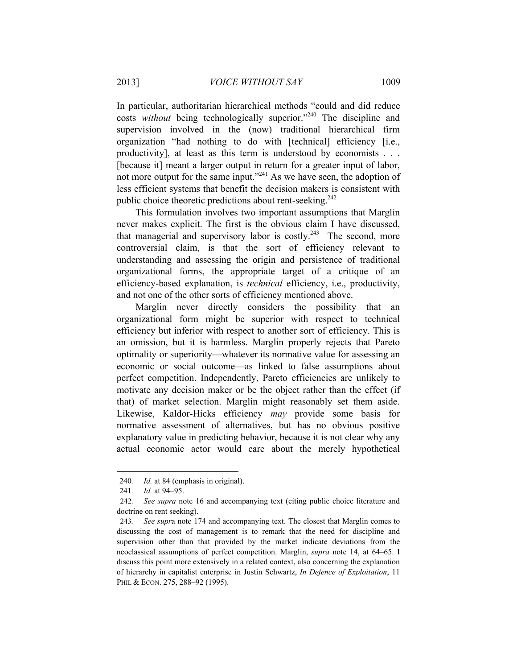In particular, authoritarian hierarchical methods "could and did reduce costs *without* being technologically superior."240 The discipline and supervision involved in the (now) traditional hierarchical firm organization "had nothing to do with [technical] efficiency [i.e., productivity], at least as this term is understood by economists . . . [because it] meant a larger output in return for a greater input of labor, not more output for the same input."<sup>241</sup> As we have seen, the adoption of less efficient systems that benefit the decision makers is consistent with public choice theoretic predictions about rent-seeking.<sup>242</sup>

This formulation involves two important assumptions that Marglin never makes explicit. The first is the obvious claim I have discussed, that managerial and supervisory labor is costly.<sup>243</sup> The second, more controversial claim, is that the sort of efficiency relevant to understanding and assessing the origin and persistence of traditional organizational forms, the appropriate target of a critique of an efficiency-based explanation, is *technical* efficiency, i.e., productivity, and not one of the other sorts of efficiency mentioned above.

Marglin never directly considers the possibility that an organizational form might be superior with respect to technical efficiency but inferior with respect to another sort of efficiency. This is an omission, but it is harmless. Marglin properly rejects that Pareto optimality or superiority—whatever its normative value for assessing an economic or social outcome—as linked to false assumptions about perfect competition. Independently, Pareto efficiencies are unlikely to motivate any decision maker or be the object rather than the effect (if that) of market selection. Marglin might reasonably set them aside. Likewise, Kaldor-Hicks efficiency *may* provide some basis for normative assessment of alternatives, but has no obvious positive explanatory value in predicting behavior, because it is not clear why any actual economic actor would care about the merely hypothetical

<sup>240</sup>*. Id.* at 84 (emphasis in original).

<sup>241</sup>*. Id.* at 94–95.

<sup>242</sup>*. See supra* note 16 and accompanying text (citing public choice literature and doctrine on rent seeking).

<sup>243</sup>*. See supr*a note 174 and accompanying text. The closest that Marglin comes to discussing the cost of management is to remark that the need for discipline and supervision other than that provided by the market indicate deviations from the neoclassical assumptions of perfect competition. Marglin, *supra* note 14, at 64–65. I discuss this point more extensively in a related context, also concerning the explanation of hierarchy in capitalist enterprise in Justin Schwartz, *In Defence of Exploitation*, 11 PHIL & ECON. 275, 288-92 (1995).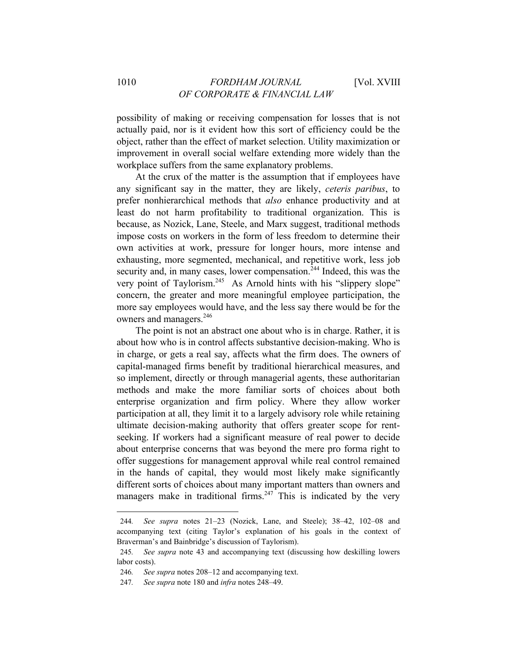possibility of making or receiving compensation for losses that is not actually paid, nor is it evident how this sort of efficiency could be the object, rather than the effect of market selection. Utility maximization or improvement in overall social welfare extending more widely than the workplace suffers from the same explanatory problems.

At the crux of the matter is the assumption that if employees have any significant say in the matter, they are likely, *ceteris paribus*, to prefer nonhierarchical methods that *also* enhance productivity and at least do not harm profitability to traditional organization. This is because, as Nozick, Lane, Steele, and Marx suggest, traditional methods impose costs on workers in the form of less freedom to determine their own activities at work, pressure for longer hours, more intense and exhausting, more segmented, mechanical, and repetitive work, less job security and, in many cases, lower compensation.<sup>244</sup> Indeed, this was the very point of Taylorism.<sup>245</sup> As Arnold hints with his "slippery slope" concern, the greater and more meaningful employee participation, the more say employees would have, and the less say there would be for the owners and managers.<sup>246</sup>

The point is not an abstract one about who is in charge. Rather, it is about how who is in control affects substantive decision-making. Who is in charge, or gets a real say, affects what the firm does. The owners of capital-managed firms benefit by traditional hierarchical measures, and so implement, directly or through managerial agents, these authoritarian methods and make the more familiar sorts of choices about both enterprise organization and firm policy. Where they allow worker participation at all, they limit it to a largely advisory role while retaining ultimate decision-making authority that offers greater scope for rentseeking. If workers had a significant measure of real power to decide about enterprise concerns that was beyond the mere pro forma right to offer suggestions for management approval while real control remained in the hands of capital, they would most likely make significantly different sorts of choices about many important matters than owners and managers make in traditional firms.<sup>247</sup> This is indicated by the very

<sup>244</sup>*. See supra* notes 21–23 (Nozick, Lane, and Steele); 38–42, 102–08 and accompanying text (citing Taylor's explanation of his goals in the context of Braverman's and Bainbridge's discussion of Taylorism).

<sup>245</sup>*. See supra* note 43 and accompanying text (discussing how deskilling lowers labor costs).

<sup>246</sup>*. See supra* notes 208–12 and accompanying text.

<sup>247</sup>*. See supra* note 180 and *infra* notes 248–49.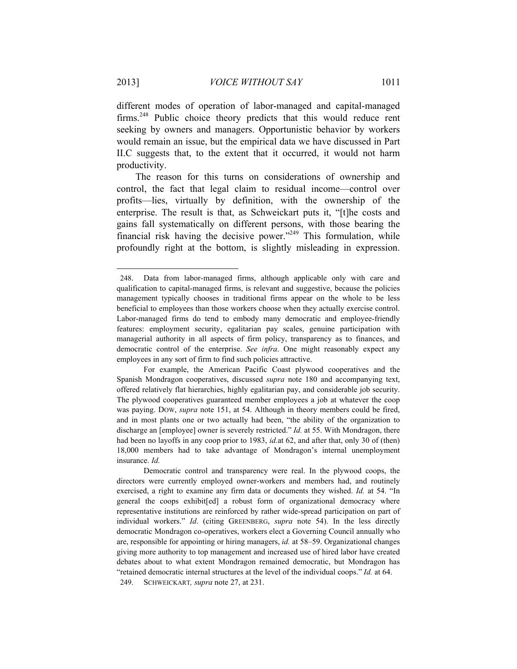different modes of operation of labor-managed and capital-managed firms.248 Public choice theory predicts that this would reduce rent seeking by owners and managers. Opportunistic behavior by workers would remain an issue, but the empirical data we have discussed in Part II.C suggests that, to the extent that it occurred, it would not harm productivity.

The reason for this turns on considerations of ownership and control, the fact that legal claim to residual income—control over profits—lies, virtually by definition, with the ownership of the enterprise. The result is that, as Schweickart puts it, "[t]he costs and gains fall systematically on different persons, with those bearing the financial risk having the decisive power."<sup>249</sup> This formulation, while profoundly right at the bottom, is slightly misleading in expression.

<sup>248.</sup> Data from labor-managed firms, although applicable only with care and qualification to capital-managed firms, is relevant and suggestive, because the policies management typically chooses in traditional firms appear on the whole to be less beneficial to employees than those workers choose when they actually exercise control. Labor-managed firms do tend to embody many democratic and employee-friendly features: employment security, egalitarian pay scales, genuine participation with managerial authority in all aspects of firm policy, transparency as to finances, and democratic control of the enterprise. *See infra*. One might reasonably expect any employees in any sort of firm to find such policies attractive.

For example, the American Pacific Coast plywood cooperatives and the Spanish Mondragon cooperatives, discussed *supra* note 180 and accompanying text, offered relatively flat hierarchies, highly egalitarian pay, and considerable job security. The plywood cooperatives guaranteed member employees a job at whatever the coop was paying. DOW, *supra* note 151, at 54. Although in theory members could be fired, and in most plants one or two actually had been, "the ability of the organization to discharge an [employee] owner is severely restricted." *Id.* at 55. With Mondragon, there had been no layoffs in any coop prior to 1983, *id.*at 62, and after that, only 30 of (then) 18,000 members had to take advantage of Mondragon's internal unemployment insurance. *Id.* 

Democratic control and transparency were real. In the plywood coops, the directors were currently employed owner-workers and members had, and routinely exercised, a right to examine any firm data or documents they wished. *Id.* at 54. "In general the coops exhibit[ed] a robust form of organizational democracy where representative institutions are reinforced by rather wide-spread participation on part of individual workers." *Id*. (citing GREENBERG, *supra* note 54). In the less directly democratic Mondragon co-operatives, workers elect a Governing Council annually who are, responsible for appointing or hiring managers, *id.* at 58–59. Organizational changes giving more authority to top management and increased use of hired labor have created debates about to what extent Mondragon remained democratic, but Mondragon has "retained democratic internal structures at the level of the individual coops." *Id.* at 64. 249. SCHWEICKART*, supra* note 27, at 231.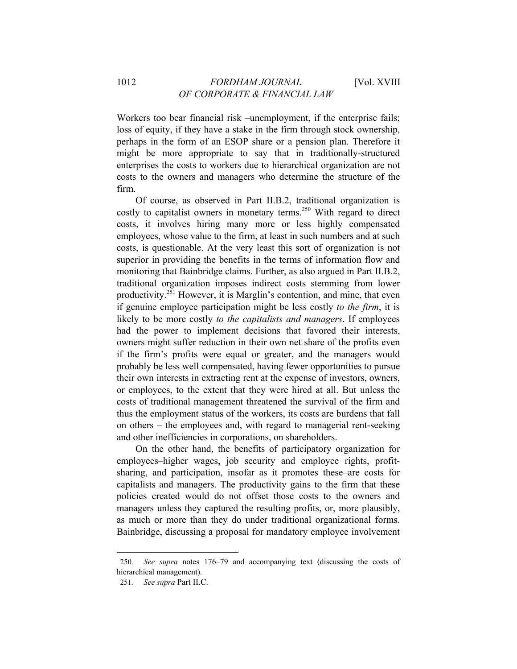Workers too bear financial risk –unemployment, if the enterprise fails; loss of equity, if they have a stake in the firm through stock ownership, perhaps in the form of an ESOP share or a pension plan. Therefore it might be more appropriate to say that in traditionally-structured enterprises the costs to workers due to hierarchical organization are not costs to the owners and managers who determine the structure of the firm.

Of course, as observed in Part II.B.2, traditional organization is costly to capitalist owners in monetary terms.<sup>250</sup> With regard to direct costs, it involves hiring many more or less highly compensated employees, whose value to the firm, at least in such numbers and at such costs, is questionable. At the very least this sort of organization is not superior in providing the benefits in the terms of information flow and monitoring that Bainbridge claims. Further, as also argued in Part II.B.2, traditional organization imposes indirect costs stemming from lower productivity.251 However, it is Marglin's contention, and mine, that even if genuine employee participation might be less costly *to the firm*, it is likely to be more costly *to the capitalists and managers*. If employees had the power to implement decisions that favored their interests, owners might suffer reduction in their own net share of the profits even if the firm's profits were equal or greater, and the managers would probably be less well compensated, having fewer opportunities to pursue their own interests in extracting rent at the expense of investors, owners, or employees, to the extent that they were hired at all. But unless the costs of traditional management threatened the survival of the firm and thus the employment status of the workers, its costs are burdens that fall on others – the employees and, with regard to managerial rent-seeking and other inefficiencies in corporations, on shareholders.

On the other hand, the benefits of participatory organization for employees–higher wages, job security and employee rights, profitsharing, and participation, insofar as it promotes these–are costs for capitalists and managers. The productivity gains to the firm that these policies created would do not offset those costs to the owners and managers unless they captured the resulting profits, or, more plausibly, as much or more than they do under traditional organizational forms. Bainbridge, discussing a proposal for mandatory employee involvement

<sup>250</sup>*. See supra* notes 176–79 and accompanying text (discussing the costs of hierarchical management).

<sup>251</sup>*. See supra* Part II.C.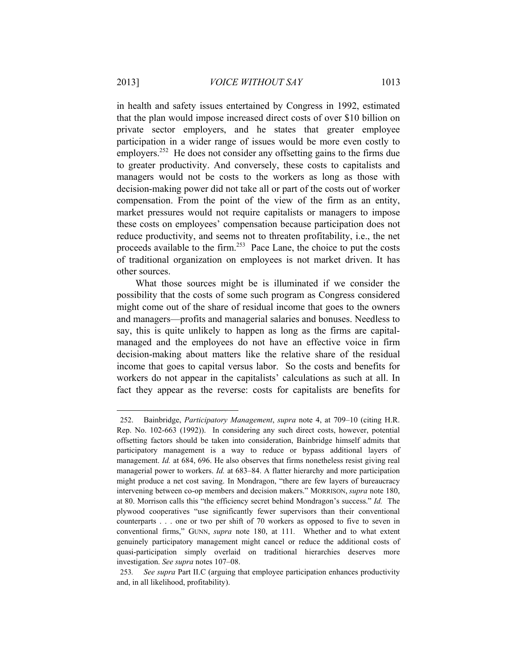in health and safety issues entertained by Congress in 1992, estimated that the plan would impose increased direct costs of over \$10 billion on private sector employers, and he states that greater employee participation in a wider range of issues would be more even costly to employers.<sup>252</sup> He does not consider any offsetting gains to the firms due to greater productivity. And conversely, these costs to capitalists and managers would not be costs to the workers as long as those with decision-making power did not take all or part of the costs out of worker compensation. From the point of the view of the firm as an entity, market pressures would not require capitalists or managers to impose these costs on employees' compensation because participation does not reduce productivity, and seems not to threaten profitability, i.e., the net proceeds available to the firm.<sup>253</sup> Pace Lane, the choice to put the costs of traditional organization on employees is not market driven. It has other sources.

What those sources might be is illuminated if we consider the possibility that the costs of some such program as Congress considered might come out of the share of residual income that goes to the owners and managers—profits and managerial salaries and bonuses. Needless to say, this is quite unlikely to happen as long as the firms are capitalmanaged and the employees do not have an effective voice in firm decision-making about matters like the relative share of the residual income that goes to capital versus labor. So the costs and benefits for workers do not appear in the capitalists' calculations as such at all. In fact they appear as the reverse: costs for capitalists are benefits for

<sup>252.</sup> Bainbridge, *Participatory Management*, *supra* note 4, at 709–10 (citing H.R. Rep. No. 102-663 (1992)). In considering any such direct costs, however, potential offsetting factors should be taken into consideration, Bainbridge himself admits that participatory management is a way to reduce or bypass additional layers of management. *Id.* at 684, 696. He also observes that firms nonetheless resist giving real managerial power to workers. *Id.* at 683–84. A flatter hierarchy and more participation might produce a net cost saving. In Mondragon, "there are few layers of bureaucracy intervening between co-op members and decision makers." MORRISON, *supra* note 180, at 80. Morrison calls this "the efficiency secret behind Mondragon's success." *Id.* The plywood cooperatives "use significantly fewer supervisors than their conventional counterparts . . . one or two per shift of 70 workers as opposed to five to seven in conventional firms," GUNN, *supra* note 180, at 111*.* Whether and to what extent genuinely participatory management might cancel or reduce the additional costs of quasi-participation simply overlaid on traditional hierarchies deserves more investigation. *See supra* notes 107–08.

<sup>253</sup>*. See supra* Part II.C (arguing that employee participation enhances productivity and, in all likelihood, profitability).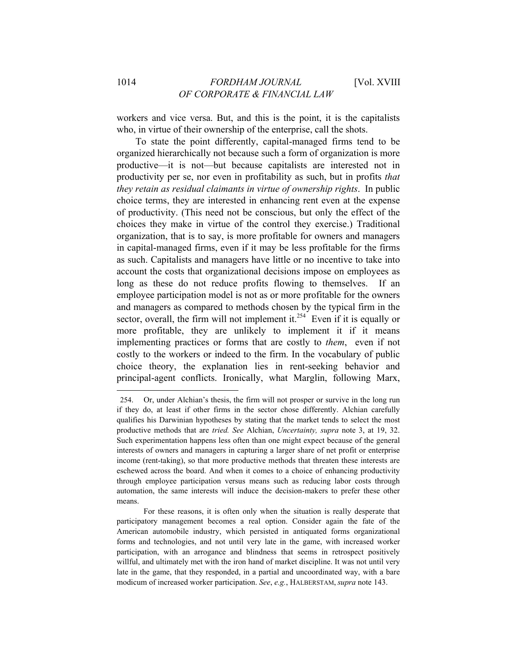workers and vice versa. But, and this is the point, it is the capitalists who, in virtue of their ownership of the enterprise, call the shots.

To state the point differently, capital-managed firms tend to be organized hierarchically not because such a form of organization is more productive—it is not—but because capitalists are interested not in productivity per se, nor even in profitability as such, but in profits *that they retain as residual claimants in virtue of ownership rights*. In public choice terms, they are interested in enhancing rent even at the expense of productivity. (This need not be conscious, but only the effect of the choices they make in virtue of the control they exercise.) Traditional organization, that is to say, is more profitable for owners and managers in capital-managed firms, even if it may be less profitable for the firms as such. Capitalists and managers have little or no incentive to take into account the costs that organizational decisions impose on employees as long as these do not reduce profits flowing to themselves. If an employee participation model is not as or more profitable for the owners and managers as compared to methods chosen by the typical firm in the sector, overall, the firm will not implement it.<sup>254</sup> Even if it is equally or more profitable, they are unlikely to implement it if it means implementing practices or forms that are costly to *them*, even if not costly to the workers or indeed to the firm. In the vocabulary of public choice theory, the explanation lies in rent-seeking behavior and principal-agent conflicts. Ironically, what Marglin, following Marx,

<sup>254.</sup> Or, under Alchian's thesis, the firm will not prosper or survive in the long run if they do, at least if other firms in the sector chose differently. Alchian carefully qualifies his Darwinian hypotheses by stating that the market tends to select the most productive methods that are *tried. See* Alchian, *Uncertainty, supra* note 3, at 19, 32. Such experimentation happens less often than one might expect because of the general interests of owners and managers in capturing a larger share of net profit or enterprise income (rent-taking), so that more productive methods that threaten these interests are eschewed across the board. And when it comes to a choice of enhancing productivity through employee participation versus means such as reducing labor costs through automation, the same interests will induce the decision-makers to prefer these other means.

For these reasons, it is often only when the situation is really desperate that participatory management becomes a real option. Consider again the fate of the American automobile industry, which persisted in antiquated forms organizational forms and technologies, and not until very late in the game, with increased worker participation, with an arrogance and blindness that seems in retrospect positively willful, and ultimately met with the iron hand of market discipline. It was not until very late in the game, that they responded, in a partial and uncoordinated way, with a bare modicum of increased worker participation. *See*, *e.g.*, HALBERSTAM, *supra* note 143.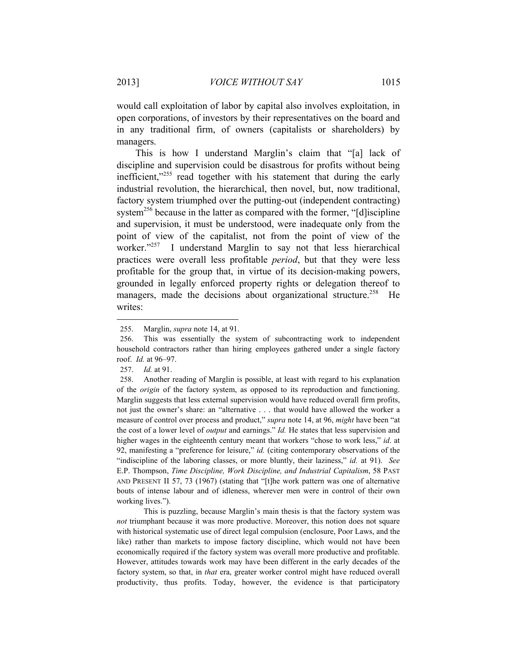would call exploitation of labor by capital also involves exploitation, in open corporations, of investors by their representatives on the board and in any traditional firm, of owners (capitalists or shareholders) by managers.

This is how I understand Marglin's claim that "[a] lack of discipline and supervision could be disastrous for profits without being inefficient, $x^{255}$  read together with his statement that during the early industrial revolution, the hierarchical, then novel, but, now traditional, factory system triumphed over the putting-out (independent contracting) system<sup>256</sup> because in the latter as compared with the former, "[d] iscipline and supervision, it must be understood, were inadequate only from the point of view of the capitalist, not from the point of view of the worker."<sup>257</sup> I understand Marglin to say not that less hierarchical practices were overall less profitable *period*, but that they were less profitable for the group that, in virtue of its decision-making powers, grounded in legally enforced property rights or delegation thereof to managers, made the decisions about organizational structure.<sup>258</sup> He writes:

l

 This is puzzling, because Marglin's main thesis is that the factory system was *not* triumphant because it was more productive. Moreover, this notion does not square with historical systematic use of direct legal compulsion (enclosure, Poor Laws, and the like) rather than markets to impose factory discipline, which would not have been economically required if the factory system was overall more productive and profitable. However, attitudes towards work may have been different in the early decades of the factory system, so that, in *that* era, greater worker control might have reduced overall productivity, thus profits. Today, however, the evidence is that participatory

<sup>255.</sup> Marglin, *supra* note 14, at 91.

<sup>256.</sup> This was essentially the system of subcontracting work to independent household contractors rather than hiring employees gathered under a single factory roof. *Id.* at 96–97.

<sup>257.</sup> *Id.* at 91.

<sup>258.</sup> Another reading of Marglin is possible, at least with regard to his explanation of the *origin* of the factory system, as opposed to its reproduction and functioning. Marglin suggests that less external supervision would have reduced overall firm profits, not just the owner's share: an "alternative . . . that would have allowed the worker a measure of control over process and product," *supra* note 14, at 96, *might* have been "at the cost of a lower level of *output* and earnings." *Id.* He states that less supervision and higher wages in the eighteenth century meant that workers "chose to work less," *id*. at 92, manifesting a "preference for leisure," *id.* (citing contemporary observations of the "indiscipline of the laboring classes, or more bluntly, their laziness," *id.* at 91). *See*  E.P. Thompson, *Time Discipline, Work Discipline, and Industrial Capitalism*, 58 PAST AND PRESENT II 57, 73 (1967) (stating that "[t]he work pattern was one of alternative bouts of intense labour and of idleness, wherever men were in control of their own working lives.").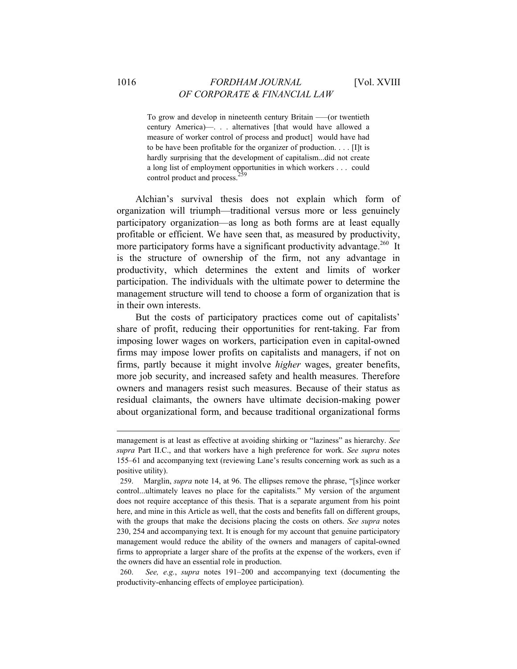To grow and develop in nineteenth century Britain —–(or twentieth century America)—. . . alternatives [that would have allowed a measure of worker control of process and product] would have had to be have been profitable for the organizer of production. . . . [I]t is hardly surprising that the development of capitalism...did not create a long list of employment opportunities in which workers . . . could control product and process.

Alchian's survival thesis does not explain which form of organization will triumph—traditional versus more or less genuinely participatory organization—as long as both forms are at least equally profitable or efficient. We have seen that, as measured by productivity, more participatory forms have a significant productivity advantage.<sup>260</sup> It is the structure of ownership of the firm, not any advantage in productivity, which determines the extent and limits of worker participation. The individuals with the ultimate power to determine the management structure will tend to choose a form of organization that is in their own interests.

But the costs of participatory practices come out of capitalists' share of profit, reducing their opportunities for rent-taking. Far from imposing lower wages on workers, participation even in capital-owned firms may impose lower profits on capitalists and managers, if not on firms, partly because it might involve *higher* wages, greater benefits, more job security, and increased safety and health measures. Therefore owners and managers resist such measures. Because of their status as residual claimants, the owners have ultimate decision-making power about organizational form, and because traditional organizational forms

260. *See, e.g.*, *supra* notes 191–200 and accompanying text (documenting the productivity-enhancing effects of employee participation).

management is at least as effective at avoiding shirking or "laziness" as hierarchy. *See supra* Part II.C., and that workers have a high preference for work. *See supra* notes 155–61 and accompanying text (reviewing Lane's results concerning work as such as a positive utility).

<sup>259.</sup> Marglin, *supra* note 14, at 96. The ellipses remove the phrase, "[s]ince worker control...ultimately leaves no place for the capitalists." My version of the argument does not require acceptance of this thesis. That is a separate argument from his point here, and mine in this Article as well, that the costs and benefits fall on different groups, with the groups that make the decisions placing the costs on others. *See supra* notes 230, 254 and accompanying text. It is enough for my account that genuine participatory management would reduce the ability of the owners and managers of capital-owned firms to appropriate a larger share of the profits at the expense of the workers, even if the owners did have an essential role in production.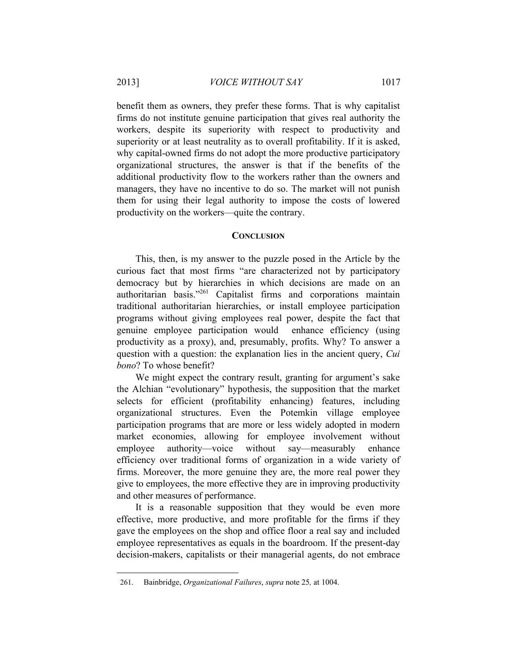l

benefit them as owners, they prefer these forms. That is why capitalist firms do not institute genuine participation that gives real authority the workers, despite its superiority with respect to productivity and superiority or at least neutrality as to overall profitability. If it is asked, why capital-owned firms do not adopt the more productive participatory organizational structures, the answer is that if the benefits of the additional productivity flow to the workers rather than the owners and managers, they have no incentive to do so. The market will not punish them for using their legal authority to impose the costs of lowered productivity on the workers—quite the contrary.

#### **CONCLUSION**

This, then, is my answer to the puzzle posed in the Article by the curious fact that most firms "are characterized not by participatory democracy but by hierarchies in which decisions are made on an authoritarian basis."261 Capitalist firms and corporations maintain traditional authoritarian hierarchies, or install employee participation programs without giving employees real power, despite the fact that genuine employee participation would enhance efficiency (using productivity as a proxy), and, presumably, profits. Why? To answer a question with a question: the explanation lies in the ancient query, *Cui bono*? To whose benefit?

We might expect the contrary result, granting for argument's sake the Alchian "evolutionary" hypothesis, the supposition that the market selects for efficient (profitability enhancing) features, including organizational structures. Even the Potemkin village employee participation programs that are more or less widely adopted in modern market economies, allowing for employee involvement without employee authority—voice without say—measurably enhance efficiency over traditional forms of organization in a wide variety of firms. Moreover, the more genuine they are, the more real power they give to employees, the more effective they are in improving productivity and other measures of performance.

It is a reasonable supposition that they would be even more effective, more productive, and more profitable for the firms if they gave the employees on the shop and office floor a real say and included employee representatives as equals in the boardroom. If the present-day decision-makers, capitalists or their managerial agents, do not embrace

<sup>261.</sup> Bainbridge, *Organizational Failures*, *supra* note 25*,* at 1004.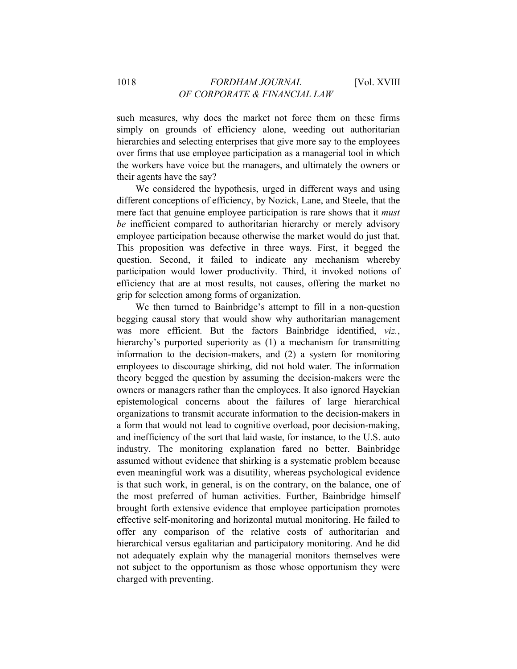such measures, why does the market not force them on these firms simply on grounds of efficiency alone, weeding out authoritarian hierarchies and selecting enterprises that give more say to the employees over firms that use employee participation as a managerial tool in which the workers have voice but the managers, and ultimately the owners or their agents have the say?

We considered the hypothesis, urged in different ways and using different conceptions of efficiency, by Nozick, Lane, and Steele, that the mere fact that genuine employee participation is rare shows that it *must be* inefficient compared to authoritarian hierarchy or merely advisory employee participation because otherwise the market would do just that. This proposition was defective in three ways. First, it begged the question. Second, it failed to indicate any mechanism whereby participation would lower productivity. Third, it invoked notions of efficiency that are at most results, not causes, offering the market no grip for selection among forms of organization.

We then turned to Bainbridge's attempt to fill in a non-question begging causal story that would show why authoritarian management was more efficient. But the factors Bainbridge identified, *viz.*, hierarchy's purported superiority as (1) a mechanism for transmitting information to the decision-makers, and (2) a system for monitoring employees to discourage shirking, did not hold water. The information theory begged the question by assuming the decision-makers were the owners or managers rather than the employees. It also ignored Hayekian epistemological concerns about the failures of large hierarchical organizations to transmit accurate information to the decision-makers in a form that would not lead to cognitive overload, poor decision-making, and inefficiency of the sort that laid waste, for instance, to the U.S. auto industry. The monitoring explanation fared no better. Bainbridge assumed without evidence that shirking is a systematic problem because even meaningful work was a disutility, whereas psychological evidence is that such work, in general, is on the contrary, on the balance, one of the most preferred of human activities. Further, Bainbridge himself brought forth extensive evidence that employee participation promotes effective self-monitoring and horizontal mutual monitoring. He failed to offer any comparison of the relative costs of authoritarian and hierarchical versus egalitarian and participatory monitoring. And he did not adequately explain why the managerial monitors themselves were not subject to the opportunism as those whose opportunism they were charged with preventing.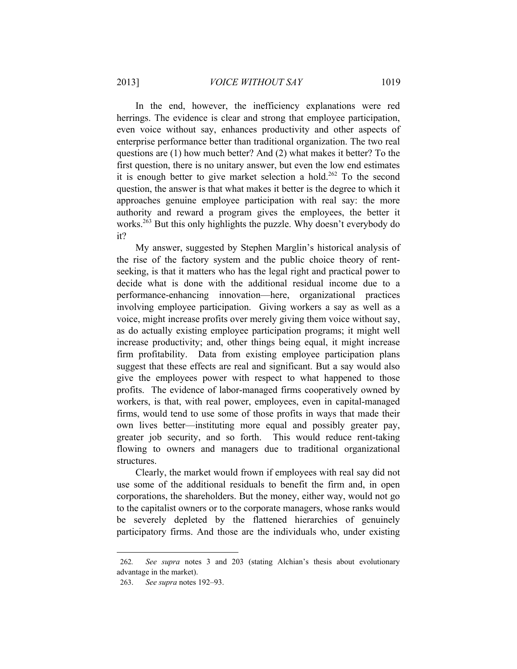In the end, however, the inefficiency explanations were red herrings. The evidence is clear and strong that employee participation, even voice without say, enhances productivity and other aspects of enterprise performance better than traditional organization. The two real questions are (1) how much better? And (2) what makes it better? To the first question, there is no unitary answer, but even the low end estimates it is enough better to give market selection a hold.<sup>262</sup> To the second question, the answer is that what makes it better is the degree to which it approaches genuine employee participation with real say: the more authority and reward a program gives the employees, the better it works.<sup>263</sup> But this only highlights the puzzle. Why doesn't everybody do it?

My answer, suggested by Stephen Marglin's historical analysis of the rise of the factory system and the public choice theory of rentseeking, is that it matters who has the legal right and practical power to decide what is done with the additional residual income due to a performance-enhancing innovation—here, organizational practices involving employee participation. Giving workers a say as well as a voice, might increase profits over merely giving them voice without say, as do actually existing employee participation programs; it might well increase productivity; and, other things being equal, it might increase firm profitability. Data from existing employee participation plans suggest that these effects are real and significant. But a say would also give the employees power with respect to what happened to those profits. The evidence of labor-managed firms cooperatively owned by workers, is that, with real power, employees, even in capital-managed firms, would tend to use some of those profits in ways that made their own lives better—instituting more equal and possibly greater pay, greater job security, and so forth. This would reduce rent-taking flowing to owners and managers due to traditional organizational structures.

Clearly, the market would frown if employees with real say did not use some of the additional residuals to benefit the firm and, in open corporations, the shareholders. But the money, either way, would not go to the capitalist owners or to the corporate managers, whose ranks would be severely depleted by the flattened hierarchies of genuinely participatory firms. And those are the individuals who, under existing

<sup>262</sup>*. See supra* notes 3 and 203 (stating Alchian's thesis about evolutionary advantage in the market).

<sup>263.</sup> *See supra* notes 192–93.